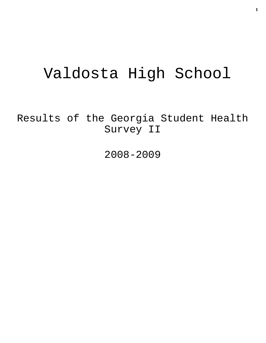# Valdosta High School

Results of the Georgia Student Health Survey II

2008-2009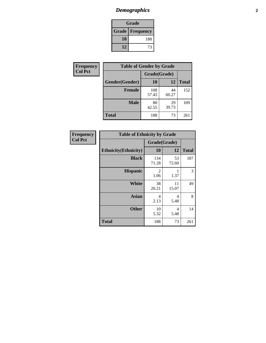## *Demographics* **2**

| Grade                    |     |  |  |  |
|--------------------------|-----|--|--|--|
| <b>Grade   Frequency</b> |     |  |  |  |
| 10                       | 188 |  |  |  |
| 12                       | 73  |  |  |  |

| <b>Frequency</b> | <b>Table of Gender by Grade</b> |              |             |              |  |
|------------------|---------------------------------|--------------|-------------|--------------|--|
| <b>Col Pct</b>   |                                 | Grade(Grade) |             |              |  |
|                  | Gender(Gender)                  | 10           | 12          | <b>Total</b> |  |
|                  | <b>Female</b>                   | 108<br>57.45 | 44<br>60.27 | 152          |  |
|                  | <b>Male</b>                     | 80<br>42.55  | 29<br>39.73 | 109          |  |
|                  | <b>Total</b>                    | 188          | 73          | 261          |  |

| <b>Frequency</b> |
|------------------|
| <b>Col Pct</b>   |

| <b>Table of Ethnicity by Grade</b> |              |             |              |  |  |  |
|------------------------------------|--------------|-------------|--------------|--|--|--|
|                                    | Grade(Grade) |             |              |  |  |  |
| <b>Ethnicity</b> (Ethnicity)       | 10           | 12          | <b>Total</b> |  |  |  |
| <b>Black</b>                       | 134<br>71.28 | 53<br>72.60 | 187          |  |  |  |
| <b>Hispanic</b>                    | 2<br>1.06    | 1.37        | 3            |  |  |  |
| White                              | 38<br>20.21  | 11<br>15.07 | 49           |  |  |  |
| <b>Asian</b>                       | 4<br>2.13    | 4<br>5.48   | 8            |  |  |  |
| <b>Other</b>                       | 10<br>5.32   | 4<br>5.48   | 14           |  |  |  |
| <b>Total</b>                       | 188          | 73          | 261          |  |  |  |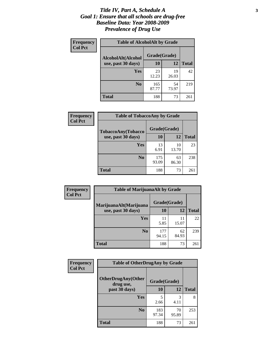#### *Title IV, Part A, Schedule A* **3** *Goal 1: Ensure that all schools are drug-free Baseline Data: Year 2008-2009 Prevalence of Drug Use*

| Frequency<br><b>Col Pct</b> | <b>Table of AlcoholAlt by Grade</b> |              |             |              |  |
|-----------------------------|-------------------------------------|--------------|-------------|--------------|--|
|                             | AlcoholAlt(Alcohol                  | Grade(Grade) |             |              |  |
|                             | use, past 30 days)                  | 10           | 12          | <b>Total</b> |  |
|                             | <b>Yes</b>                          | 23<br>12.23  | 19<br>26.03 | 42           |  |
|                             | N <sub>0</sub>                      | 165<br>87.77 | 54<br>73.97 | 219          |  |
|                             | Total                               | 188          | 73          | 261          |  |

| <b>Frequency</b><br><b>Col Pct</b> | <b>Table of TobaccoAny by Grade</b> |              |             |              |  |
|------------------------------------|-------------------------------------|--------------|-------------|--------------|--|
|                                    | TobaccoAny(Tobacco                  | Grade(Grade) |             |              |  |
|                                    | use, past 30 days)                  | 10           | 12          | <b>Total</b> |  |
|                                    | Yes                                 | 13<br>6.91   | 10<br>13.70 | 23           |  |
|                                    | N <sub>0</sub>                      | 175<br>93.09 | 63<br>86.30 | 238          |  |
|                                    | <b>Total</b>                        | 188          | 73          | 261          |  |

| Frequency<br><b>Col Pct</b> | <b>Table of MarijuanaAlt by Grade</b> |              |             |              |  |
|-----------------------------|---------------------------------------|--------------|-------------|--------------|--|
|                             | MarijuanaAlt(Marijuana                | Grade(Grade) |             |              |  |
|                             | use, past 30 days)                    | <b>10</b>    | 12          | <b>Total</b> |  |
|                             | <b>Yes</b>                            | 11<br>5.85   | 11<br>15.07 | 22           |  |
|                             | N <sub>0</sub>                        | 177<br>94.15 | 62<br>84.93 | 239          |  |
|                             | <b>Total</b>                          | 188          | 73          | 261          |  |

| Frequency<br><b>Col Pct</b> | <b>Table of OtherDrugAny by Grade</b>  |              |             |              |  |
|-----------------------------|----------------------------------------|--------------|-------------|--------------|--|
|                             | <b>OtherDrugAny(Other</b><br>drug use, | Grade(Grade) |             |              |  |
|                             | past 30 days)                          | <b>10</b>    | 12          | <b>Total</b> |  |
|                             | <b>Yes</b>                             | 2.66         | 3<br>4.11   | 8            |  |
|                             | N <sub>0</sub>                         | 183<br>97.34 | 70<br>95.89 | 253          |  |
|                             | <b>Total</b>                           | 188          | 73          | 261          |  |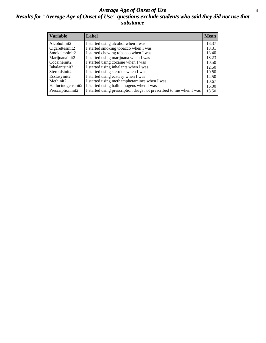#### *Average Age of Onset of Use* **4** *Results for "Average Age of Onset of Use" questions exclude students who said they did not use that substance*

| <b>Variable</b>    | Label                                                              | <b>Mean</b> |
|--------------------|--------------------------------------------------------------------|-------------|
| Alcoholinit2       | I started using alcohol when I was                                 | 13.37       |
| Cigarettesinit2    | I started smoking tobacco when I was                               | 13.31       |
| Smokelessinit2     | I started chewing tobacco when I was                               | 13.40       |
| Marijuanainit2     | I started using marijuana when I was                               | 13.23       |
| Cocaineinit2       | I started using cocaine when I was                                 | 10.50       |
| Inhalantsinit2     | I started using inhalants when I was                               | 12.50       |
| Steroidsinit2      | I started using steroids when I was                                | 10.80       |
| Ecstasyinit2       | I started using ecstasy when I was                                 | 14.50       |
| Methinit2          | I started using methamphetamines when I was                        | 10.67       |
| Hallucinogensinit2 | I started using hallucinogens when I was                           | 16.00       |
| Prescriptioninit2  | I started using prescription drugs not prescribed to me when I was | 13.50       |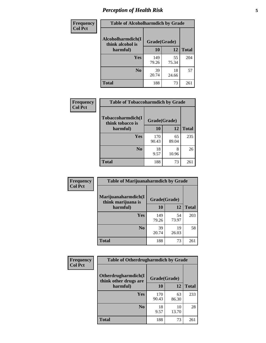### *Perception of Health Risk* **5**

| Frequency      | <b>Table of Alcoholharmdich by Grade</b> |              |             |              |
|----------------|------------------------------------------|--------------|-------------|--------------|
| <b>Col Pct</b> | Alcoholharmdich(I<br>think alcohol is    | Grade(Grade) |             |              |
|                | harmful)                                 | 10           | 12          | <b>Total</b> |
|                | <b>Yes</b>                               | 149<br>79.26 | 55<br>75.34 | 204          |
|                | N <sub>0</sub>                           | 39<br>20.74  | 18<br>24.66 | 57           |
|                | <b>Total</b>                             | 188          | 73          | 261          |

| Frequency<br><b>Col Pct</b> | <b>Table of Tobaccoharmdich by Grade</b> |              |             |              |
|-----------------------------|------------------------------------------|--------------|-------------|--------------|
|                             | Tobaccoharmdich(I<br>think tobacco is    | Grade(Grade) |             |              |
|                             | harmful)                                 | 10           | 12          | <b>Total</b> |
|                             | Yes                                      | 170<br>90.43 | 65<br>89.04 | 235          |
|                             | N <sub>0</sub>                           | 18<br>9.57   | 8<br>10.96  | 26           |
|                             | <b>Total</b>                             | 188          | 73          | 261          |

| <b>Frequency</b> | <b>Table of Marijuanaharmdich by Grade</b> |              |             |              |  |
|------------------|--------------------------------------------|--------------|-------------|--------------|--|
| <b>Col Pct</b>   | Marijuanaharmdich(I<br>think marijuana is  | Grade(Grade) |             |              |  |
|                  | harmful)                                   | 10           | 12          | <b>Total</b> |  |
|                  | <b>Yes</b>                                 | 149<br>79.26 | 54<br>73.97 | 203          |  |
|                  | N <sub>0</sub>                             | 39<br>20.74  | 19<br>26.03 | 58           |  |
|                  | <b>Total</b>                               | 188          | 73          | 261          |  |

| <b>Frequency</b> | <b>Table of Otherdrugharmdich by Grade</b>                   |              |             |              |  |
|------------------|--------------------------------------------------------------|--------------|-------------|--------------|--|
| <b>Col Pct</b>   | Otherdrugharmdich(I<br>Grade(Grade)<br>think other drugs are |              |             |              |  |
|                  | harmful)                                                     | 10           | 12          | <b>Total</b> |  |
|                  | Yes                                                          | 170<br>90.43 | 63<br>86.30 | 233          |  |
|                  | N <sub>0</sub>                                               | 18<br>9.57   | 10<br>13.70 | 28           |  |
|                  | <b>Total</b>                                                 | 188          | 73          | 261          |  |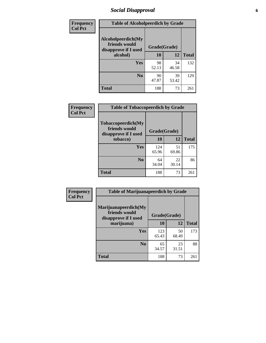### *Social Disapproval* **6**

| Frequency      | <b>Table of Alcoholpeerdich by Grade</b>                    |              |             |              |
|----------------|-------------------------------------------------------------|--------------|-------------|--------------|
| <b>Col Pct</b> | Alcoholpeerdich(My<br>friends would<br>disapprove if I used | Grade(Grade) |             |              |
|                | alcohol)                                                    | 10           | 12          | <b>Total</b> |
|                | <b>Yes</b>                                                  | 98<br>52.13  | 34<br>46.58 | 132          |
|                | N <sub>0</sub>                                              | 90<br>47.87  | 39<br>53.42 | 129          |
|                | <b>Total</b>                                                | 188          | 73          | 261          |

| <b>Frequency</b> |
|------------------|
| <b>Col Pct</b>   |

| <b>Table of Tobaccopeerdich by Grade</b>                           |              |             |              |  |  |
|--------------------------------------------------------------------|--------------|-------------|--------------|--|--|
| <b>Tobaccopeerdich(My</b><br>friends would<br>disapprove if I used | Grade(Grade) |             |              |  |  |
| tobacco)                                                           | 10           | 12          | <b>Total</b> |  |  |
| Yes                                                                | 124<br>65.96 | 51<br>69.86 | 175          |  |  |
| N <sub>0</sub>                                                     | 64<br>34.04  | 22<br>30.14 | 86           |  |  |
| <b>Total</b>                                                       | 188          | 73          | 261          |  |  |

| <b>Frequency</b> | <b>Table of Marijuanapeerdich by Grade</b>                    |              |             |              |  |  |
|------------------|---------------------------------------------------------------|--------------|-------------|--------------|--|--|
| <b>Col Pct</b>   | Marijuanapeerdich(My<br>friends would<br>disapprove if I used | Grade(Grade) |             |              |  |  |
|                  | marijuana)                                                    | 10           | 12          | <b>Total</b> |  |  |
|                  | <b>Yes</b>                                                    | 123<br>65.43 | 50<br>68.49 | 173          |  |  |
|                  | N <sub>0</sub>                                                | 65<br>34.57  | 23<br>31.51 | 88           |  |  |
|                  | <b>Total</b>                                                  | 188          | 73          | 261          |  |  |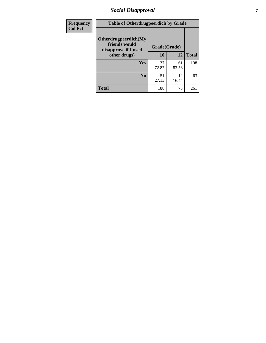### *Social Disapproval* **7**

| Frequency      | <b>Table of Otherdrugpeerdich by Grade</b>                    |              |             |              |  |  |
|----------------|---------------------------------------------------------------|--------------|-------------|--------------|--|--|
| <b>Col Pct</b> | Otherdrugpeerdich(My<br>friends would<br>disapprove if I used | Grade(Grade) |             |              |  |  |
|                | other drugs)                                                  | 10           | 12          | <b>Total</b> |  |  |
|                | <b>Yes</b>                                                    | 137<br>72.87 | 61<br>83.56 | 198          |  |  |
|                | N <sub>0</sub>                                                | 51<br>27.13  | 12<br>16.44 | 63           |  |  |
|                | <b>Total</b>                                                  | 188          | 73          | 261          |  |  |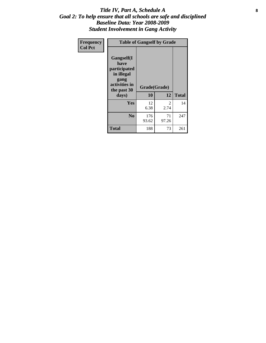#### Title IV, Part A, Schedule A **8** *Goal 2: To help ensure that all schools are safe and disciplined Baseline Data: Year 2008-2009 Student Involvement in Gang Activity*

| Frequency      | <b>Table of Gangself by Grade</b>                                                                 |                    |             |              |
|----------------|---------------------------------------------------------------------------------------------------|--------------------|-------------|--------------|
| <b>Col Pct</b> | Gangself(I<br>have<br>participated<br>in illegal<br>gang<br>activities in<br>the past 30<br>days) | Grade(Grade)<br>10 | 12          | <b>Total</b> |
|                | Yes                                                                                               | 12<br>6.38         | 2<br>2.74   | 14           |
|                | N <sub>0</sub>                                                                                    | 176<br>93.62       | 71<br>97.26 | 247          |
|                | <b>Total</b>                                                                                      | 188                | 73          | 261          |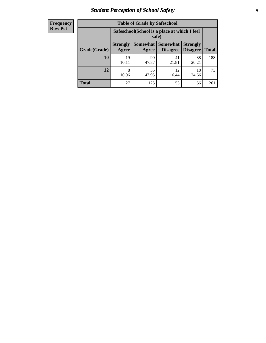### *Student Perception of School Safety* **9**

| <b>Frequency</b><br>Row Pct |
|-----------------------------|
|                             |

| <b>Table of Grade by Safeschool</b> |                                                                                                                                                  |                                                        |             |             |     |  |  |
|-------------------------------------|--------------------------------------------------------------------------------------------------------------------------------------------------|--------------------------------------------------------|-------------|-------------|-----|--|--|
|                                     |                                                                                                                                                  | Safeschool (School is a place at which I feel<br>safe) |             |             |     |  |  |
| Grade(Grade)                        | <b>Somewhat</b><br><b>Somewhat</b><br><b>Strongly</b><br><b>Strongly</b><br><b>Disagree</b><br>Agree<br><b>Disagree</b><br><b>Total</b><br>Agree |                                                        |             |             |     |  |  |
| <b>10</b>                           | 19<br>10.11                                                                                                                                      | 90<br>47.87                                            | 41<br>21.81 | 38<br>20.21 | 188 |  |  |
| 12                                  | 8<br>10.96                                                                                                                                       | 35<br>47.95                                            | 12<br>16.44 | 18<br>24.66 | 73  |  |  |
| <b>Total</b>                        | 27                                                                                                                                               | 125                                                    | 53          | 56          | 261 |  |  |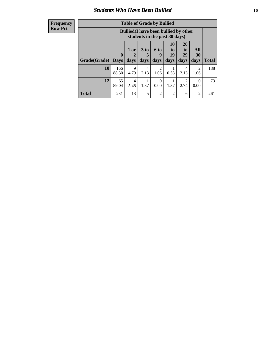### *Students Who Have Been Bullied* **10**

#### **Frequency Row Pct**

| <b>Table of Grade by Bullied</b> |                  |                                                                               |                              |                        |                        |                               |                          |              |
|----------------------------------|------------------|-------------------------------------------------------------------------------|------------------------------|------------------------|------------------------|-------------------------------|--------------------------|--------------|
|                                  |                  | <b>Bullied</b> (I have been bullied by other<br>students in the past 30 days) |                              |                        |                        |                               |                          |              |
| Grade(Grade)                     | 0<br><b>Days</b> | 1 or<br>2<br>days                                                             | 3 <sub>to</sub><br>5<br>days | 6 to<br>9<br>days      | 10<br>to<br>19<br>days | <b>20</b><br>to<br>29<br>days | <b>All</b><br>30<br>days | <b>Total</b> |
| 10                               | 166<br>88.30     | 9<br>4.79                                                                     | $\overline{4}$<br>2.13       | $\overline{2}$<br>1.06 | 0.53                   | 4<br>2.13                     | $\overline{2}$<br>1.06   | 188          |
| 12                               | 65<br>89.04      | 4<br>5.48                                                                     | 1.37                         | $\Omega$<br>0.00       | 1.37                   | $\overline{2}$<br>2.74        | 0<br>0.00                | 73           |
| <b>Total</b>                     | 231              | 13                                                                            | 5                            | $\overline{2}$         | $\overline{2}$         | 6                             | $\overline{c}$           | 261          |

 $\blacksquare$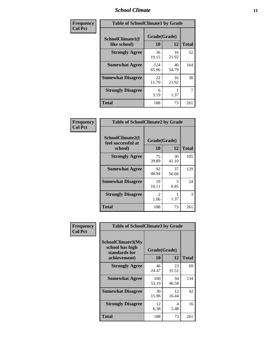#### *School Climate* **11**

| <b>Frequency</b> | <b>Table of SchoolClimate1 by Grade</b> |                    |             |              |  |  |
|------------------|-----------------------------------------|--------------------|-------------|--------------|--|--|
| <b>Col Pct</b>   | SchoolClimate1(I<br>like school)        | Grade(Grade)<br>10 | 12          | <b>Total</b> |  |  |
|                  | <b>Strongly Agree</b>                   | 36<br>19.15        | 16<br>21.92 | 52           |  |  |
|                  | <b>Somewhat Agree</b>                   | 124<br>65.96       | 40<br>54.79 | 164          |  |  |
|                  | <b>Somewhat Disagree</b>                | 22<br>11.70        | 16<br>21.92 | 38           |  |  |
|                  | <b>Strongly Disagree</b>                | 6<br>3.19          | 1.37        | 7            |  |  |
|                  | <b>Total</b>                            | 188                | 73          | 261          |  |  |

| <b>Table of SchoolClimate2 by Grade</b>           |                       |             |              |  |  |
|---------------------------------------------------|-----------------------|-------------|--------------|--|--|
| SchoolClimate2(I<br>feel successful at<br>school) | Grade(Grade)<br>10    | 12          | <b>Total</b> |  |  |
| <b>Strongly Agree</b>                             | 75<br>39.89           | 30<br>41.10 | 105          |  |  |
| <b>Somewhat Agree</b>                             | 92<br>48.94           | 37<br>50.68 | 129          |  |  |
| <b>Somewhat Disagree</b>                          | 19<br>10.11           | 5<br>6.85   | 24           |  |  |
| <b>Strongly Disagree</b>                          | $\mathcal{L}$<br>1.06 | 1.37        | 3            |  |  |
| Total                                             | 188                   | 73          | 261          |  |  |

| Frequency      | <b>Table of SchoolClimate3 by Grade</b>                                      |                    |             |              |  |
|----------------|------------------------------------------------------------------------------|--------------------|-------------|--------------|--|
| <b>Col Pct</b> | <b>SchoolClimate3(My</b><br>school has high<br>standards for<br>achievement) | Grade(Grade)<br>10 | 12          | <b>Total</b> |  |
|                |                                                                              |                    |             |              |  |
|                | <b>Strongly Agree</b>                                                        | 46<br>24.47        | 23<br>31.51 | 69           |  |
|                | <b>Somewhat Agree</b>                                                        | 100<br>53.19       | 34<br>46.58 | 134          |  |
|                | <b>Somewhat Disagree</b>                                                     | 30<br>15.96        | 12<br>16.44 | 42           |  |
|                | <b>Strongly Disagree</b>                                                     | 12<br>6.38         | 4<br>5.48   | 16           |  |
|                | Total                                                                        | 188                | 73          | 261          |  |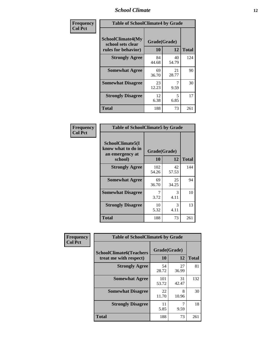#### *School Climate* **12**

| Frequency      | <b>Table of SchoolClimate4 by Grade</b>                              |                    |             |              |
|----------------|----------------------------------------------------------------------|--------------------|-------------|--------------|
| <b>Col Pct</b> | <b>SchoolClimate4(My</b><br>school sets clear<br>rules for behavior) | Grade(Grade)<br>10 | 12          | <b>Total</b> |
|                | <b>Strongly Agree</b>                                                | 84<br>44.68        | 40<br>54.79 | 124          |
|                | <b>Somewhat Agree</b>                                                | 69<br>36.70        | 21<br>28.77 | 90           |
|                | <b>Somewhat Disagree</b>                                             | 23<br>12.23        | 9.59        | 30           |
|                | <b>Strongly Disagree</b>                                             | 12<br>6.38         | 5<br>6.85   | 17           |
|                | <b>Total</b>                                                         | 188                | 73          | 261          |

| <b>Table of SchoolClimate5 by Grade</b>                   |              |             |              |  |
|-----------------------------------------------------------|--------------|-------------|--------------|--|
| SchoolClimate5(I<br>know what to do in<br>an emergency at | Grade(Grade) |             |              |  |
| school)                                                   | 10           | 12          | <b>Total</b> |  |
| <b>Strongly Agree</b>                                     | 102<br>54.26 | 42<br>57.53 | 144          |  |
| <b>Somewhat Agree</b>                                     | 69<br>36.70  | 25<br>34.25 | 94           |  |
| <b>Somewhat Disagree</b>                                  | 7<br>3.72    | 3<br>4.11   | 10           |  |
| <b>Strongly Disagree</b>                                  | 10<br>5.32   | 3<br>4.11   | 13           |  |
| Total                                                     | 188          | 73          | 261          |  |

| Frequency      | <b>Table of SchoolClimate6 by Grade</b>                  |                    |             |              |
|----------------|----------------------------------------------------------|--------------------|-------------|--------------|
| <b>Col Pct</b> | <b>SchoolClimate6(Teachers</b><br>treat me with respect) | Grade(Grade)<br>10 | 12          | <b>Total</b> |
|                | <b>Strongly Agree</b>                                    | 54<br>28.72        | 27<br>36.99 | 81           |
|                | <b>Somewhat Agree</b>                                    | 101<br>53.72       | 31<br>42.47 | 132          |
|                | <b>Somewhat Disagree</b>                                 | 22<br>11.70        | 8<br>10.96  | 30           |
|                | <b>Strongly Disagree</b>                                 | 11<br>5.85         | 9.59        | 18           |
|                | <b>Total</b>                                             | 188                | 73          | 261          |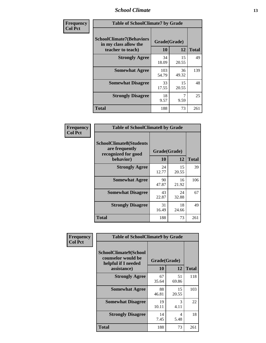#### *School Climate* **13**

| Frequency      | <b>Table of SchoolClimate7 by Grade</b>                                       |                    |             |              |
|----------------|-------------------------------------------------------------------------------|--------------------|-------------|--------------|
| <b>Col Pct</b> | <b>SchoolClimate7(Behaviors</b><br>in my class allow the<br>teacher to teach) | Grade(Grade)<br>10 | 12          | <b>Total</b> |
|                | <b>Strongly Agree</b>                                                         | 34<br>18.09        | 15<br>20.55 | 49           |
|                | <b>Somewhat Agree</b>                                                         | 103<br>54.79       | 36<br>49.32 | 139          |
|                | <b>Somewhat Disagree</b>                                                      | 33<br>17.55        | 15<br>20.55 | 48           |
|                | <b>Strongly Disagree</b>                                                      | 18<br>9.57         | 9.59        | 25           |
|                | <b>Total</b>                                                                  | 188                | 73          | 261          |

| Frequency      | <b>Table of SchoolClimate8 by Grade</b>                                              |                    |             |              |
|----------------|--------------------------------------------------------------------------------------|--------------------|-------------|--------------|
| <b>Col Pct</b> | <b>SchoolClimate8(Students</b><br>are frequently<br>recognized for good<br>behavior) | Grade(Grade)<br>10 | 12          | <b>Total</b> |
|                | <b>Strongly Agree</b>                                                                | 24<br>12.77        | 15<br>20.55 | 39           |
|                | <b>Somewhat Agree</b>                                                                | 90<br>47.87        | 16<br>21.92 | 106          |
|                | <b>Somewhat Disagree</b>                                                             | 43<br>22.87        | 24<br>32.88 | 67           |
|                | <b>Strongly Disagree</b>                                                             | 31<br>16.49        | 18<br>24.66 | 49           |
|                | <b>Total</b>                                                                         | 188                | 73          | 261          |

| Frequency      | <b>Table of SchoolClimate9 by Grade</b>                                           |                    |             |              |
|----------------|-----------------------------------------------------------------------------------|--------------------|-------------|--------------|
| <b>Col Pct</b> | SchoolClimate9(School<br>counselor would be<br>helpful if I needed<br>assistance) | Grade(Grade)<br>10 | 12          | <b>Total</b> |
|                | <b>Strongly Agree</b>                                                             | 67<br>35.64        | 51<br>69.86 | 118          |
|                | <b>Somewhat Agree</b>                                                             | 88<br>46.81        | 15<br>20.55 | 103          |
|                | <b>Somewhat Disagree</b>                                                          | 19<br>10.11        | 3<br>4.11   | 22           |
|                | <b>Strongly Disagree</b>                                                          | 14<br>7.45         | 4<br>5.48   | 18           |
|                | Total                                                                             | 188                | 73          | 261          |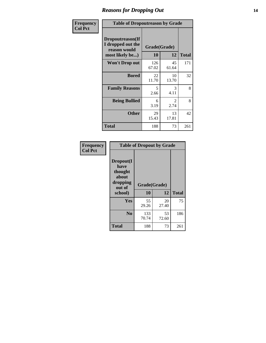### *Reasons for Dropping Out* **14**

| Frequency      | <b>Table of Dropoutreason by Grade</b>                                   |              |                    |              |
|----------------|--------------------------------------------------------------------------|--------------|--------------------|--------------|
| <b>Col Pct</b> | Dropoutreason(If<br>I dropped out the<br>reason would<br>most likely be) | 10           | Grade(Grade)<br>12 | <b>Total</b> |
|                | <b>Won't Drop out</b>                                                    | 126<br>67.02 | 45<br>61.64        | 171          |
|                | <b>Bored</b>                                                             | 22<br>11.70  | 10<br>13.70        | 32           |
|                | <b>Family Reasons</b>                                                    | 5<br>2.66    | 3<br>4.11          | 8            |
|                | <b>Being Bullied</b>                                                     | 6<br>3.19    | 2<br>2.74          | 8            |
|                | <b>Other</b>                                                             | 29<br>15.43  | 13<br>17.81        | 42           |
|                | Total                                                                    | 188          | 73                 | 261          |

| Frequency<br><b>Col Pct</b> | <b>Table of Dropout by Grade</b>                                       |                    |             |              |  |
|-----------------------------|------------------------------------------------------------------------|--------------------|-------------|--------------|--|
|                             | Dropout(I<br>have<br>thought<br>about<br>dropping<br>out of<br>school) | Grade(Grade)<br>10 | 12          | <b>Total</b> |  |
|                             | Yes                                                                    | 55<br>29.26        | 20<br>27.40 | 75           |  |
|                             | N <sub>0</sub>                                                         | 133<br>70.74       | 53<br>72.60 | 186          |  |
|                             | <b>Total</b>                                                           | 188                | 73          | 261          |  |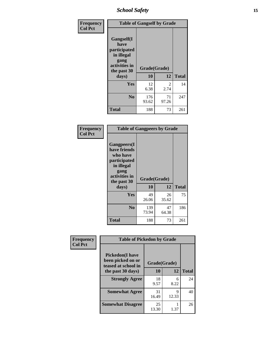*School Safety* **15**

| Frequency      |                                                                                                   | <b>Table of Gangself by Grade</b> |                       |              |
|----------------|---------------------------------------------------------------------------------------------------|-----------------------------------|-----------------------|--------------|
| <b>Col Pct</b> | Gangself(I<br>have<br>participated<br>in illegal<br>gang<br>activities in<br>the past 30<br>days) | Grade(Grade)<br>10                | 12                    | <b>Total</b> |
|                | Yes                                                                                               | 12<br>6.38                        | $\mathcal{L}$<br>2.74 | 14           |
|                | N <sub>0</sub>                                                                                    | 176<br>93.62                      | 71<br>97.26           | 247          |
|                | <b>Total</b>                                                                                      | 188                               | 73                    | 261          |

| Frequency<br><b>Col Pct</b> | <b>Table of Gangpeers by Grade</b>                                                                                             |                    |             |              |
|-----------------------------|--------------------------------------------------------------------------------------------------------------------------------|--------------------|-------------|--------------|
|                             | <b>Gangpeers</b> (I<br>have friends<br>who have<br>participated<br>in illegal<br>gang<br>activities in<br>the past 30<br>days) | Grade(Grade)<br>10 | 12          | <b>Total</b> |
|                             | <b>Yes</b>                                                                                                                     | 49<br>26.06        | 26<br>35.62 | 75           |
|                             | N <sub>0</sub>                                                                                                                 | 139<br>73.94       | 47<br>64.38 | 186          |
|                             | <b>Total</b>                                                                                                                   | 188                | 73          | 261          |

| Frequency      | <b>Table of Pickedon by Grade</b>                                  |              |            |              |
|----------------|--------------------------------------------------------------------|--------------|------------|--------------|
| <b>Col Pct</b> | <b>Pickedon(I have</b><br>been picked on or<br>teased at school in | Grade(Grade) |            |              |
|                | the past 30 days)                                                  | 10           | 12         | <b>Total</b> |
|                | <b>Strongly Agree</b>                                              | 18<br>9.57   | 6<br>8.22  | 24           |
|                | <b>Somewhat Agree</b>                                              | 31<br>16.49  | Q<br>12.33 | 40           |
|                | <b>Somewhat Disagree</b>                                           | 25<br>13.30  | 1.37       | 26           |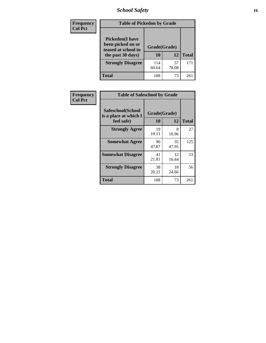### *School Safety* **16**

| <b>Frequency</b> | <b>Table of Pickedon by Grade</b>                                                        |                    |             |              |
|------------------|------------------------------------------------------------------------------------------|--------------------|-------------|--------------|
| <b>Col Pct</b>   | <b>Pickedon</b> (I have<br>been picked on or<br>teased at school in<br>the past 30 days) | Grade(Grade)<br>10 | 12          | <b>Total</b> |
|                  | <b>Strongly Disagree</b>                                                                 | 114<br>60.64       | 57<br>78.08 | 171          |
|                  | Total                                                                                    | 188                | 73          | 26           |

| Frequency      |                                                          | <b>Table of Safeschool by Grade</b> |             |              |  |  |  |  |  |
|----------------|----------------------------------------------------------|-------------------------------------|-------------|--------------|--|--|--|--|--|
| <b>Col Pct</b> | Safeschool(School<br>is a place at which I<br>feel safe) | Grade(Grade)<br>10                  | 12          | <b>Total</b> |  |  |  |  |  |
|                | <b>Strongly Agree</b>                                    | 19<br>10.11                         | 8<br>10.96  | 27           |  |  |  |  |  |
|                | <b>Somewhat Agree</b>                                    | 90<br>47.87                         | 35<br>47.95 | 125          |  |  |  |  |  |
|                | <b>Somewhat Disagree</b>                                 | 41<br>21.81                         | 12<br>16.44 | 53           |  |  |  |  |  |
|                | <b>Strongly Disagree</b>                                 | 38<br>20.21                         | 18<br>24.66 | 56           |  |  |  |  |  |
|                | Total                                                    | 188                                 | 73          | 261          |  |  |  |  |  |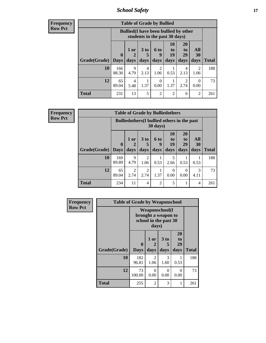*School Safety* **17**

**Frequency Row Pct**

| <b>Table of Grade by Bullied</b> |              |                                                                               |                              |                   |                        |                               |                           |              |  |  |
|----------------------------------|--------------|-------------------------------------------------------------------------------|------------------------------|-------------------|------------------------|-------------------------------|---------------------------|--------------|--|--|
|                                  |              | <b>Bullied</b> (I have been bullied by other<br>students in the past 30 days) |                              |                   |                        |                               |                           |              |  |  |
| <b>Grade</b> (Grade)   Days      | $\bf{0}$     | $1$ or<br>2<br>days                                                           | 3 <sub>to</sub><br>5<br>days | 6 to<br>9<br>days | 10<br>to<br>19<br>days | <b>20</b><br>to<br>29<br>days | All<br><b>30</b><br>days  | <b>Total</b> |  |  |
| 10                               | 166<br>88.30 | 9<br>4.79                                                                     | 4<br>2.13                    | 2<br>1.06         | 0.53                   | 4<br>2.13                     | 2<br>1.06                 | 188          |  |  |
| 12                               | 65<br>89.04  | 4<br>5.48                                                                     | 1.37                         | 0<br>0.00         | 1.37                   | 2<br>2.74                     | $\mathbf{\Omega}$<br>0.00 | 73           |  |  |
| <b>Total</b>                     | 231          | 13                                                                            | 5                            | $\overline{c}$    | $\overline{2}$         | 6                             | $\overline{2}$            | 261          |  |  |

**Frequency Row Pct**

| <b>Table of Grade by Bulliedothers</b>                                                                                                                                       |              |                                                                |                        |                |           |                  |           |              |  |  |
|------------------------------------------------------------------------------------------------------------------------------------------------------------------------------|--------------|----------------------------------------------------------------|------------------------|----------------|-----------|------------------|-----------|--------------|--|--|
|                                                                                                                                                                              |              | <b>Bulliedothers</b> (I bullied others in the past<br>30 days) |                        |                |           |                  |           |              |  |  |
| <b>10</b><br>20<br>3 <sub>to</sub><br>All<br>$1$ or<br><b>6 to</b><br>to<br>$\mathbf{t}$ <sup><math>\mathbf{0}</math></sup><br>19<br>29<br>30<br>$\mathbf{0}$<br>5<br>2<br>9 |              |                                                                |                        |                |           |                  |           |              |  |  |
| Grade(Grade)   Days                                                                                                                                                          |              | days                                                           | days                   | days           | days      | days             | days      | <b>Total</b> |  |  |
| 10                                                                                                                                                                           | 169<br>89.89 | 9<br>4.79                                                      | $\overline{c}$<br>1.06 | 0.53           | 5<br>2.66 | 0.53             | 0.53      | 188          |  |  |
| 12                                                                                                                                                                           | 65<br>89.04  | 2<br>2.74                                                      | 2<br>2.74              | 1.37           | 0<br>0.00 | $\Omega$<br>0.00 | 3<br>4.11 | 73           |  |  |
| <b>Total</b>                                                                                                                                                                 | 234          | 11                                                             | 4                      | $\overline{2}$ | 5         |                  | 4         | 261          |  |  |

| Frequency      | <b>Table of Grade by Weaponschool</b> |                                                                        |                        |                              |                        |              |  |  |  |
|----------------|---------------------------------------|------------------------------------------------------------------------|------------------------|------------------------------|------------------------|--------------|--|--|--|
| <b>Row Pct</b> |                                       | <b>Weaponschool</b> (I<br>brought a weapon to<br>school in the past 30 |                        |                              |                        |              |  |  |  |
|                | Grade(Grade)                          | $\mathbf{0}$<br><b>Days</b>                                            | 1 or<br>2<br>days      | 3 <sub>to</sub><br>5<br>days | 20<br>to<br>29<br>days | <b>Total</b> |  |  |  |
|                | 10                                    | 182<br>96.81                                                           | $\mathfrak{D}$<br>1.06 | 3<br>1.60                    | 0.53                   | 188          |  |  |  |
|                | 12                                    | 73<br>100.00                                                           | $\Omega$<br>0.00       | 0<br>0.00                    | $\Omega$<br>0.00       | 73           |  |  |  |
|                | <b>Total</b>                          | 255                                                                    | 2                      | 3                            |                        | 261          |  |  |  |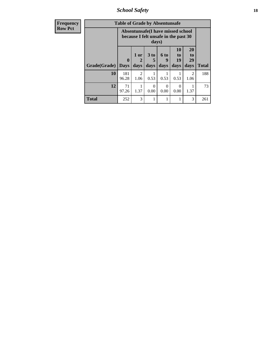*School Safety* **18**

| <b>Frequency</b> | <b>Table of Grade by Absentunsafe</b> |                                                                           |                        |                              |                          |                        |                        |              |  |  |
|------------------|---------------------------------------|---------------------------------------------------------------------------|------------------------|------------------------------|--------------------------|------------------------|------------------------|--------------|--|--|
| <b>Row Pct</b>   |                                       | Absentunsafe(I have missed school<br>because I felt unsafe in the past 30 |                        |                              |                          |                        |                        |              |  |  |
|                  | Grade(Grade)                          | $\bf{0}$<br><b>Days</b>                                                   | 1 or<br>2<br>days      | 3 <sub>to</sub><br>5<br>days | <b>6 to</b><br>9<br>days | 10<br>to<br>19<br>days | 20<br>to<br>29<br>days | <b>Total</b> |  |  |
|                  | 10                                    | 181<br>96.28                                                              | $\mathfrak{D}$<br>1.06 | 0.53                         | 0.53                     | 0.53                   | $\mathfrak{D}$<br>1.06 | 188          |  |  |
|                  | 12                                    | 71<br>97.26                                                               | 1.37                   | 0<br>0.00                    | 0<br>0.00                | $\Omega$<br>0.00       | 1.37                   | 73           |  |  |
|                  | <b>Total</b>                          | 252                                                                       | 3                      |                              |                          |                        | 3                      | 261          |  |  |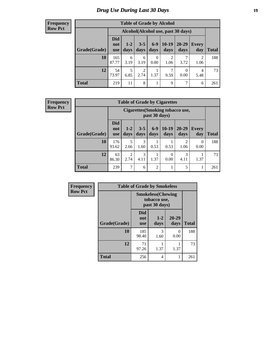### *Drug Use During Last 30 Days* **19**

#### **Frequency Row Pct**

| <b>Table of Grade by Alcohol</b> |                                 |                                     |                 |                  |                 |                   |                     |              |  |  |  |
|----------------------------------|---------------------------------|-------------------------------------|-----------------|------------------|-----------------|-------------------|---------------------|--------------|--|--|--|
|                                  |                                 | Alcohol (Alcohol use, past 30 days) |                 |                  |                 |                   |                     |              |  |  |  |
| Grade(Grade)                     | <b>Did</b><br>not<br><b>use</b> | $1 - 2$<br>days                     | $3 - 5$<br>days | $6 - 9$<br>days  | $10-19$<br>days | $20 - 29$<br>days | <b>Every</b><br>day | <b>Total</b> |  |  |  |
| 10                               | 165<br>87.77                    | 6<br>3.19                           | 6<br>3.19       | $\theta$<br>0.00 | 2<br>1.06       | 3.72              | 2<br>1.06           | 188          |  |  |  |
| 12                               | 54<br>73.97                     | 5<br>6.85                           | 2<br>2.74       | 1<br>1.37        | 7<br>9.59       | 0<br>0.00         | 4<br>5.48           | 73           |  |  |  |
| <b>Total</b>                     | 219                             | 11                                  | 8               | 1                | 9               | 7                 | 6                   | 261          |  |  |  |

#### **Frequency Row Pct**

| <b>Table of Grade by Cigarettes</b> |                                                                                                                                                                  |                                                   |           |                |           |                        |                  |     |  |  |  |
|-------------------------------------|------------------------------------------------------------------------------------------------------------------------------------------------------------------|---------------------------------------------------|-----------|----------------|-----------|------------------------|------------------|-----|--|--|--|
|                                     |                                                                                                                                                                  | Cigarettes (Smoking tobacco use,<br>past 30 days) |           |                |           |                        |                  |     |  |  |  |
| Grade(Grade)                        | <b>Did</b><br>$10-19$<br>$6 - 9$<br>$3 - 5$<br>$20 - 29$<br>$1 - 2$<br><b>Every</b><br>not<br>days<br>days<br>days<br>day<br>Total<br>days<br>days<br><b>use</b> |                                                   |           |                |           |                        |                  |     |  |  |  |
| 10                                  | 176<br>93.62                                                                                                                                                     | 5<br>2.66                                         | 3<br>1.60 | 0.53           | 0.53      | $\overline{2}$<br>1.06 | $\Omega$<br>0.00 | 188 |  |  |  |
| 12                                  | 63<br>86.30                                                                                                                                                      | $\mathfrak{D}$<br>2.74                            | 3<br>4.11 | 1.37           | 0<br>0.00 | 3<br>4.11              | 1.37             | 73  |  |  |  |
| <b>Total</b>                        | 239                                                                                                                                                              | 7                                                 | 6         | $\overline{2}$ |           | 5                      |                  | 261 |  |  |  |

| Frequency      | <b>Table of Grade by Smokeless</b> |                                                            |                 |               |              |  |  |  |  |
|----------------|------------------------------------|------------------------------------------------------------|-----------------|---------------|--------------|--|--|--|--|
| <b>Row Pct</b> |                                    | <b>Smokeless</b> (Chewing<br>tobacco use,<br>past 30 days) |                 |               |              |  |  |  |  |
|                | Grade(Grade)                       | <b>Did</b><br>not<br><b>use</b>                            | $1 - 2$<br>days | 20-29<br>days | <b>Total</b> |  |  |  |  |
|                | 10                                 | 185<br>98.40                                               | 3<br>1.60       | 0<br>0.00     | 188          |  |  |  |  |
|                | 12                                 | 71<br>97.26                                                | 1.37            | 1.37          | 73           |  |  |  |  |
|                | <b>Total</b>                       | 256                                                        | 4               | 1             | 261          |  |  |  |  |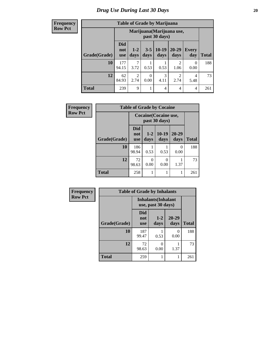**Frequency Row Pct**

| <b>Table of Grade by Marijuana</b> |                                                                                                                                           |                                            |      |           |                        |           |     |  |  |
|------------------------------------|-------------------------------------------------------------------------------------------------------------------------------------------|--------------------------------------------|------|-----------|------------------------|-----------|-----|--|--|
|                                    |                                                                                                                                           | Marijuana (Marijuana use,<br>past 30 days) |      |           |                        |           |     |  |  |
| <b>Grade</b> (Grade)               | <b>Did</b><br>$10-19$<br>20-29<br>$3 - 5$<br>$1 - 2$<br><b>Every</b><br>not<br>days<br>days<br>Total<br>days<br>day<br>days<br><b>use</b> |                                            |      |           |                        |           |     |  |  |
| 10                                 | 177<br>94.15                                                                                                                              | 7<br>3.72                                  | 0.53 | 0.53      | $\mathfrak{D}$<br>1.06 | 0<br>0.00 | 188 |  |  |
| 12                                 | 62<br>84.93                                                                                                                               | $\overline{c}$<br>2.74                     | 0.00 | 3<br>4.11 | 2<br>2.74              | 4<br>5.48 | 73  |  |  |
| <b>Total</b>                       | 239                                                                                                                                       | 9                                          |      | 4         | 4                      | 4         | 261 |  |  |

| Frequency      | <b>Table of Grade by Cocaine</b> |                                 |                 |                 |                  |              |  |  |  |
|----------------|----------------------------------|---------------------------------|-----------------|-----------------|------------------|--------------|--|--|--|
| <b>Row Pct</b> |                                  | Cocaine (Cocaine use,           |                 |                 |                  |              |  |  |  |
|                | Grade(Grade)                     | <b>Did</b><br>not<br><b>use</b> | $1 - 2$<br>days | $10-19$<br>days | 20-29<br>days    | <b>Total</b> |  |  |  |
|                | 10                               | 186<br>98.94                    | 0.53            | 0.53            | $\Omega$<br>0.00 | 188          |  |  |  |
|                | 12                               | 72<br>98.63                     | 0<br>0.00       | 0<br>0.00       | 1.37             | 73           |  |  |  |
|                | <b>Total</b>                     | 258                             |                 | 1               |                  | 261          |  |  |  |

| <b>Frequency</b> | <b>Table of Grade by Inhalants</b> |                                                  |                 |                  |              |  |
|------------------|------------------------------------|--------------------------------------------------|-----------------|------------------|--------------|--|
| <b>Row Pct</b>   |                                    | <b>Inhalants</b> (Inhalant<br>use, past 30 days) |                 |                  |              |  |
|                  | Grade(Grade)                       | <b>Did</b><br>not<br><b>use</b>                  | $1 - 2$<br>days | 20-29<br>days    | <b>Total</b> |  |
|                  | 10                                 | 187<br>99.47                                     | 0.53            | $\Omega$<br>0.00 | 188          |  |
|                  | 12                                 | 72<br>98.63                                      | 0<br>0.00       | 1.37             | 73           |  |
|                  | <b>Total</b>                       | 259                                              | 1               | 1                | 261          |  |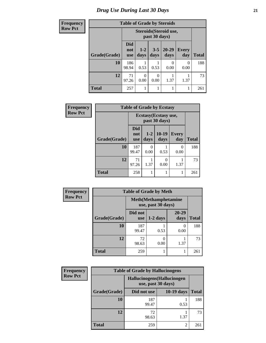| <b>Frequency</b> | <b>Table of Grade by Steroids</b> |                                         |                  |               |                   |                     |              |
|------------------|-----------------------------------|-----------------------------------------|------------------|---------------|-------------------|---------------------|--------------|
| <b>Row Pct</b>   |                                   | Steroids (Steroid use,<br>past 30 days) |                  |               |                   |                     |              |
|                  | Grade(Grade)                      | <b>Did</b><br>not<br><b>use</b>         | $1 - 2$<br>days  | $3-5$<br>days | $20 - 29$<br>days | <b>Every</b><br>day | <b>Total</b> |
|                  | 10                                | 186<br>98.94                            | 0.53             | 0.53          | 0.00              | 0<br>0.00           | 188          |
|                  | 12                                | 71<br>97.26                             | $\Omega$<br>0.00 | 0<br>0.00     | 1.37              | 1.37                | 73           |
|                  | <b>Total</b>                      | 257                                     |                  |               |                   |                     | 261          |

| Frequency      | <b>Table of Grade by Ecstasy</b> |                                        |                 |                 |                     |              |
|----------------|----------------------------------|----------------------------------------|-----------------|-----------------|---------------------|--------------|
| <b>Row Pct</b> |                                  | Ecstasy (Ecstasy use,<br>past 30 days) |                 |                 |                     |              |
|                | Grade(Grade)                     | <b>Did</b><br>not<br>use               | $1 - 2$<br>days | $10-19$<br>days | <b>Every</b><br>day | <b>Total</b> |
|                | 10                               | 187<br>99.47                           | 0.00            | 0.53            | 0<br>0.00           | 188          |
|                | 12                               | 71<br>97.26                            | 1.37            | 0<br>0.00       | 1.37                | 73           |
|                | <b>Total</b>                     | 258                                    |                 |                 | 1                   | 261          |

| <b>Frequency</b> | <b>Table of Grade by Meth</b> |                                                    |            |                           |              |  |
|------------------|-------------------------------|----------------------------------------------------|------------|---------------------------|--------------|--|
| <b>Row Pct</b>   |                               | <b>Meth</b> (Methamphetamine<br>use, past 30 days) |            |                           |              |  |
|                  | Grade(Grade)                  | Did not<br>use                                     | $1-2$ days | 20-29<br>days             | <b>Total</b> |  |
|                  | 10                            | 187<br>99.47                                       | 0.53       | $\mathbf{\Omega}$<br>0.00 | 188          |  |
|                  | 12                            | 72<br>98.63                                        | 0.00       | 1.37                      | 73           |  |
|                  | <b>Total</b>                  | 259                                                |            |                           | 261          |  |

| <b>Frequency</b> | <b>Table of Grade by Hallucinogens</b> |                                                   |                |              |  |  |
|------------------|----------------------------------------|---------------------------------------------------|----------------|--------------|--|--|
| <b>Row Pct</b>   |                                        | Hallucinogens (Hallucinogen<br>use, past 30 days) |                |              |  |  |
|                  | Grade(Grade)                           | Did not use                                       | $10-19$ days   | <b>Total</b> |  |  |
|                  | 10                                     | 187<br>99.47                                      | 0.53           | 188          |  |  |
|                  | 12                                     | 72<br>98.63                                       | 1.37           | 73           |  |  |
|                  | <b>Total</b>                           | 259                                               | $\mathfrak{D}$ | 261          |  |  |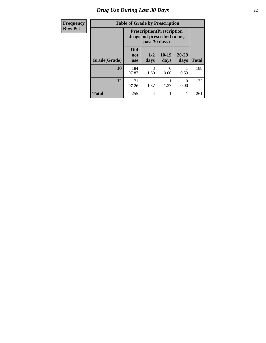### *Drug Use During Last 30 Days* **22**

| Frequency      | <b>Table of Grade by Prescription</b>                                             |                                 |                 |                 |                   |              |
|----------------|-----------------------------------------------------------------------------------|---------------------------------|-----------------|-----------------|-------------------|--------------|
| <b>Row Pct</b> | <b>Prescription</b> (Prescription<br>drugs not prescribed to me,<br>past 30 days) |                                 |                 |                 |                   |              |
|                | Grade(Grade)                                                                      | <b>Did</b><br>not<br><b>use</b> | $1 - 2$<br>days | $10-19$<br>days | $20 - 29$<br>days | <b>Total</b> |
|                | 10                                                                                | 184<br>97.87                    | 3<br>1.60       | 0<br>0.00       | 0.53              | 188          |
|                | 12                                                                                | 71<br>97.26                     | 1.37            | 1.37            | 0<br>0.00         | 73           |
|                | <b>Total</b>                                                                      | 255                             | 4               | 1               |                   | 261          |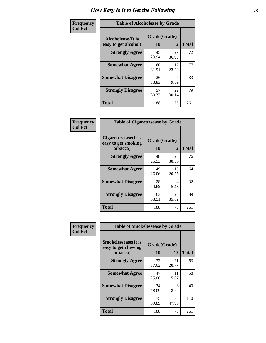| Frequency      | <b>Table of Alcoholease by Grade</b>                                    |             |             |              |  |
|----------------|-------------------------------------------------------------------------|-------------|-------------|--------------|--|
| <b>Col Pct</b> | Grade(Grade)<br><b>Alcoholease</b> (It is<br>10<br>easy to get alcohol) |             | 12          | <b>Total</b> |  |
|                | <b>Strongly Agree</b>                                                   | 45<br>23.94 | 27<br>36.99 | 72           |  |
|                | <b>Somewhat Agree</b>                                                   | 60<br>31.91 | 17<br>23.29 | 77           |  |
|                | <b>Somewhat Disagree</b>                                                | 26<br>13.83 | 9.59        | 33           |  |
|                | <b>Strongly Disagree</b>                                                | 57<br>30.32 | 22<br>30.14 | 79           |  |
|                | <b>Total</b>                                                            | 188         | 73          | 261          |  |

| <b>Frequency</b> | <b>Table</b>       |
|------------------|--------------------|
| <b>Col Pct</b>   |                    |
|                  | <b>Cigarettese</b> |
|                  | easy to get        |
|                  | <b>n</b> or        |

|                                                          | <b>Table of Cigarettesease by Grade</b> |             |              |  |  |  |
|----------------------------------------------------------|-----------------------------------------|-------------|--------------|--|--|--|
| Cigarettesease (It is<br>easy to get smoking<br>tobacco) | Grade(Grade)<br>10                      | 12          | <b>Total</b> |  |  |  |
| <b>Strongly Agree</b>                                    | 48<br>25.53                             | 28<br>38.36 | 76           |  |  |  |
| <b>Somewhat Agree</b>                                    | 49<br>26.06                             | 15<br>20.55 | 64           |  |  |  |
| <b>Somewhat Disagree</b>                                 | 28<br>14.89                             | 4<br>5.48   | 32           |  |  |  |
| <b>Strongly Disagree</b>                                 | 63<br>33.51                             | 26<br>35.62 | 89           |  |  |  |
| Total                                                    | 188                                     | 73          | 261          |  |  |  |

П

| Frequency      | <b>Table of Smokelessease by Grade</b>             |              |             |              |  |  |
|----------------|----------------------------------------------------|--------------|-------------|--------------|--|--|
| <b>Col Pct</b> | <b>Smokelessease</b> (It is<br>easy to get chewing | Grade(Grade) |             |              |  |  |
|                | tobacco)                                           | 10           | 12          | <b>Total</b> |  |  |
|                | <b>Strongly Agree</b>                              | 32<br>17.02  | 21<br>28.77 | 53           |  |  |
|                | <b>Somewhat Agree</b>                              | 47<br>25.00  | 11<br>15.07 | 58           |  |  |
|                | <b>Somewhat Disagree</b>                           | 34<br>18.09  | 6<br>8.22   | 40           |  |  |
|                | <b>Strongly Disagree</b>                           | 75<br>39.89  | 35<br>47.95 | 110          |  |  |
|                | <b>Total</b>                                       | 188          | 73          | 261          |  |  |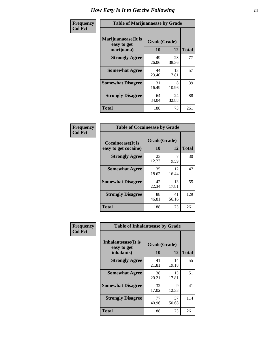| Frequency      | <b>Table of Marijuanaease by Grade</b>           |                           |             |              |  |
|----------------|--------------------------------------------------|---------------------------|-------------|--------------|--|
| <b>Col Pct</b> | Marijuanaease(It is<br>easy to get<br>marijuana) | Grade(Grade)<br><b>10</b> | 12          | <b>Total</b> |  |
|                | <b>Strongly Agree</b>                            | 49<br>26.06               | 28<br>38.36 | 77           |  |
|                | <b>Somewhat Agree</b>                            | 44<br>23.40               | 13<br>17.81 | 57           |  |
|                | <b>Somewhat Disagree</b>                         | 31<br>16.49               | 8<br>10.96  | 39           |  |
|                | <b>Strongly Disagree</b>                         | 64<br>34.04               | 24<br>32.88 | 88           |  |
|                | <b>Total</b>                                     | 188                       | 73          | 261          |  |

| <b>Table of Cocaineease by Grade</b>      |                    |              |     |  |  |
|-------------------------------------------|--------------------|--------------|-----|--|--|
| Cocaineease(It is<br>easy to get cocaine) | Grade(Grade)<br>10 | <b>Total</b> |     |  |  |
| <b>Strongly Agree</b>                     | 23<br>12.23        | 9.59         | 30  |  |  |
| <b>Somewhat Agree</b>                     | 35<br>18.62        | 12<br>16.44  | 47  |  |  |
| <b>Somewhat Disagree</b>                  | 42<br>22.34        | 13<br>17.81  | 55  |  |  |
| <b>Strongly Disagree</b>                  | 88<br>46.81        | 41<br>56.16  | 129 |  |  |
| <b>Total</b>                              | 188                | 73           | 261 |  |  |

| Frequency      | <b>Table of Inhalantsease by Grade</b>     |              |             |              |  |  |
|----------------|--------------------------------------------|--------------|-------------|--------------|--|--|
| <b>Col Pct</b> | <b>Inhalantsease</b> (It is<br>easy to get | Grade(Grade) |             |              |  |  |
|                | inhalants)                                 | 10           | 12          | <b>Total</b> |  |  |
|                | <b>Strongly Agree</b>                      | 41<br>21.81  | 14<br>19.18 | 55           |  |  |
|                | <b>Somewhat Agree</b>                      | 38<br>20.21  | 13<br>17.81 | 51           |  |  |
|                | <b>Somewhat Disagree</b>                   | 32<br>17.02  | 9<br>12.33  | 41           |  |  |
|                | <b>Strongly Disagree</b>                   | 77<br>40.96  | 37<br>50.68 | 114          |  |  |
|                | <b>Total</b>                               | 188          | 73          | 261          |  |  |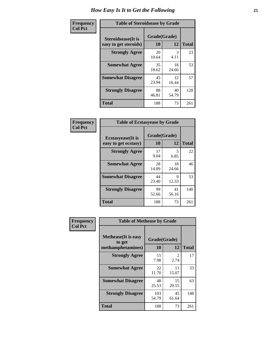| Frequency      | <b>Table of Steroidsease by Grade</b>               |                    |             |              |  |  |  |
|----------------|-----------------------------------------------------|--------------------|-------------|--------------|--|--|--|
| <b>Col Pct</b> | <b>Steroidsease</b> (It is<br>easy to get steroids) | Grade(Grade)<br>10 | 12          | <b>Total</b> |  |  |  |
|                | <b>Strongly Agree</b>                               | 20<br>10.64        | 3<br>4.11   | 23           |  |  |  |
|                | <b>Somewhat Agree</b>                               | 35<br>18.62        | 18<br>24.66 | 53           |  |  |  |
|                | <b>Somewhat Disagree</b>                            | 45<br>23.94        | 12<br>16.44 | 57           |  |  |  |
|                | <b>Strongly Disagree</b>                            | 88<br>46.81        | 40<br>54.79 | 128          |  |  |  |
|                | <b>Total</b>                                        | 188                | 73          | 261          |  |  |  |

| Frequency      | <b>Table of Ecstasyease by Grade</b>              |                    |             |              |  |  |  |
|----------------|---------------------------------------------------|--------------------|-------------|--------------|--|--|--|
| <b>Col Pct</b> | <b>Ecstasyease</b> (It is<br>easy to get ecstasy) | Grade(Grade)<br>10 | 12          | <b>Total</b> |  |  |  |
|                | <b>Strongly Agree</b>                             | 17<br>9.04         | 5<br>6.85   | 22           |  |  |  |
|                | <b>Somewhat Agree</b>                             | 28<br>14.89        | 18<br>24.66 | 46           |  |  |  |
|                | <b>Somewhat Disagree</b>                          | 44<br>23.40        | 9<br>12.33  | 53           |  |  |  |
|                | <b>Strongly Disagree</b>                          | 99<br>52.66        | 41<br>56.16 | 140          |  |  |  |
|                | <b>Total</b>                                      | 188                | 73          | 261          |  |  |  |

| Frequency      | <b>Table of Methease by Grade</b>                          |                    |                                     |              |  |  |  |
|----------------|------------------------------------------------------------|--------------------|-------------------------------------|--------------|--|--|--|
| <b>Col Pct</b> | <b>Methease</b> (It is easy<br>to get<br>methamphetamines) | Grade(Grade)<br>10 | 12                                  | <b>Total</b> |  |  |  |
|                | <b>Strongly Agree</b>                                      | 15<br>7.98         | $\mathcal{D}_{\mathcal{L}}$<br>2.74 | 17           |  |  |  |
|                | <b>Somewhat Agree</b>                                      | 22<br>11.70        | 11<br>15.07                         | 33           |  |  |  |
|                | <b>Somewhat Disagree</b>                                   | 48<br>25.53        | 15<br>20.55                         | 63           |  |  |  |
|                | <b>Strongly Disagree</b>                                   | 103<br>54.79       | 45<br>61.64                         | 148          |  |  |  |
|                | Total                                                      | 188                | 73                                  | 261          |  |  |  |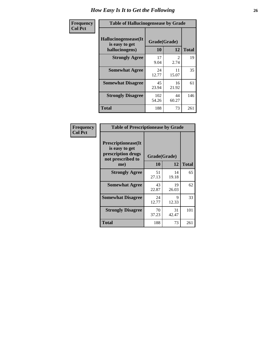| <b>Frequency</b> | <b>Table of Hallucinogensease by Grade</b>               |                    |                       |              |  |  |  |
|------------------|----------------------------------------------------------|--------------------|-----------------------|--------------|--|--|--|
| <b>Col Pct</b>   | Hallucinogensease(It<br>is easy to get<br>hallucinogens) | Grade(Grade)<br>10 | 12                    | <b>Total</b> |  |  |  |
|                  | <b>Strongly Agree</b>                                    | 17<br>9.04         | $\mathcal{L}$<br>2.74 | 19           |  |  |  |
|                  | <b>Somewhat Agree</b>                                    | 24<br>12.77        | 11<br>15.07           | 35           |  |  |  |
|                  | <b>Somewhat Disagree</b>                                 | 45<br>23.94        | 16<br>21.92           | 61           |  |  |  |
|                  | <b>Strongly Disagree</b>                                 | 102<br>54.26       | 44<br>60.27           | 146          |  |  |  |
|                  | <b>Total</b>                                             | 188                | 73                    | 261          |  |  |  |

| Frequency<br>Col Pct |
|----------------------|

| <b>Table of Prescriptionease by Grade</b>                                                |             |              |              |  |  |  |
|------------------------------------------------------------------------------------------|-------------|--------------|--------------|--|--|--|
| <b>Prescriptionease</b> (It<br>is easy to get<br>prescription drugs<br>not prescribed to |             | Grade(Grade) |              |  |  |  |
| me)                                                                                      | 10          | 12           | <b>Total</b> |  |  |  |
| <b>Strongly Agree</b>                                                                    | 51<br>27.13 | 14<br>19.18  | 65           |  |  |  |
| <b>Somewhat Agree</b>                                                                    | 43<br>22.87 | 19<br>26.03  | 62           |  |  |  |
| <b>Somewhat Disagree</b>                                                                 | 24<br>12.77 | Q<br>12.33   | 33           |  |  |  |
| <b>Strongly Disagree</b>                                                                 | 70<br>37.23 | 31<br>42.47  | 101          |  |  |  |
| Total                                                                                    | 188         | 73           | 261          |  |  |  |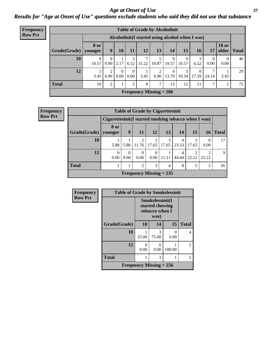#### *Age at Onset of Use* **27** *Results for "Age at Onset of Use" questions exclude students who said they did not use that substance*

| <b>Frequency</b> | <b>Table of Grade by Alcoholinit</b> |                 |                                                 |                  |                  |            |                                |            |            |            |                  |                       |              |
|------------------|--------------------------------------|-----------------|-------------------------------------------------|------------------|------------------|------------|--------------------------------|------------|------------|------------|------------------|-----------------------|--------------|
| <b>Row Pct</b>   |                                      |                 | Alcoholinit(I started using alcohol when I was) |                  |                  |            |                                |            |            |            |                  |                       |              |
|                  | Grade(Grade)                         | 8 or<br>younger | 9                                               | 10               | 11               | 12         | 13                             | 14         | 15         | 16         | 17               | <b>18 or</b><br>older | <b>Total</b> |
|                  | 10                                   | 9<br>19.57      | $\Omega$<br>0.00                                | 2.17             | 3<br>6.52        | ⇁<br>15.22 | 10.87                          | 9<br>19.57 | 9<br>19.57 | 3<br>6.52  | $\theta$<br>0.00 | $\theta$<br>0.00      | 46           |
|                  | 12                                   | 3.45            | 2<br>6.90                                       | $\theta$<br>0.00 | $\theta$<br>0.00 | 3.45       | 2<br>6.90                      | 4<br>13.79 | 3<br>10.34 | 8<br>27.59 | 7<br>24.14       | 3.45                  | 29           |
|                  | <b>Total</b>                         | 10              | 2                                               |                  | 3                | 8          | 7                              | 13         | 12         | 11         | 7                |                       | 75           |
|                  |                                      |                 |                                                 |                  |                  |            | <b>Frequency Missing = 186</b> |            |            |            |                  |                       |              |

| <b>Frequency</b> | <b>Table of Grade by Cigarettesinit</b>                 |                                                       |           |                  |                           |       |            |            |            |              |
|------------------|---------------------------------------------------------|-------------------------------------------------------|-----------|------------------|---------------------------|-------|------------|------------|------------|--------------|
| <b>Row Pct</b>   |                                                         | Cigarettesinit (I started smoking tobacco when I was) |           |                  |                           |       |            |            |            |              |
|                  | Grade(Grade)                                            | 8 or<br>younger                                       | 9         | <b>11</b>        | <b>12</b>                 | 13    | <b>14</b>  | 15         | 16         | <b>Total</b> |
|                  | 10                                                      | 5.88                                                  | 5.88      | 2<br>11.76       | 3<br>17.65                | 17.65 | 4<br>23.53 | 3<br>17.65 | 0.00       | 17           |
|                  | 12                                                      | $\Omega$<br>0.00                                      | 0<br>0.00 | $\Omega$<br>0.00 | $\Omega$<br>$0.00\,$      | 11.11 | 4<br>44.44 | າ<br>22.22 | ◠<br>22.22 | $\mathbf Q$  |
|                  | <b>Total</b><br>3<br>5<br>$\overline{2}$<br>8<br>റ<br>4 |                                                       |           |                  |                           |       |            |            |            |              |
|                  |                                                         |                                                       |           |                  | Frequency Missing $= 235$ |       |            |            |            |              |

| Frequency      | <b>Table of Grade by Smokelessinit</b> |                                                      |            |           |              |  |  |
|----------------|----------------------------------------|------------------------------------------------------|------------|-----------|--------------|--|--|
| <b>Row Pct</b> |                                        | Smokelessinit(I<br>started chewing<br>tobacco when I |            |           |              |  |  |
|                | Grade(Grade)                           | 10                                                   | 14         | 15        | <b>Total</b> |  |  |
|                | 10                                     | 25.00                                                | 3<br>75.00 | 0<br>0.00 | 4            |  |  |
|                | 12                                     | 0<br>0.00                                            | 0<br>0.00  | 100.00    |              |  |  |
|                | <b>Total</b>                           |                                                      | 3          |           | 5            |  |  |
|                |                                        | Frequency Missing $= 256$                            |            |           |              |  |  |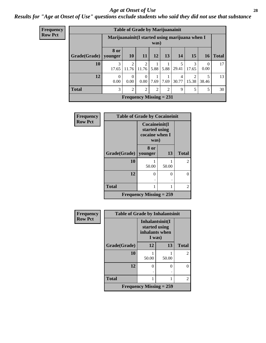#### *Age at Onset of Use* **28**

### *Results for "Age at Onset of Use" questions exclude students who said they did not use that substance*

| <b>Frequency</b> |                        | <b>Table of Grade by Marijuanainit</b>                  |                         |                           |                |                |                   |                         |                  |            |  |
|------------------|------------------------|---------------------------------------------------------|-------------------------|---------------------------|----------------|----------------|-------------------|-------------------------|------------------|------------|--|
| <b>Row Pct</b>   |                        | Marijuanainit (I started using marijuana when I<br>was) |                         |                           |                |                |                   |                         |                  |            |  |
|                  | Grade(Grade)   younger | <b>8 or</b>                                             | <b>10</b>               | 11                        | 12             | 13             | <b>14</b>         | 15                      |                  | $16$ Total |  |
|                  | 10                     | 3<br>17.65                                              | $\overline{2}$<br>11.76 | 2<br>$11.76 \mid 5.88$    |                |                | 5<br>5.88   29.41 | 3<br>17.65              | $\Omega$<br>0.00 | 17         |  |
|                  | 12                     | $\Omega$<br>0.00                                        | $\Omega$<br>0.00        | $\Omega$<br>0.00          | 7.69           | 7.69           | 4<br>30.77        | $\mathfrak{D}$<br>15.38 | 38.46            | 13         |  |
|                  | <b>Total</b>           | 3                                                       | $\mathfrak{D}$          | $\overline{2}$            | $\overline{2}$ | $\overline{2}$ | 9                 | 5                       | 5                | 30         |  |
|                  |                        |                                                         |                         | Frequency Missing $= 231$ |                |                |                   |                         |                  |            |  |

| Frequency      | <b>Table of Grade by Cocaineinit</b> |                                |                                                          |                |  |
|----------------|--------------------------------------|--------------------------------|----------------------------------------------------------|----------------|--|
| <b>Row Pct</b> |                                      |                                | Cocaineinit(I<br>started using<br>cocaine when I<br>was) |                |  |
|                | Grade(Grade)   younger               | 8 or                           | 13                                                       | <b>Total</b>   |  |
|                | 10                                   | 50.00                          | 50.00                                                    | $\overline{c}$ |  |
|                | 12                                   | 0                              |                                                          |                |  |
|                | <b>Total</b>                         |                                | 2                                                        |                |  |
|                |                                      | <b>Frequency Missing = 259</b> |                                                          |                |  |

| <b>Frequency</b> | <b>Table of Grade by Inhalantsinit</b> |                                                              |        |                |  |  |  |
|------------------|----------------------------------------|--------------------------------------------------------------|--------|----------------|--|--|--|
| <b>Row Pct</b>   |                                        | Inhalantsinit(I<br>started using<br>inhalants when<br>I was) |        |                |  |  |  |
|                  | Grade(Grade)                           | 12                                                           | 13     | <b>Total</b>   |  |  |  |
|                  | 10                                     | 50.00                                                        | 50.00  | $\mathfrak{D}$ |  |  |  |
|                  | 12                                     | 0<br>٠                                                       | 0<br>٠ | ∩              |  |  |  |
|                  | <b>Total</b>                           |                                                              |        | $\overline{2}$ |  |  |  |
|                  |                                        | <b>Frequency Missing = 259</b>                               |        |                |  |  |  |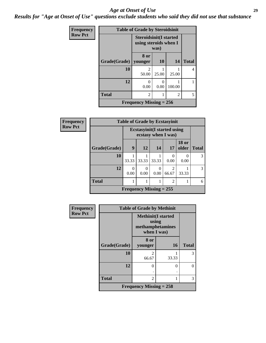#### *Age at Onset of Use* **29**

*Results for "Age at Onset of Use" questions exclude students who said they did not use that substance*

| Frequency      | <b>Table of Grade by Steroidsinit</b> |                                                                |                       |                |              |
|----------------|---------------------------------------|----------------------------------------------------------------|-----------------------|----------------|--------------|
| <b>Row Pct</b> |                                       | <b>Steroidsinit(I started</b><br>using steroids when I<br>was) |                       |                |              |
|                | Grade(Grade)   younger                | 8 or                                                           | <b>10</b>             | 14             | <b>Total</b> |
|                | 10                                    | 2<br>50.00                                                     | 25.00                 | 25.00          | 4            |
|                | 12                                    | 0<br>0.00                                                      | $\mathcal{O}$<br>0.00 | 100.00         |              |
|                | <b>Total</b>                          | 2                                                              |                       | $\overline{2}$ | 5            |
|                |                                       | Frequency Missing $= 256$                                      |                       |                |              |

| Frequency      | <b>Table of Grade by Ecstasyinit</b> |                           |                                                            |           |                                   |                       |              |
|----------------|--------------------------------------|---------------------------|------------------------------------------------------------|-----------|-----------------------------------|-----------------------|--------------|
| <b>Row Pct</b> |                                      |                           | <b>Ecstasyinit</b> (I started using<br>ecstasy when I was) |           |                                   |                       |              |
|                | Grade(Grade)                         | 9                         | 12                                                         | 14        | 17                                | <b>18 or</b><br>older | <b>Total</b> |
|                | 10                                   | 33.33                     | 33.33                                                      | 33.33     | 0<br>0.00                         | 0.00                  | 3            |
|                | 12                                   | $\Omega$<br>0.00          | 0<br>0.00                                                  | 0<br>0.00 | $\overline{\mathcal{L}}$<br>66.67 | 33.33                 | 3            |
|                | <b>Total</b>                         |                           |                                                            |           | $\overline{2}$                    |                       | 6            |
|                |                                      | Frequency Missing $= 255$ |                                                            |           |                                   |                       |              |

| Frequency      | <b>Table of Grade by Methinit</b> |                                                                       |           |              |  |
|----------------|-----------------------------------|-----------------------------------------------------------------------|-----------|--------------|--|
| <b>Row Pct</b> |                                   | <b>Methinit(I started</b><br>using<br>methamphetamines<br>when I was) |           |              |  |
|                | Grade(Grade)                      | 8 or<br>younger                                                       | <b>16</b> | <b>Total</b> |  |
|                | 10                                | 2<br>66.67                                                            | 33.33     | 3            |  |
|                | 12                                | $\overline{0}$                                                        | 0         | 0            |  |
|                | <b>Total</b>                      | $\overline{2}$                                                        |           | 3            |  |
|                |                                   | Frequency Missing $= 258$                                             |           |              |  |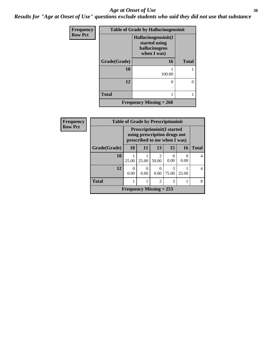#### Age at Onset of Use **30**

*Results for "Age at Onset of Use" questions exclude students who said they did not use that substance*

| Frequency      | <b>Table of Grade by Hallucinogensinit</b> |                                                                      |              |  |
|----------------|--------------------------------------------|----------------------------------------------------------------------|--------------|--|
| <b>Row Pct</b> |                                            | Hallucinogensinit(I<br>started using<br>hallucinogens<br>when I was) |              |  |
|                | Grade(Grade)                               | 16                                                                   | <b>Total</b> |  |
|                | 10                                         | 100.00                                                               |              |  |
|                | 12                                         | 0<br>٠                                                               | 0            |  |
|                | <b>Total</b>                               | 1                                                                    |              |  |
|                |                                            | <b>Frequency Missing = 260</b>                                       |              |  |

| Frequency      | <b>Table of Grade by Prescriptioninit</b> |                                                                                                    |       |                         |            |       |              |
|----------------|-------------------------------------------|----------------------------------------------------------------------------------------------------|-------|-------------------------|------------|-------|--------------|
| <b>Row Pct</b> |                                           | <b>Prescriptioninit (I started</b><br>using prescription drugs not<br>prescribed to me when I was) |       |                         |            |       |              |
|                | Grade(Grade)                              | <b>10</b>                                                                                          | 11    | 13                      | 15         | 16    | <b>Total</b> |
|                | 10                                        | 25.00                                                                                              | 25.00 | $\mathfrak{D}$<br>50.00 | 0.00       | 0.00  | 4            |
|                | 12                                        | 0.00                                                                                               | 0.00  | 0.00                    | 3<br>75.00 | 25.00 | 4            |
|                | <b>Total</b>                              |                                                                                                    | 1     | $\mathfrak{D}$          | 3          |       | 8            |
|                |                                           | Frequency Missing $= 253$                                                                          |       |                         |            |       |              |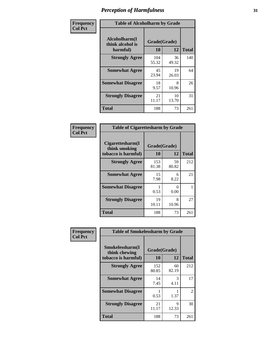| Frequency      | <b>Table of Alcoholharm by Grade</b>          |                    |             |              |
|----------------|-----------------------------------------------|--------------------|-------------|--------------|
| <b>Col Pct</b> | Alcoholharm(I<br>think alcohol is<br>harmful) | Grade(Grade)<br>10 | 12          | <b>Total</b> |
|                | <b>Strongly Agree</b>                         | 104<br>55.32       | 36<br>49.32 | 140          |
|                | <b>Somewhat Agree</b>                         | 45<br>23.94        | 19<br>26.03 | 64           |
|                | <b>Somewhat Disagree</b>                      | 18<br>9.57         | 8<br>10.96  | 26           |
|                | <b>Strongly Disagree</b>                      | 21<br>11.17        | 10<br>13.70 | 31           |
|                | <b>Total</b>                                  | 188                | 73          | 261          |

|                                                          | <b>Table of Cigarettesharm by Grade</b> |             |              |  |  |  |
|----------------------------------------------------------|-----------------------------------------|-------------|--------------|--|--|--|
| Cigarettesharm(I<br>think smoking<br>tobacco is harmful) | Grade(Grade)<br>10                      | 12          | <b>Total</b> |  |  |  |
| <b>Strongly Agree</b>                                    | 153<br>81.38                            | 59<br>80.82 | 212          |  |  |  |
| <b>Somewhat Agree</b>                                    | 15<br>7.98                              | 6<br>8.22   | 21           |  |  |  |
| <b>Somewhat Disagree</b>                                 | 1<br>0.53                               | 0<br>0.00   | 1            |  |  |  |
| <b>Strongly Disagree</b>                                 | 19<br>10.11                             | 8<br>10.96  | 27           |  |  |  |
| <b>Total</b>                                             | 188                                     | 73          | 261          |  |  |  |

| Frequency      | <b>Table of Smokelessharm by Grade</b>                  |                           |             |               |
|----------------|---------------------------------------------------------|---------------------------|-------------|---------------|
| <b>Col Pct</b> | Smokelessharm(I<br>think chewing<br>tobacco is harmful) | Grade(Grade)<br><b>10</b> | 12          | <b>Total</b>  |
|                | <b>Strongly Agree</b>                                   | 152<br>80.85              | 60<br>82.19 | 212           |
|                | <b>Somewhat Agree</b>                                   | 14<br>7.45                | 3<br>4.11   | 17            |
|                | <b>Somewhat Disagree</b>                                | 0.53                      | 1.37        | $\mathcal{L}$ |
|                | <b>Strongly Disagree</b>                                | 21<br>11.17               | 9<br>12.33  | 30            |
|                | <b>Total</b>                                            | 188                       | 73          | 261           |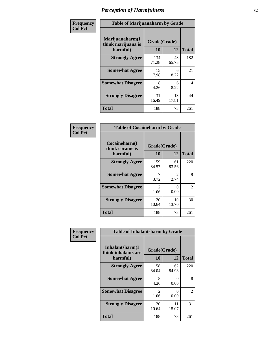| Frequency      | <b>Table of Marijuanaharm by Grade</b>            |                    |             |              |  |
|----------------|---------------------------------------------------|--------------------|-------------|--------------|--|
| <b>Col Pct</b> | Marijuanaharm(I<br>think marijuana is<br>harmful) | Grade(Grade)<br>10 | 12          | <b>Total</b> |  |
|                | <b>Strongly Agree</b>                             | 134<br>71.28       | 48<br>65.75 | 182          |  |
|                | <b>Somewhat Agree</b>                             | 15<br>7.98         | 6<br>8.22   | 21           |  |
|                | <b>Somewhat Disagree</b>                          | 8<br>4.26          | 6<br>8.22   | 14           |  |
|                | <b>Strongly Disagree</b>                          | 31<br>16.49        | 13<br>17.81 | 44           |  |
|                | <b>Total</b>                                      | 188                | 73          | 261          |  |

| <b>Table of Cocaineharm by Grade</b>          |                    |                                     |              |  |  |
|-----------------------------------------------|--------------------|-------------------------------------|--------------|--|--|
| Cocaineharm(I<br>think cocaine is<br>harmful) | Grade(Grade)<br>10 | 12                                  | <b>Total</b> |  |  |
| <b>Strongly Agree</b>                         | 159<br>84.57       | 61<br>83.56                         | 220          |  |  |
| <b>Somewhat Agree</b>                         | 7<br>3.72          | $\mathcal{D}_{\mathcal{L}}$<br>2.74 | 9            |  |  |
| <b>Somewhat Disagree</b>                      | 2<br>1.06          | 0<br>0.00                           | 2            |  |  |
| <b>Strongly Disagree</b>                      | 20<br>10.64        | 10<br>13.70                         | 30           |  |  |
| Total                                         | 188                | 73                                  | 261          |  |  |

| Frequency      | <b>Table of Inhalantsharm by Grade</b>              |                    |             |              |
|----------------|-----------------------------------------------------|--------------------|-------------|--------------|
| <b>Col Pct</b> | Inhalantsharm(I)<br>think inhalants are<br>harmful) | Grade(Grade)<br>10 | 12          | <b>Total</b> |
|                | <b>Strongly Agree</b>                               | 158<br>84.04       | 62<br>84.93 | 220          |
|                | <b>Somewhat Agree</b>                               | 8<br>4.26          | 0<br>0.00   | 8            |
|                | <b>Somewhat Disagree</b>                            | 2<br>1.06          | 0<br>0.00   | 2            |
|                | <b>Strongly Disagree</b>                            | 20<br>10.64        | 11<br>15.07 | 31           |
|                | <b>Total</b>                                        | 188                | 73          | 261          |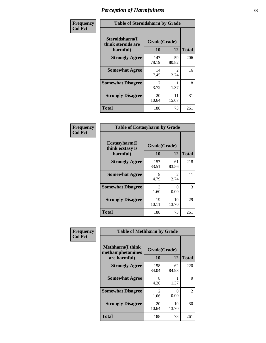| Frequency      | <b>Table of Steroidsharm by Grade</b>            |                    |                        |              |
|----------------|--------------------------------------------------|--------------------|------------------------|--------------|
| <b>Col Pct</b> | Steroidsharm(I<br>think steroids are<br>harmful) | Grade(Grade)<br>10 | 12                     | <b>Total</b> |
|                | <b>Strongly Agree</b>                            | 147<br>78.19       | 59<br>80.82            | 206          |
|                | <b>Somewhat Agree</b>                            | 14<br>7.45         | $\mathfrak{D}$<br>2.74 | 16           |
|                | <b>Somewhat Disagree</b>                         | 3.72               | 1.37                   | 8            |
|                | <b>Strongly Disagree</b>                         | 20<br>10.64        | 11<br>15.07            | 31           |
|                | <b>Total</b>                                     | 188                | 73                     | 261          |

| <b>Table of Ecstasyharm by Grade</b>                |                    |                        |     |  |  |
|-----------------------------------------------------|--------------------|------------------------|-----|--|--|
| $E$ cstasyharm $(I$<br>think ecstasy is<br>harmful) | Grade(Grade)<br>10 | <b>Total</b>           |     |  |  |
| <b>Strongly Agree</b>                               | 157<br>83.51       | 61<br>83.56            | 218 |  |  |
| <b>Somewhat Agree</b>                               | 9<br>4.79          | $\mathfrak{D}$<br>2.74 | 11  |  |  |
| <b>Somewhat Disagree</b>                            | 3<br>1.60          | 0<br>0.00              | 3   |  |  |
| <b>Strongly Disagree</b>                            | 19<br>10.11        | 10<br>13.70            | 29  |  |  |
| <b>Total</b>                                        | 188                | 73                     | 261 |  |  |

| Frequency      | <b>Table of Methharm by Grade</b>                            |                        |                           |              |
|----------------|--------------------------------------------------------------|------------------------|---------------------------|--------------|
| <b>Col Pct</b> | <b>Methharm</b> (I think<br>methamphetamines<br>are harmful) | Grade(Grade)<br>10     | 12                        | <b>Total</b> |
|                | <b>Strongly Agree</b>                                        | 158<br>84.04           | 62<br>84.93               | 220          |
|                | <b>Somewhat Agree</b>                                        | 8<br>4.26              | 1.37                      | 9            |
|                | <b>Somewhat Disagree</b>                                     | $\mathfrak{D}$<br>1.06 | $\mathbf{\Omega}$<br>0.00 | 2            |
|                | <b>Strongly Disagree</b>                                     | 20<br>10.64            | 10<br>13.70               | 30           |
|                | <b>Total</b>                                                 | 188                    | 73                        | 261          |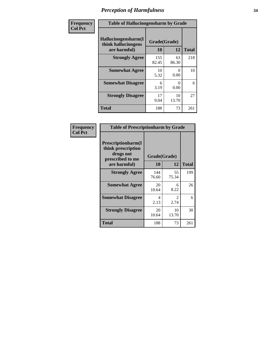| Frequency      | <b>Table of Hallucinogensharm by Grade</b>                 |                    |             |              |
|----------------|------------------------------------------------------------|--------------------|-------------|--------------|
| <b>Col Pct</b> | Hallucinogensharm(I<br>think hallucinogens<br>are harmful) | Grade(Grade)<br>10 | 12          | <b>Total</b> |
|                | <b>Strongly Agree</b>                                      | 155<br>82.45       | 63<br>86.30 | 218          |
|                | <b>Somewhat Agree</b>                                      | 10<br>5.32         | 0<br>0.00   | 10           |
|                | <b>Somewhat Disagree</b>                                   | 6<br>3.19          | 0<br>0.00   | 6            |
|                | <b>Strongly Disagree</b>                                   | 17<br>9.04         | 10<br>13.70 | 27           |
|                | <b>Total</b>                                               | 188                | 73          | 261          |

| <b>Table of Prescriptionharm by Grade</b>                                 |              |                               |              |  |
|---------------------------------------------------------------------------|--------------|-------------------------------|--------------|--|
| Prescriptionharm(I<br>think prescription<br>drugs not<br>prescribed to me | 10           | Grade(Grade)<br>12            | <b>Total</b> |  |
| are harmful)                                                              |              |                               |              |  |
| <b>Strongly Agree</b>                                                     | 144<br>76.60 | 55<br>75.34                   | 199          |  |
| <b>Somewhat Agree</b>                                                     | 20<br>10.64  | 6<br>8.22                     | 26           |  |
| <b>Somewhat Disagree</b>                                                  | 4<br>2.13    | $\mathcal{D}_{\cdot}$<br>2.74 | 6            |  |
| <b>Strongly Disagree</b>                                                  | 20<br>10.64  | 10<br>13.70                   | 30           |  |
| Total                                                                     | 188          | 73                            | 261          |  |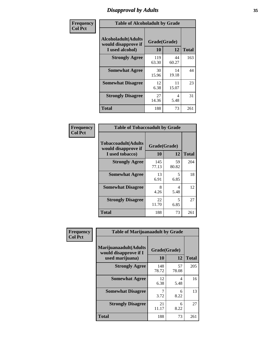### *Disapproval by Adults* **35**

| Frequency      | <b>Table of Alcoholadult by Grade</b>                                 |                    |             |              |
|----------------|-----------------------------------------------------------------------|--------------------|-------------|--------------|
| <b>Col Pct</b> | <b>Alcoholadult</b> (Adults<br>would disapprove if<br>I used alcohol) | Grade(Grade)<br>10 | 12          | <b>Total</b> |
|                | <b>Strongly Agree</b>                                                 | 119<br>63.30       | 44<br>60.27 | 163          |
|                | <b>Somewhat Agree</b>                                                 | 30<br>15.96        | 14<br>19.18 | 44           |
|                | <b>Somewhat Disagree</b>                                              | 12<br>6.38         | 11<br>15.07 | 23           |
|                | <b>Strongly Disagree</b>                                              | 27<br>14.36        | 4<br>5.48   | 31           |
|                | <b>Total</b>                                                          | 188                | 73          | 261          |

| <b>Table of Tobaccoadult by Grade</b>                                |                    |             |              |  |
|----------------------------------------------------------------------|--------------------|-------------|--------------|--|
| <b>Tobaccoadult(Adults</b><br>would disapprove if<br>I used tobacco) | Grade(Grade)<br>10 | 12          | <b>Total</b> |  |
| <b>Strongly Agree</b>                                                | 145<br>77.13       | 59<br>80.82 | 204          |  |
| <b>Somewhat Agree</b>                                                | 13<br>6.91         | 5<br>6.85   | 18           |  |
| <b>Somewhat Disagree</b>                                             | 8<br>4.26          | 4<br>5.48   | 12           |  |
| <b>Strongly Disagree</b>                                             | 22<br>11.70        | 5<br>6.85   | 27           |  |
| Total                                                                | 188                | 73          | 261          |  |

| Frequency      | <b>Table of Marijuanaadult by Grade</b>                           |                    |             |              |
|----------------|-------------------------------------------------------------------|--------------------|-------------|--------------|
| <b>Col Pct</b> | Marijuanaadult(Adults<br>would disapprove if I<br>used marijuana) | Grade(Grade)<br>10 | 12          | <b>Total</b> |
|                | <b>Strongly Agree</b>                                             | 148<br>78.72       | 57<br>78.08 | 205          |
|                | <b>Somewhat Agree</b>                                             | 12<br>6.38         | 4<br>5.48   | 16           |
|                | <b>Somewhat Disagree</b>                                          | 7<br>3.72          | 6<br>8.22   | 13           |
|                | <b>Strongly Disagree</b>                                          | 21<br>11.17        | 6<br>8.22   | 27           |
|                | <b>Total</b>                                                      | 188                | 73          | 261          |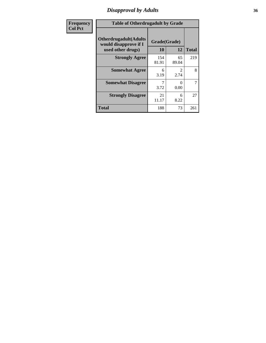### *Disapproval by Adults* **36**

| <b>Frequency</b> | <b>Table of Otherdrugadult by Grade</b>                                     |                    |                        |              |
|------------------|-----------------------------------------------------------------------------|--------------------|------------------------|--------------|
| <b>Col Pct</b>   | <b>Otherdrugadult</b> (Adults<br>would disapprove if I<br>used other drugs) | Grade(Grade)<br>10 | 12                     | <b>Total</b> |
|                  | <b>Strongly Agree</b>                                                       | 154<br>81.91       | 65<br>89.04            | 219          |
|                  | <b>Somewhat Agree</b>                                                       | 6<br>3.19          | $\mathfrak{D}$<br>2.74 | 8            |
|                  | <b>Somewhat Disagree</b>                                                    | 3.72               | 0<br>0.00              | 7            |
|                  | <b>Strongly Disagree</b>                                                    | 21<br>11.17        | 6<br>8.22              | 27           |
|                  | <b>Total</b>                                                                | 188                | 73                     | 261          |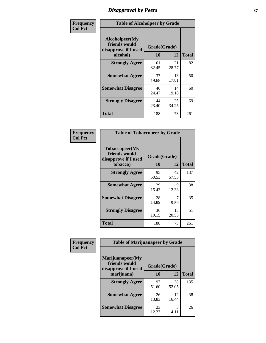# *Disapproval by Peers* **37**

| Frequency      | <b>Table of Alcoholpeer by Grade</b>                    |              |             |              |  |
|----------------|---------------------------------------------------------|--------------|-------------|--------------|--|
| <b>Col Pct</b> | Alcoholpeer(My<br>friends would<br>disapprove if I used | Grade(Grade) |             |              |  |
|                | alcohol)                                                | 10           | 12          | <b>Total</b> |  |
|                | <b>Strongly Agree</b>                                   | 61<br>32.45  | 21<br>28.77 | 82           |  |
|                | <b>Somewhat Agree</b>                                   | 37<br>19.68  | 13<br>17.81 | 50           |  |
|                | <b>Somewhat Disagree</b>                                | 46<br>24.47  | 14<br>19.18 | 60           |  |
|                | <b>Strongly Disagree</b>                                | 44<br>23.40  | 25<br>34.25 | 69           |  |
|                | Total                                                   | 188          | 73          | 261          |  |

| Frequency      | <b>Table of Tobaccopeer by Grade</b>                                |                    |             |              |
|----------------|---------------------------------------------------------------------|--------------------|-------------|--------------|
| <b>Col Pct</b> | Tobaccopeer(My<br>friends would<br>disapprove if I used<br>tobacco) | Grade(Grade)<br>10 | 12          | <b>Total</b> |
|                | <b>Strongly Agree</b>                                               | 95<br>50.53        | 42<br>57.53 | 137          |
|                | <b>Somewhat Agree</b>                                               | 29<br>15.43        | 9<br>12.33  | 38           |
|                | <b>Somewhat Disagree</b>                                            | 28<br>14.89        | 7<br>9.59   | 35           |
|                | <b>Strongly Disagree</b>                                            | 36<br>19.15        | 15<br>20.55 | 51           |
|                | Total                                                               | 188                | 73          | 261          |

| Frequency<br><b>Col Pct</b> | <b>Table of Marijuanapeer by Grade</b>                    |              |             |              |
|-----------------------------|-----------------------------------------------------------|--------------|-------------|--------------|
|                             | Marijuanapeer(My<br>friends would<br>disapprove if I used | Grade(Grade) |             |              |
|                             | marijuana)                                                | 10           | 12          | <b>Total</b> |
|                             | <b>Strongly Agree</b>                                     | 97<br>51.60  | 38<br>52.05 | 135          |
|                             | <b>Somewhat Agree</b>                                     | 26<br>13.83  | 12<br>16.44 | 38           |
|                             | <b>Somewhat Disagree</b>                                  | 23<br>12.23  | 3<br>4.11   | 26           |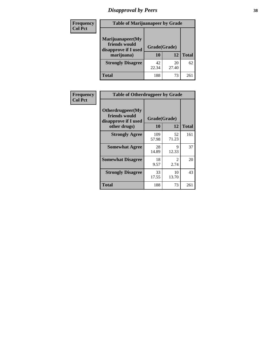# *Disapproval by Peers* **38**

| Frequency<br><b>Col Pct</b> | <b>Table of Marijuanapeer by Grade</b>                                  |                    |             |              |  |
|-----------------------------|-------------------------------------------------------------------------|--------------------|-------------|--------------|--|
|                             | Marijuanapeer(My<br>friends would<br>disapprove if I used<br>marijuana) | Grade(Grade)<br>10 | 12          | <b>Total</b> |  |
|                             | <b>Strongly Disagree</b>                                                | 42<br>22.34        | 20<br>27.40 | 62           |  |
|                             | Total                                                                   | 188                | 73          | 261          |  |

| Frequency      | <b>Table of Otherdrugpeer by Grade</b>                                    |              |                        |              |
|----------------|---------------------------------------------------------------------------|--------------|------------------------|--------------|
| <b>Col Pct</b> | Otherdrugpeer(My<br>friends would<br>disapprove if I used<br>other drugs) | <b>10</b>    | Grade(Grade)<br>12     | <b>Total</b> |
|                | <b>Strongly Agree</b>                                                     | 109<br>57.98 | 52<br>71.23            | 161          |
|                | <b>Somewhat Agree</b>                                                     | 28<br>14.89  | 9<br>12.33             | 37           |
|                | <b>Somewhat Disagree</b>                                                  | 18<br>9.57   | $\mathfrak{D}$<br>2.74 | 20           |
|                | <b>Strongly Disagree</b>                                                  | 33<br>17.55  | 10<br>13.70            | 43           |
|                | Total                                                                     | 188          | 73                     | 261          |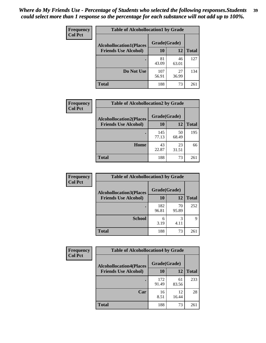| Frequency<br><b>Col Pct</b> | <b>Table of Alcohollocation1 by Grade</b> |              |             |              |
|-----------------------------|-------------------------------------------|--------------|-------------|--------------|
|                             | <b>Alcohollocation1(Places</b>            | Grade(Grade) |             |              |
|                             | <b>Friends Use Alcohol)</b>               | 10           | 12          | <b>Total</b> |
|                             |                                           | 81<br>43.09  | 46<br>63.01 | 127          |
|                             | Do Not Use                                | 107<br>56.91 | 27<br>36.99 | 134          |
|                             | <b>Total</b>                              | 188          | 73          | 261          |

| <b>Frequency</b> | <b>Table of Alcohollocation2 by Grade</b> |              |             |              |
|------------------|-------------------------------------------|--------------|-------------|--------------|
| <b>Col Pct</b>   | <b>Alcohollocation2(Places</b>            | Grade(Grade) |             |              |
|                  | <b>Friends Use Alcohol)</b>               | 10           | 12          | <b>Total</b> |
|                  |                                           | 145<br>77.13 | 50<br>68.49 | 195          |
|                  | Home                                      | 43<br>22.87  | 23<br>31.51 | 66           |
|                  | <b>Total</b>                              | 188          | 73          | 261          |

| Frequency<br><b>Col Pct</b> | <b>Table of Alcohollocation 3 by Grade</b>                    |                    |             |              |
|-----------------------------|---------------------------------------------------------------|--------------------|-------------|--------------|
|                             | <b>Alcohollocation3(Places</b><br><b>Friends Use Alcohol)</b> | Grade(Grade)<br>10 | 12          | <b>Total</b> |
|                             |                                                               | 182<br>96.81       | 70<br>95.89 | 252          |
|                             | <b>School</b>                                                 | 6<br>3.19          | 3<br>4.11   | q            |
|                             | <b>Total</b>                                                  | 188                | 73          | 261          |

| <b>Frequency</b> | <b>Table of Alcohollocation4 by Grade</b> |              |             |              |  |
|------------------|-------------------------------------------|--------------|-------------|--------------|--|
| <b>Col Pct</b>   | <b>Alcohollocation4(Places</b>            | Grade(Grade) |             |              |  |
|                  | <b>Friends Use Alcohol)</b>               | 10           | 12          | <b>Total</b> |  |
|                  |                                           | 172<br>91.49 | 61<br>83.56 | 233          |  |
|                  | Car                                       | 16<br>8.51   | 12<br>16.44 | 28           |  |
|                  | <b>Total</b>                              | 188          | 73          | 261          |  |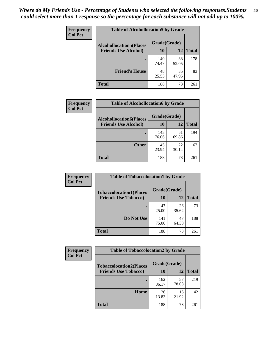| Frequency<br><b>Col Pct</b> | <b>Table of Alcohollocation5 by Grade</b> |              |             |              |  |
|-----------------------------|-------------------------------------------|--------------|-------------|--------------|--|
|                             | <b>Alcohollocation5(Places</b>            | Grade(Grade) |             |              |  |
|                             | <b>Friends Use Alcohol)</b>               | 10           | 12          | <b>Total</b> |  |
|                             |                                           | 140<br>74.47 | 38<br>52.05 | 178          |  |
|                             | <b>Friend's House</b>                     | 48<br>25.53  | 35<br>47.95 | 83           |  |
|                             | <b>Total</b>                              | 188          | 73          | 261          |  |

| <b>Frequency</b> | <b>Table of Alcohollocation6 by Grade</b> |              |             |              |
|------------------|-------------------------------------------|--------------|-------------|--------------|
| <b>Col Pct</b>   | <b>Alcohollocation6(Places</b>            | Grade(Grade) |             |              |
|                  | <b>Friends Use Alcohol)</b>               | 10           | 12          | <b>Total</b> |
|                  |                                           | 143<br>76.06 | 51<br>69.86 | 194          |
|                  | <b>Other</b>                              | 45<br>23.94  | 22<br>30.14 | 67           |
|                  | <b>Total</b>                              | 188          | 73          | 261          |

| <b>Frequency</b> | <b>Table of Tobaccolocation1 by Grade</b> |              |             |              |
|------------------|-------------------------------------------|--------------|-------------|--------------|
| <b>Col Pct</b>   | <b>Tobaccolocation1(Places</b>            | Grade(Grade) |             |              |
|                  | <b>Friends Use Tobacco)</b>               | 10           | 12          | <b>Total</b> |
|                  |                                           | 47<br>25.00  | 26<br>35.62 | 73           |
|                  | Do Not Use                                | 141<br>75.00 | 47<br>64.38 | 188          |
|                  | <b>Total</b>                              | 188          | 73          | 261          |

| <b>Frequency</b> | <b>Table of Tobaccolocation2 by Grade</b> |              |             |              |  |
|------------------|-------------------------------------------|--------------|-------------|--------------|--|
| <b>Col Pct</b>   | <b>Tobaccolocation2(Places</b>            | Grade(Grade) |             |              |  |
|                  | <b>Friends Use Tobacco)</b>               | 10           | 12          | <b>Total</b> |  |
|                  |                                           | 162<br>86.17 | 57<br>78.08 | 219          |  |
|                  | Home                                      | 26<br>13.83  | 16<br>21.92 | 42           |  |
|                  | <b>Total</b>                              | 188          | 73          | 261          |  |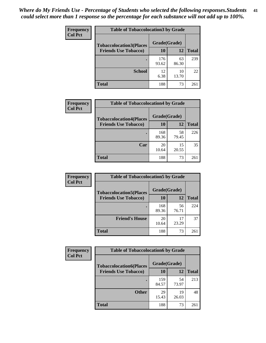| Frequency      | <b>Table of Tobaccolocation 3 by Grade</b> |              |             |              |  |
|----------------|--------------------------------------------|--------------|-------------|--------------|--|
| <b>Col Pct</b> | <b>Tobaccolocation3(Places</b>             | Grade(Grade) |             |              |  |
|                | <b>Friends Use Tobacco)</b>                | 10           | 12          | <b>Total</b> |  |
|                |                                            | 176<br>93.62 | 63<br>86.30 | 239          |  |
|                | <b>School</b>                              | 12<br>6.38   | 10<br>13.70 | 22           |  |
|                | <b>Total</b>                               | 188          | 73          | 261          |  |

| <b>Frequency</b> | <b>Table of Tobaccolocation4 by Grade</b> |              |             |              |
|------------------|-------------------------------------------|--------------|-------------|--------------|
| <b>Col Pct</b>   | <b>Tobaccolocation4(Places</b>            | Grade(Grade) |             |              |
|                  | <b>Friends Use Tobacco)</b>               | 10           | 12          | <b>Total</b> |
|                  |                                           | 168<br>89.36 | 58<br>79.45 | 226          |
|                  | Car                                       | 20<br>10.64  | 15<br>20.55 | 35           |
|                  | <b>Total</b>                              | 188          | 73          | 261          |

| Frequency<br><b>Col Pct</b> | <b>Table of Tobaccolocation5 by Grade</b>                     |                    |             |              |
|-----------------------------|---------------------------------------------------------------|--------------------|-------------|--------------|
|                             | <b>Tobaccolocation5(Places</b><br><b>Friends Use Tobacco)</b> | Grade(Grade)<br>10 | <b>12</b>   | <b>Total</b> |
|                             |                                                               | 168<br>89.36       | 56<br>76.71 | 224          |
|                             | <b>Friend's House</b>                                         | 20<br>10.64        | 17<br>23.29 | 37           |
|                             | <b>Total</b>                                                  | 188                | 73          | 261          |

| <b>Frequency</b> | <b>Table of Tobaccolocation6 by Grade</b> |              |             |              |  |  |
|------------------|-------------------------------------------|--------------|-------------|--------------|--|--|
| <b>Col Pct</b>   | <b>Tobaccolocation6(Places</b>            | Grade(Grade) |             |              |  |  |
|                  | <b>Friends Use Tobacco)</b>               | 10           | 12          | <b>Total</b> |  |  |
|                  |                                           | 159<br>84.57 | 54<br>73.97 | 213          |  |  |
|                  | <b>Other</b>                              | 29<br>15.43  | 19<br>26.03 | 48           |  |  |
|                  | <b>Total</b>                              | 188          | 73          | 261          |  |  |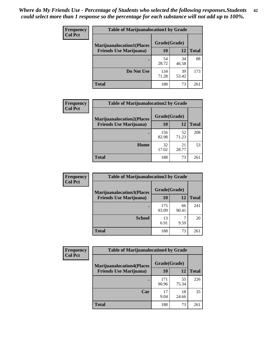| <b>Frequency</b> | <b>Table of Marijuanalocation1 by Grade</b> |              |             |              |
|------------------|---------------------------------------------|--------------|-------------|--------------|
| <b>Col Pct</b>   | <b>Marijuanalocation1(Places</b>            | Grade(Grade) |             |              |
|                  | <b>Friends Use Marijuana</b> )              | 10           | 12          | <b>Total</b> |
|                  |                                             | 54<br>28.72  | 34<br>46.58 | 88           |
|                  | Do Not Use                                  | 134<br>71.28 | 39<br>53.42 | 173          |
|                  | Total                                       | 188          | 73          | 261          |

| <b>Frequency</b> | <b>Table of Marijuanalocation2 by Grade</b>                        |                    |             |              |
|------------------|--------------------------------------------------------------------|--------------------|-------------|--------------|
| <b>Col Pct</b>   | <b>Marijuanalocation2(Places</b><br><b>Friends Use Marijuana</b> ) | Grade(Grade)<br>10 | 12          | <b>Total</b> |
|                  |                                                                    | 156<br>82.98       | 52<br>71.23 | 208          |
|                  | Home                                                               | 32<br>17.02        | 21<br>28.77 | 53           |
|                  | Total                                                              | 188                | 73          | 261          |

| <b>Frequency</b> | <b>Table of Marijuanalocation3 by Grade</b> |              |             |              |
|------------------|---------------------------------------------|--------------|-------------|--------------|
| <b>Col Pct</b>   | <b>Marijuanalocation3</b> (Places           | Grade(Grade) |             |              |
|                  | <b>Friends Use Marijuana</b> )              | 10           | 12          | <b>Total</b> |
|                  |                                             | 175<br>93.09 | 66<br>90.41 | 241          |
|                  | <b>School</b>                               | 13<br>6.91   | 9.59        | 20           |
|                  | <b>Total</b>                                | 188          | 73          | 261          |

| <b>Frequency</b> | <b>Table of Marijuanalocation4 by Grade</b> |              |             |              |  |
|------------------|---------------------------------------------|--------------|-------------|--------------|--|
| <b>Col Pct</b>   | <b>Marijuanalocation4(Places</b>            | Grade(Grade) |             |              |  |
|                  | <b>Friends Use Marijuana</b> )              | 10           | 12          | <b>Total</b> |  |
|                  |                                             | 171<br>90.96 | 55<br>75.34 | 226          |  |
|                  | Car                                         | 17<br>9.04   | 18<br>24.66 | 35           |  |
|                  | <b>Total</b>                                | 188          | 73          | 261          |  |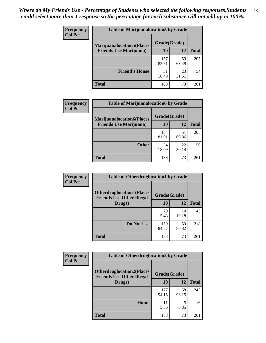| <b>Frequency</b> | <b>Table of Marijuanalocation5 by Grade</b> |              |             |              |
|------------------|---------------------------------------------|--------------|-------------|--------------|
| <b>Col Pct</b>   | <b>Marijuanalocation5</b> (Places           | Grade(Grade) |             |              |
|                  | <b>Friends Use Marijuana</b> )              | 10           | 12          | <b>Total</b> |
|                  |                                             | 157<br>83.51 | 50<br>68.49 | 207          |
|                  | <b>Friend's House</b>                       | 31<br>16.49  | 23<br>31.51 | 54           |
|                  | <b>Total</b>                                | 188          | 73          | 261          |

| <b>Frequency</b> | <b>Table of Marijuanalocation6 by Grade</b>                        |                    |             |              |
|------------------|--------------------------------------------------------------------|--------------------|-------------|--------------|
| <b>Col Pct</b>   | <b>Marijuanalocation6(Places</b><br><b>Friends Use Marijuana</b> ) | Grade(Grade)<br>10 | 12          | <b>Total</b> |
|                  |                                                                    | 154<br>81.91       | 51<br>69.86 | 205          |
|                  | <b>Other</b>                                                       | 34<br>18.09        | 22<br>30.14 | 56           |
|                  | <b>Total</b>                                                       | 188                | 73          | 261          |

| Frequency      | <b>Table of Otherdruglocation1 by Grade</b>                          |              |             |              |
|----------------|----------------------------------------------------------------------|--------------|-------------|--------------|
| <b>Col Pct</b> | <b>Otherdruglocation1(Places</b><br><b>Friends Use Other Illegal</b> | Grade(Grade) |             |              |
|                | Drugs)                                                               | 10           | 12          | <b>Total</b> |
|                |                                                                      | 29<br>15.43  | 14<br>19.18 | 43           |
|                | Do Not Use                                                           | 159<br>84.57 | 59<br>80.82 | 218          |
|                | <b>Total</b>                                                         | 188          | 73          | 261          |

| <b>Frequency</b> | <b>Table of Otherdruglocation2 by Grade</b>                           |              |             |              |
|------------------|-----------------------------------------------------------------------|--------------|-------------|--------------|
| <b>Col Pct</b>   | <b>Otherdruglocation2(Places)</b><br><b>Friends Use Other Illegal</b> | Grade(Grade) |             |              |
|                  | Drugs)                                                                | 10           | 12          | <b>Total</b> |
|                  |                                                                       | 177<br>94.15 | 68<br>93.15 | 245          |
|                  | Home                                                                  | 11<br>5.85   | 5<br>6.85   | 16           |
|                  | <b>Total</b>                                                          | 188          | 73          | 261          |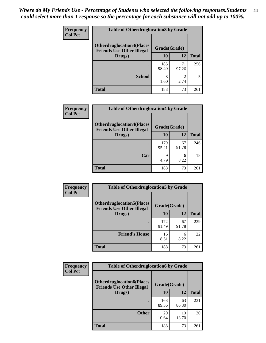| <b>Frequency</b> | <b>Table of Otherdruglocation 3 by Grade</b>                         |              |                        |              |
|------------------|----------------------------------------------------------------------|--------------|------------------------|--------------|
| <b>Col Pct</b>   | <b>Otherdruglocation3(Places</b><br><b>Friends Use Other Illegal</b> | Grade(Grade) |                        |              |
|                  | Drugs)                                                               | 10           | 12                     | <b>Total</b> |
|                  |                                                                      | 185<br>98.40 | 71<br>97.26            | 256          |
|                  | <b>School</b>                                                        | 3<br>1.60    | $\mathfrak{D}$<br>2.74 |              |
|                  | <b>Total</b>                                                         | 188          | 73                     | 261          |

 $\overline{\phantom{a}}$ 

| Frequency      | <b>Table of Otherdruglocation4 by Grade</b>                          |              |             |              |
|----------------|----------------------------------------------------------------------|--------------|-------------|--------------|
| <b>Col Pct</b> | <b>Otherdruglocation4(Places</b><br><b>Friends Use Other Illegal</b> | Grade(Grade) |             |              |
|                | Drugs)                                                               | <b>10</b>    | 12          | <b>Total</b> |
|                |                                                                      | 179<br>95.21 | 67<br>91.78 | 246          |
|                | Car                                                                  | q<br>4.79    | 6<br>8.22   | 15           |
|                | <b>Total</b>                                                         | 188          | 73          | 261          |

| <b>Frequency</b> | <b>Table of Otherdruglocation5 by Grade</b>                          |              |             |              |
|------------------|----------------------------------------------------------------------|--------------|-------------|--------------|
| <b>Col Pct</b>   | <b>Otherdruglocation5(Places</b><br><b>Friends Use Other Illegal</b> | Grade(Grade) |             |              |
|                  | Drugs)                                                               | 10           | 12          | <b>Total</b> |
|                  |                                                                      | 172<br>91.49 | 67<br>91.78 | 239          |
|                  | <b>Friend's House</b>                                                | 16<br>8.51   | 6<br>8.22   | 22           |
|                  | <b>Total</b>                                                         | 188          | 73          | 261          |

| Frequency      | <b>Table of Otherdruglocation6 by Grade</b>                          |              |             |              |
|----------------|----------------------------------------------------------------------|--------------|-------------|--------------|
| <b>Col Pct</b> | <b>Otherdruglocation6(Places</b><br><b>Friends Use Other Illegal</b> | Grade(Grade) |             |              |
|                | Drugs)                                                               | 10           | 12          | <b>Total</b> |
|                |                                                                      | 168<br>89.36 | 63<br>86.30 | 231          |
|                | <b>Other</b>                                                         | 20<br>10.64  | 10<br>13.70 | 30           |
|                | <b>Total</b>                                                         | 188          | 73          | 261          |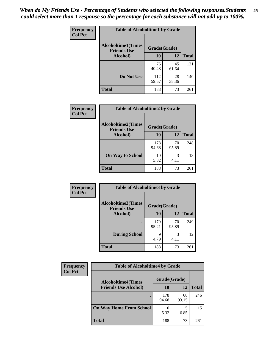| Frequency      | <b>Table of Alcoholtime1 by Grade</b>           |              |             |              |
|----------------|-------------------------------------------------|--------------|-------------|--------------|
| <b>Col Pct</b> | <b>Alcoholtime1(Times</b><br><b>Friends Use</b> | Grade(Grade) |             |              |
|                | Alcohol)                                        | <b>10</b>    | 12          | <b>Total</b> |
|                |                                                 | 76<br>40.43  | 45<br>61.64 | 121          |
|                | Do Not Use                                      | 112<br>59.57 | 28<br>38.36 | 140          |
|                | <b>Total</b>                                    | 188          | 73          | 261          |

| Frequency      | <b>Table of Alcoholtime2 by Grade</b>           |              |             |              |
|----------------|-------------------------------------------------|--------------|-------------|--------------|
| <b>Col Pct</b> | <b>Alcoholtime2(Times</b><br><b>Friends Use</b> | Grade(Grade) |             |              |
|                | Alcohol)                                        | 10           | 12          | <b>Total</b> |
|                |                                                 | 178<br>94.68 | 70<br>95.89 | 248          |
|                | <b>On Way to School</b>                         | 10<br>5.32   | 3<br>4.11   | 13           |
|                | <b>Total</b>                                    | 188          | 73          | 261          |

| Frequency      | <b>Table of Alcoholtime3 by Grade</b>           |              |             |              |
|----------------|-------------------------------------------------|--------------|-------------|--------------|
| <b>Col Pct</b> | <b>Alcoholtime3(Times</b><br><b>Friends Use</b> | Grade(Grade) |             |              |
|                | Alcohol)                                        | 10           | 12          | <b>Total</b> |
|                |                                                 | 179<br>95.21 | 70<br>95.89 | 249          |
|                | <b>During School</b>                            | 9<br>4.79    | 3<br>4.11   | 12           |
|                | <b>Total</b>                                    | 188          | 73          | 261          |

| <b>Frequency</b> | <b>Table of Alcoholtime4 by Grade</b> |              |             |              |
|------------------|---------------------------------------|--------------|-------------|--------------|
| <b>Col Pct</b>   | <b>Alcoholtime4(Times</b>             | Grade(Grade) |             |              |
|                  | <b>Friends Use Alcohol)</b>           | 10           | 12          | <b>Total</b> |
|                  | ٠                                     | 178<br>94.68 | 68<br>93.15 | 246          |
|                  | <b>On Way Home From School</b>        | 10<br>5.32   | 6.85        | 15           |
|                  | <b>Total</b>                          | 188          | 73          | 261          |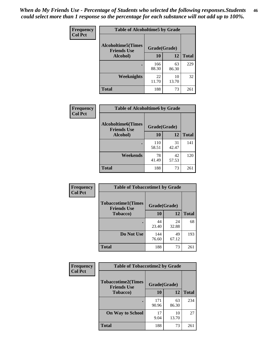*When do My Friends Use - Percentage of Students who selected the following responses.Students could select more than 1 response so the percentage for each substance will not add up to 100%.* **46**

| <b>Frequency</b> | <b>Table of Alcoholtime5 by Grade</b>           |              |             |              |
|------------------|-------------------------------------------------|--------------|-------------|--------------|
| <b>Col Pct</b>   | <b>Alcoholtime5(Times</b><br><b>Friends Use</b> | Grade(Grade) |             |              |
|                  | Alcohol)                                        | 10           | 12          | <b>Total</b> |
|                  | ٠                                               | 166<br>88.30 | 63<br>86.30 | 229          |
|                  | Weeknights                                      | 22<br>11.70  | 10<br>13.70 | 32           |
|                  | <b>Total</b>                                    | 188          | 73          | 261          |

| Frequency      | <b>Table of Alcoholtime6 by Grade</b>           |              |             |              |
|----------------|-------------------------------------------------|--------------|-------------|--------------|
| <b>Col Pct</b> | <b>Alcoholtime6(Times</b><br><b>Friends Use</b> | Grade(Grade) |             |              |
|                | Alcohol)                                        | 10           | 12          | <b>Total</b> |
|                |                                                 | 110<br>58.51 | 31<br>42.47 | 141          |
|                | Weekends                                        | 78<br>41.49  | 42<br>57.53 | 120          |
|                | <b>Total</b>                                    | 188          | 73          | 261          |

| <b>Frequency</b><br><b>Col Pct</b> | <b>Table of Tobaccotime1 by Grade</b>           |              |              |              |
|------------------------------------|-------------------------------------------------|--------------|--------------|--------------|
|                                    | <b>Tobaccotime1(Times</b><br><b>Friends Use</b> |              | Grade(Grade) |              |
|                                    | <b>Tobacco</b> )                                | 10           | 12           | <b>Total</b> |
|                                    |                                                 | 44<br>23.40  | 24<br>32.88  | 68           |
|                                    | Do Not Use                                      | 144<br>76.60 | 49<br>67.12  | 193          |
|                                    | <b>Total</b>                                    | 188          | 73           | 261          |

| <b>Frequency</b> | <b>Table of Tobaccotime2 by Grade</b>                           |              |             |              |  |
|------------------|-----------------------------------------------------------------|--------------|-------------|--------------|--|
| <b>Col Pct</b>   | <b>Tobaccotime2(Times</b><br>Grade(Grade)<br><b>Friends Use</b> |              |             |              |  |
|                  | <b>Tobacco</b> )                                                | 10           | 12          | <b>Total</b> |  |
|                  |                                                                 | 171<br>90.96 | 63<br>86.30 | 234          |  |
|                  | <b>On Way to School</b>                                         | 17<br>9.04   | 10<br>13.70 | 27           |  |
|                  | Total                                                           | 188          | 73          | 261          |  |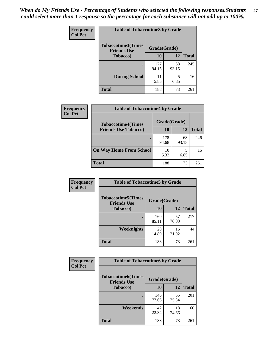*When do My Friends Use - Percentage of Students who selected the following responses.Students could select more than 1 response so the percentage for each substance will not add up to 100%.* **47**

| <b>Frequency</b> | <b>Table of Tobaccotime3 by Grade</b>           |              |              |              |  |
|------------------|-------------------------------------------------|--------------|--------------|--------------|--|
| <b>Col Pct</b>   | <b>Tobaccotime3(Times</b><br><b>Friends Use</b> |              | Grade(Grade) |              |  |
|                  | <b>Tobacco</b> )                                | 10           | 12           | <b>Total</b> |  |
|                  |                                                 | 177<br>94.15 | 68<br>93.15  | 245          |  |
|                  | <b>During School</b>                            | 11<br>5.85   | 5<br>6.85    | 16           |  |
|                  | <b>Total</b>                                    | 188          | 73           | 261          |  |

| Frequency<br><b>Col Pct</b> | <b>Table of Tobaccotime4 by Grade</b> |              |             |              |
|-----------------------------|---------------------------------------|--------------|-------------|--------------|
|                             | <b>Tobaccotime4(Times</b>             | Grade(Grade) |             |              |
|                             | <b>Friends Use Tobacco)</b>           | 10           | 12          | <b>Total</b> |
|                             |                                       | 178<br>94.68 | 68<br>93.15 | 246          |
|                             | <b>On Way Home From School</b>        | 10<br>5.32   | 6.85        | 15           |
|                             | Total                                 | 188          | 73          | 261          |

| <b>Frequency</b> | <b>Table of Tobaccotime5 by Grade</b>           |              |             |              |
|------------------|-------------------------------------------------|--------------|-------------|--------------|
| <b>Col Pct</b>   | <b>Tobaccotime5(Times</b><br><b>Friends Use</b> | Grade(Grade) |             |              |
|                  | <b>Tobacco</b> )                                | 10           | 12          | <b>Total</b> |
|                  |                                                 | 160<br>85.11 | 57<br>78.08 | 217          |
|                  | Weeknights                                      | 28<br>14.89  | 16<br>21.92 | 44           |
|                  | <b>Total</b>                                    | 188          | 73          | 261          |

| Frequency<br><b>Col Pct</b> | <b>Table of Tobaccotime6 by Grade</b><br><b>Tobaccotime6(Times</b><br>Grade(Grade)<br><b>Friends Use</b> |              |             |              |
|-----------------------------|----------------------------------------------------------------------------------------------------------|--------------|-------------|--------------|
|                             |                                                                                                          |              |             |              |
|                             | <b>Tobacco</b> )                                                                                         | 10           | 12          | <b>Total</b> |
|                             |                                                                                                          | 146<br>77.66 | 55<br>75.34 | 201          |
|                             | Weekends                                                                                                 | 42<br>22.34  | 18<br>24.66 | 60           |
|                             | <b>Total</b>                                                                                             | 188          | 73          | 261          |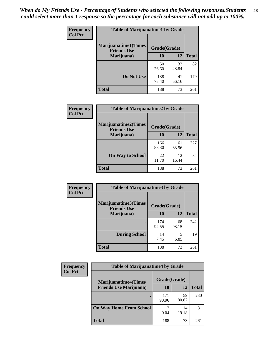| Frequency      | <b>Table of Marijuanatime1 by Grade</b>           |              |             |              |  |
|----------------|---------------------------------------------------|--------------|-------------|--------------|--|
| <b>Col Pct</b> | <b>Marijuanatime1(Times</b><br><b>Friends Use</b> | Grade(Grade) |             |              |  |
|                | Marijuana)                                        | 10           | 12          | <b>Total</b> |  |
|                |                                                   | 50<br>26.60  | 32<br>43.84 | 82           |  |
|                | Do Not Use                                        | 138<br>73.40 | 41<br>56.16 | 179          |  |
|                | <b>Total</b>                                      | 188          | 73          | 261          |  |

| <b>Frequency</b> | <b>Table of Marijuanatime2 by Grade</b>                                                                    |              |             |              |
|------------------|------------------------------------------------------------------------------------------------------------|--------------|-------------|--------------|
| <b>Col Pct</b>   | <b>Marijuanatime2(Times</b><br><b>Friends Use</b><br>Marijuana)<br><b>On Way to School</b><br><b>Total</b> | Grade(Grade) |             |              |
|                  |                                                                                                            | 10           | 12          | <b>Total</b> |
|                  |                                                                                                            | 166<br>88.30 | 61<br>83.56 | 227          |
|                  |                                                                                                            | 22<br>11.70  | 12<br>16.44 | 34           |
|                  |                                                                                                            | 188          | 73          | 261          |

| <b>Frequency</b> | <b>Table of Marijuanatime3 by Grade</b>    |              |             |              |  |
|------------------|--------------------------------------------|--------------|-------------|--------------|--|
| <b>Col Pct</b>   | Marijuanatime3(Times<br><b>Friends Use</b> | Grade(Grade) |             |              |  |
|                  | Marijuana)                                 | 10           | 12          | <b>Total</b> |  |
|                  |                                            | 174<br>92.55 | 68<br>93.15 | 242          |  |
|                  | <b>During School</b>                       | 14<br>7.45   | 5<br>6.85   | 19           |  |
|                  | <b>Total</b>                               | 188          | 73          | 261          |  |

| <b>Frequency</b><br><b>Col Pct</b> | <b>Table of Marijuanatime4 by Grade</b> |              |             |       |
|------------------------------------|-----------------------------------------|--------------|-------------|-------|
|                                    | <b>Marijuanatime4</b> (Times            | Grade(Grade) |             |       |
|                                    | <b>Friends Use Marijuana</b> )          | 10           | 12          | Total |
|                                    |                                         | 171<br>90.96 | 59<br>80.82 | 230   |
|                                    | <b>On Way Home From School</b>          | 17<br>9.04   | 14<br>19.18 | 31    |
|                                    | <b>Total</b>                            | 188          | 73          | 261   |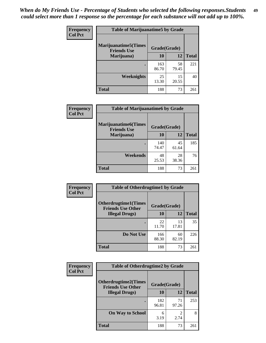| Frequency      | <b>Table of Marijuanatime5 by Grade</b>            |              |             |              |
|----------------|----------------------------------------------------|--------------|-------------|--------------|
| <b>Col Pct</b> | <b>Marijuanatime5</b> (Times<br><b>Friends Use</b> | Grade(Grade) |             |              |
|                | Marijuana)                                         | 10           | 12          | <b>Total</b> |
|                |                                                    | 163<br>86.70 | 58<br>79.45 | 221          |
|                | Weeknights                                         | 25<br>13.30  | 15<br>20.55 | 40           |
|                | <b>Total</b>                                       | 188          | 73          | 261          |

| Frequency      | <b>Table of Marijuanatime6 by Grade</b>            |              |             |              |  |
|----------------|----------------------------------------------------|--------------|-------------|--------------|--|
| <b>Col Pct</b> | <b>Marijuanatime6</b> (Times<br><b>Friends Use</b> | Grade(Grade) |             |              |  |
|                | Marijuana)                                         | 10           | 12          | <b>Total</b> |  |
|                |                                                    | 140<br>74.47 | 45<br>61.64 | 185          |  |
|                | Weekends                                           | 48<br>25.53  | 28<br>38.36 | 76           |  |
|                | <b>Total</b>                                       | 188          | 73          | 261          |  |

| <b>Frequency</b> | <b>Table of Otherdrugtime1 by Grade</b>                  |              |             |              |  |
|------------------|----------------------------------------------------------|--------------|-------------|--------------|--|
| <b>Col Pct</b>   | <b>Otherdrugtime1</b> (Times<br><b>Friends Use Other</b> | Grade(Grade) |             |              |  |
|                  | <b>Illegal Drugs</b> )                                   | 10           | 12          | <b>Total</b> |  |
|                  |                                                          | 22<br>11.70  | 13<br>17.81 | 35           |  |
|                  | Do Not Use                                               | 166<br>88.30 | 60<br>82.19 | 226          |  |
|                  | <b>Total</b>                                             | 188          | 73          | 261          |  |

| <b>Frequency</b> | <b>Table of Otherdrugtime2 by Grade</b>                 |              |                        |              |  |  |
|------------------|---------------------------------------------------------|--------------|------------------------|--------------|--|--|
| <b>Col Pct</b>   | <b>Otherdrugtime2(Times</b><br><b>Friends Use Other</b> | Grade(Grade) |                        |              |  |  |
|                  | <b>Illegal Drugs</b> )                                  | 10           | 12                     | <b>Total</b> |  |  |
|                  |                                                         | 182<br>96.81 | 71<br>97.26            | 253          |  |  |
|                  | <b>On Way to School</b>                                 | 6<br>3.19    | $\mathfrak{D}$<br>2.74 | 8            |  |  |
|                  | <b>Total</b>                                            | 188          | 73                     | 261          |  |  |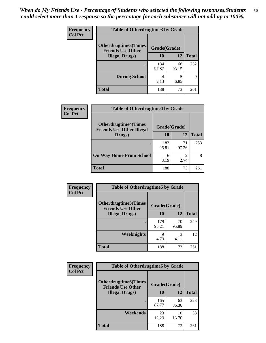| <b>Frequency</b> | <b>Table of Otherdrugtime3 by Grade</b>          |              |             |              |  |  |
|------------------|--------------------------------------------------|--------------|-------------|--------------|--|--|
| <b>Col Pct</b>   | Otherdrugtime3(Times<br><b>Friends Use Other</b> | Grade(Grade) |             |              |  |  |
|                  | <b>Illegal Drugs</b> )                           | 10           | 12          | <b>Total</b> |  |  |
|                  |                                                  | 184<br>97.87 | 68<br>93.15 | 252          |  |  |
|                  | <b>During School</b>                             | 4<br>2.13    | 5<br>6.85   | 9            |  |  |
|                  | <b>Total</b>                                     | 188          | 73          | 261          |  |  |

| Frequency      | <b>Table of Otherdrugtime4 by Grade</b>                         |              |             |              |  |  |
|----------------|-----------------------------------------------------------------|--------------|-------------|--------------|--|--|
| <b>Col Pct</b> | <b>Otherdrugtime4(Times</b><br><b>Friends Use Other Illegal</b> | Grade(Grade) |             |              |  |  |
|                | Drugs)                                                          | 10           | 12          | <b>Total</b> |  |  |
|                |                                                                 | 182<br>96.81 | 71<br>97.26 | 253          |  |  |
|                | <b>On Way Home From School</b>                                  | 6<br>3.19    | 2.74        |              |  |  |
|                | <b>Total</b>                                                    | 188          | 73          | 261          |  |  |

| <b>Frequency</b> | <b>Table of Otherdrugtime5 by Grade</b>                  |              |             |              |  |  |
|------------------|----------------------------------------------------------|--------------|-------------|--------------|--|--|
| <b>Col Pct</b>   | <b>Otherdrugtime5</b> (Times<br><b>Friends Use Other</b> | Grade(Grade) |             |              |  |  |
|                  | <b>Illegal Drugs</b> )                                   | 10           | 12          | <b>Total</b> |  |  |
|                  |                                                          | 179<br>95.21 | 70<br>95.89 | 249          |  |  |
|                  | Weeknights                                               | 9<br>4.79    | 3<br>4.11   | 12           |  |  |
|                  | <b>Total</b>                                             | 188          | 73          | 261          |  |  |

| Frequency      | <b>Table of Otherdrugtime6 by Grade</b>                 |              |             |              |  |  |
|----------------|---------------------------------------------------------|--------------|-------------|--------------|--|--|
| <b>Col Pct</b> | <b>Otherdrugtime6(Times</b><br><b>Friends Use Other</b> | Grade(Grade) |             |              |  |  |
|                | <b>Illegal Drugs</b> )                                  | 10           | 12          | <b>Total</b> |  |  |
|                |                                                         | 165<br>87.77 | 63<br>86.30 | 228          |  |  |
|                | Weekends                                                | 23<br>12.23  | 10<br>13.70 | 33           |  |  |
|                | Total                                                   | 188          | 73          | 261          |  |  |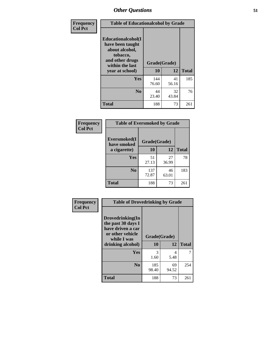| Frequency<br><b>Col Pct</b> | <b>Table of Educationalcohol by Grade</b>                                                                  |              |             |              |  |  |
|-----------------------------|------------------------------------------------------------------------------------------------------------|--------------|-------------|--------------|--|--|
|                             | Educationalcohol(I<br>have been taught<br>about alcohol,<br>tobacco,<br>and other drugs<br>within the last | Grade(Grade) |             |              |  |  |
|                             | year at school)                                                                                            | 10           | 12          | <b>Total</b> |  |  |
|                             | Yes                                                                                                        | 144<br>76.60 | 41<br>56.16 | 185          |  |  |
|                             | N <sub>0</sub>                                                                                             | 44<br>23.40  | 32<br>43.84 | 76           |  |  |
|                             | <b>Total</b>                                                                                               | 188          | 73          | 261          |  |  |

| Frequency      | <b>Table of Eversmoked by Grade</b>         |              |             |              |  |  |
|----------------|---------------------------------------------|--------------|-------------|--------------|--|--|
| <b>Col Pct</b> | Eversmoked(I<br>Grade(Grade)<br>have smoked |              |             |              |  |  |
|                | a cigarette)                                | 10           | 12          | <b>Total</b> |  |  |
|                | <b>Yes</b>                                  | 51<br>27.13  | 27<br>36.99 | 78           |  |  |
|                | N <sub>0</sub>                              | 137<br>72.87 | 46<br>63.01 | 183          |  |  |
|                | <b>Total</b>                                | 188          | 73          | 261          |  |  |

| Frequency<br><b>Col Pct</b> | <b>Table of Drovedrinking by Grade</b>                                                                              |                    |             |              |  |  |
|-----------------------------|---------------------------------------------------------------------------------------------------------------------|--------------------|-------------|--------------|--|--|
|                             | Drovedrinking(In<br>the past 30 days I<br>have driven a car<br>or other vehicle<br>while I was<br>drinking alcohol) | Grade(Grade)<br>10 | 12          | <b>Total</b> |  |  |
|                             | <b>Yes</b>                                                                                                          | 3<br>1.60          | 4<br>5.48   | 7            |  |  |
|                             | N <sub>0</sub>                                                                                                      | 185<br>98.40       | 69<br>94.52 | 254          |  |  |
|                             | <b>Total</b>                                                                                                        | 188                | 73          | 261          |  |  |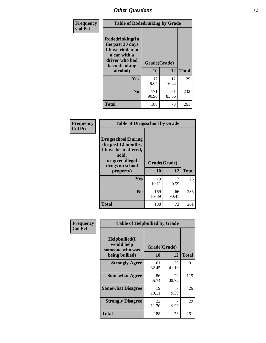| Frequency      | <b>Table of Rodedrinking by Grade</b>                                                                      |              |             |              |  |  |
|----------------|------------------------------------------------------------------------------------------------------------|--------------|-------------|--------------|--|--|
| <b>Col Pct</b> | Rodedrinking(In<br>the past 30 days<br>I have ridden in<br>a car with a<br>driver who had<br>been drinking | Grade(Grade) |             |              |  |  |
|                | alcohol)                                                                                                   | 10           | 12          | <b>Total</b> |  |  |
|                | <b>Yes</b>                                                                                                 | 17<br>9.04   | 12<br>16.44 | 29           |  |  |
|                | N <sub>0</sub>                                                                                             | 171<br>90.96 | 61<br>83.56 | 232          |  |  |
|                | <b>Total</b>                                                                                               | 188          | 73          | 261          |  |  |

#### **Frequency Col Pct**

| <b>Table of Drugsschool by Grade</b>                                                                                      |              |             |              |  |  |  |
|---------------------------------------------------------------------------------------------------------------------------|--------------|-------------|--------------|--|--|--|
| <b>Drugsschool</b> (During<br>the past 12 months,<br>I have been offered,<br>sold,<br>or given illegal<br>drugs on school | Grade(Grade) |             |              |  |  |  |
| property)                                                                                                                 | 10           | 12          | <b>Total</b> |  |  |  |
| Yes                                                                                                                       | 19<br>10.11  | 9.59        | 26           |  |  |  |
| N <sub>0</sub>                                                                                                            | 169<br>89.89 | 66<br>90.41 | 235          |  |  |  |
| Total                                                                                                                     | 188          | 73          | 261          |  |  |  |

| Frequency      | <b>Table of Helpbullied by Grade</b>                                   |                                 |             |              |  |  |
|----------------|------------------------------------------------------------------------|---------------------------------|-------------|--------------|--|--|
| <b>Col Pct</b> | $Helpb$ ullied $(I$<br>would help<br>someone who was<br>being bullied) | Grade(Grade)<br><b>10</b><br>12 |             | <b>Total</b> |  |  |
|                | <b>Strongly Agree</b>                                                  | 61<br>32.45                     | 30<br>41.10 | 91           |  |  |
|                | <b>Somewhat Agree</b>                                                  | 86<br>45.74                     | 29<br>39.73 | 115          |  |  |
|                | <b>Somewhat Disagree</b>                                               | 19<br>10.11                     | 7<br>9.59   | 26           |  |  |
|                | <b>Strongly Disagree</b>                                               | 22<br>11.70                     | 7<br>9.59   | 29           |  |  |
|                | <b>Total</b>                                                           | 188                             | 73          | 261          |  |  |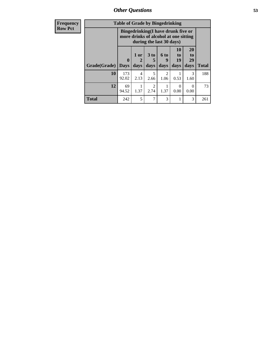*Other Questions* **53**

| <b>Frequency</b> | <b>Table of Grade by Bingedrinking</b> |                         |                                                                             |                         |                          |                          |                        |              |
|------------------|----------------------------------------|-------------------------|-----------------------------------------------------------------------------|-------------------------|--------------------------|--------------------------|------------------------|--------------|
| <b>Row Pct</b>   |                                        |                         | Bingedrinking(I have drunk five or<br>more drinks of alcohol at one sitting |                         | during the last 30 days) |                          |                        |              |
|                  | Grade(Grade)                           | $\bf{0}$<br><b>Days</b> | 1 or<br>days                                                                | 3 <sub>to</sub><br>days | $6$ to<br>9<br>days      | 10<br>to  <br>19<br>days | 20<br>to<br>29<br>days | <b>Total</b> |
|                  | 10                                     | 173<br>92.02            | 4<br>2.13                                                                   | 5<br>2.66               | 2<br>1.06                | 0.53                     | 3<br>1.60              | 188          |
|                  | 12                                     | 69<br>94.52             | 1.37                                                                        | $\mathfrak{D}$<br>2.74  | 1.37                     | $\Omega$<br>0.00         | $\Omega$<br>0.00       | 73           |
|                  | <b>Total</b>                           | 242                     | 5                                                                           | 7                       | 3                        |                          | 3                      | 261          |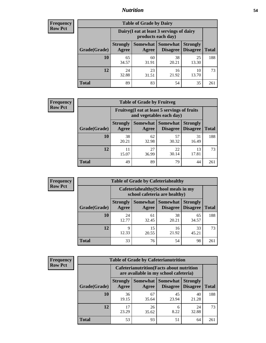## *Nutrition* **54**

| <b>Frequency</b> |
|------------------|
| <b>Row Pct</b>   |

| <b>Table of Grade by Dairy</b> |                          |                                                                 |                             |                                    |       |  |
|--------------------------------|--------------------------|-----------------------------------------------------------------|-----------------------------|------------------------------------|-------|--|
|                                |                          | Dairy (I eat at least 3 servings of dairy<br>products each day) |                             |                                    |       |  |
| Grade(Grade)                   | <b>Strongly</b><br>Agree | Somewhat<br>Agree                                               | <b>Somewhat</b><br>Disagree | <b>Strongly</b><br><b>Disagree</b> | Total |  |
| 10                             | 65<br>34.57              | 60<br>31.91                                                     | 38<br>20.21                 | 25<br>13.30                        | 188   |  |
| 12                             | 24<br>32.88              | 23<br>31.51                                                     | 16<br>21.92                 | 10<br>13.70                        | 73    |  |
| <b>Total</b>                   | 89                       | 83                                                              | 54                          | 35                                 | 261   |  |

| <b>Frequency</b> |  |
|------------------|--|
| <b>Row Pct</b>   |  |

| <b>Table of Grade by Fruitveg</b> |                          |                                                                          |                     |                                             |              |  |
|-----------------------------------|--------------------------|--------------------------------------------------------------------------|---------------------|---------------------------------------------|--------------|--|
|                                   |                          | Fruitveg(I eat at least 5 servings of fruits<br>and vegetables each day) |                     |                                             |              |  |
| Grade(Grade)                      | <b>Strongly</b><br>Agree | Agree                                                                    | Somewhat   Somewhat | <b>Strongly</b><br><b>Disagree</b> Disagree | <b>Total</b> |  |
| 10                                | 38<br>20.21              | 62<br>32.98                                                              | 57<br>30.32         | 31<br>16.49                                 | 188          |  |
| 12                                | 11<br>15.07              | 27<br>36.99                                                              | 22<br>30.14         | 13<br>17.81                                 | 73           |  |
| Total                             | 49                       | 89                                                                       | 79                  | 44                                          | 261          |  |

| <b>Frequency</b> | <b>Table of Grade by Cafeteriahealthy</b> |                          |                                                                       |                                    |                                    |              |  |
|------------------|-------------------------------------------|--------------------------|-----------------------------------------------------------------------|------------------------------------|------------------------------------|--------------|--|
| <b>Row Pct</b>   |                                           |                          | Cafeteriahealthy (School meals in my<br>school cafeteria are healthy) |                                    |                                    |              |  |
|                  | Grade(Grade)                              | <b>Strongly</b><br>Agree | Somewhat  <br>Agree                                                   | <b>Somewhat</b><br><b>Disagree</b> | <b>Strongly</b><br><b>Disagree</b> | <b>Total</b> |  |
|                  | 10                                        | 24<br>12.77              | 61<br>32.45                                                           | 38<br>20.21                        | 65<br>34.57                        | 188          |  |
|                  | 12                                        | 9<br>12.33               | 15<br>20.55                                                           | 16<br>21.92                        | 33<br>45.21                        | 73           |  |
|                  | Total                                     | 33                       | 76                                                                    | 54                                 | 98                                 | 261          |  |

| <b>Frequency</b> |
|------------------|
| <b>Row Pct</b>   |

| <b>Table of Grade by Cafeterianutrition</b> |                          |                                                                                           |                                    |                                    |              |  |
|---------------------------------------------|--------------------------|-------------------------------------------------------------------------------------------|------------------------------------|------------------------------------|--------------|--|
|                                             |                          | <b>Cafeterianutrition</b> (Facts about nutrition<br>are available in my school cafeteria) |                                    |                                    |              |  |
| Grade(Grade)                                | <b>Strongly</b><br>Agree | Somewhat<br>Agree                                                                         | <b>Somewhat</b><br><b>Disagree</b> | <b>Strongly</b><br><b>Disagree</b> | <b>Total</b> |  |
| 10                                          | 36<br>19.15              | 67<br>35.64                                                                               | 45<br>23.94                        | 40<br>21.28                        | 188          |  |
| 12                                          | 17<br>23.29              | 26<br>35.62                                                                               | 6<br>8.22                          | 24<br>32.88                        | 73           |  |
| <b>Total</b>                                | 53                       | 93                                                                                        | 51                                 | 64                                 | 261          |  |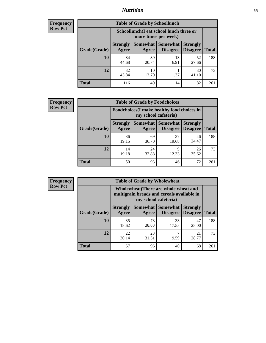## *Nutrition* **55**

| Frequency |
|-----------|
| Row Pct   |

| <b>Table of Grade by Schoollunch</b> |                          |                                                                 |                                 |                                    |              |  |
|--------------------------------------|--------------------------|-----------------------------------------------------------------|---------------------------------|------------------------------------|--------------|--|
|                                      |                          | Schoollunch(I eat school lunch three or<br>more times per week) |                                 |                                    |              |  |
| Grade(Grade)                         | <b>Strongly</b><br>Agree | Agree                                                           | Somewhat   Somewhat<br>Disagree | <b>Strongly</b><br><b>Disagree</b> | <b>Total</b> |  |
| 10                                   | 84<br>44.68              | 39<br>20.74                                                     | 13<br>6.91                      | 52<br>27.66                        | 188          |  |
| 12                                   | 32<br>43.84              | 10<br>13.70                                                     | 1.37                            | 30<br>41.10                        | 73           |  |
| <b>Total</b>                         | 116                      | 49                                                              | 14                              | 82                                 | 261          |  |

| <b>Frequency</b> |  |
|------------------|--|
| <b>Row Pct</b>   |  |

| <b>Table of Grade by Foodchoices</b> |              |                          |                                                                            |                                   |                                    |              |  |  |
|--------------------------------------|--------------|--------------------------|----------------------------------------------------------------------------|-----------------------------------|------------------------------------|--------------|--|--|
|                                      |              |                          | <b>Foodchoices</b> (I make healthy food choices in<br>my school cafeteria) |                                   |                                    |              |  |  |
|                                      | Grade(Grade) | <b>Strongly</b><br>Agree | Agree                                                                      | Somewhat   Somewhat  <br>Disagree | <b>Strongly</b><br><b>Disagree</b> | <b>Total</b> |  |  |
|                                      | 10           | 36<br>19.15              | 69<br>36.70                                                                | 37<br>19.68                       | 46<br>24.47                        | 188          |  |  |
|                                      | 12           | 14<br>19.18              | 24<br>32.88                                                                | 9<br>12.33                        | 26<br>35.62                        | 73           |  |  |
|                                      | <b>Total</b> | 50                       | 93                                                                         | 46                                | 72                                 | 261          |  |  |

| <b>Frequency</b> |
|------------------|
| <b>Row Pct</b>   |

| y | <b>Table of Grade by Wholewheat</b> |                                                                                                             |             |                                                   |                 |              |  |
|---|-------------------------------------|-------------------------------------------------------------------------------------------------------------|-------------|---------------------------------------------------|-----------------|--------------|--|
|   |                                     | Wholewheat (There are whole wheat and<br>multigrain breads and cereals available in<br>my school cafeteria) |             |                                                   |                 |              |  |
|   | Grade(Grade)                        | <b>Strongly</b><br>Agree                                                                                    | Agree       | <b>Somewhat   Somewhat   Strongly</b><br>Disagree | <b>Disagree</b> | <b>Total</b> |  |
|   | 10                                  | 35<br>18.62                                                                                                 | 73<br>38.83 | 33<br>17.55                                       | 47<br>25.00     | 188          |  |
|   | 12                                  | 22<br>30.14                                                                                                 | 23<br>31.51 | 9.59                                              | 21<br>28.77     | 73           |  |
|   | <b>Total</b>                        | 57                                                                                                          | 96          | 40                                                | 68              | 261          |  |

E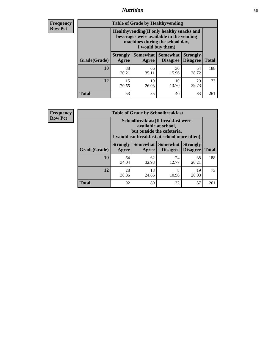## *Nutrition* **56**

**Frequency Row Pct**

| <b>Table of Grade by Healthyvending</b> |                                                                                                                                               |             |                                        |                                    |              |  |  |
|-----------------------------------------|-----------------------------------------------------------------------------------------------------------------------------------------------|-------------|----------------------------------------|------------------------------------|--------------|--|--|
|                                         | Healthyvending (If only healthy snacks and<br>beverages were available in the vending<br>machines during the school day,<br>I would buy them) |             |                                        |                                    |              |  |  |
| Grade(Grade)                            | <b>Strongly</b><br>Agree                                                                                                                      | Agree       | Somewhat   Somewhat<br><b>Disagree</b> | <b>Strongly</b><br><b>Disagree</b> | <b>Total</b> |  |  |
| 10                                      | 38<br>20.21                                                                                                                                   | 66<br>35.11 | 30<br>15.96                            | 54<br>28.72                        | 188          |  |  |
| 12                                      | 15<br>20.55                                                                                                                                   | 19<br>26.03 | 10<br>13.70                            | 29<br>39.73                        | 73           |  |  |
| <b>Total</b>                            | 53                                                                                                                                            | 85          | 40                                     | 83                                 | 261          |  |  |

**Frequency Row Pct**

| <b>Table of Grade by Schoolbreakfast</b> |                                                                                                                                         |             |             |             |              |  |  |
|------------------------------------------|-----------------------------------------------------------------------------------------------------------------------------------------|-------------|-------------|-------------|--------------|--|--|
|                                          | Schoolbreakfast (If breakfast were<br>available at school,<br>but outside the cafeteria,<br>I would eat breakfast at school more often) |             |             |             |              |  |  |
| Grade(Grade)                             | Somewhat   Somewhat<br><b>Strongly</b><br><b>Strongly</b><br><b>Disagree</b><br>Agree<br><b>Disagree</b><br>Agree                       |             |             |             | <b>Total</b> |  |  |
| 10                                       | 64<br>34.04                                                                                                                             | 62<br>32.98 | 24<br>12.77 | 38<br>20.21 | 188          |  |  |
| 12                                       | 28<br>38.36                                                                                                                             | 18<br>24.66 | 8<br>10.96  | 19<br>26.03 | 73           |  |  |
| <b>Total</b>                             | 92                                                                                                                                      | 80          | 32          | 57          | 261          |  |  |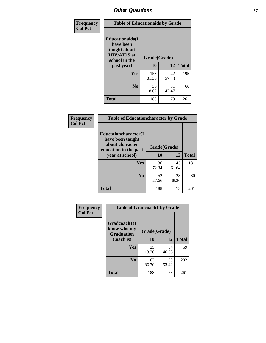| Frequency<br><b>Col Pct</b> | <b>Table of Educationaids by Grade</b>                                                                    |                    |             |              |
|-----------------------------|-----------------------------------------------------------------------------------------------------------|--------------------|-------------|--------------|
|                             | <b>Educationaids</b> (I<br>have been<br>taught about<br><b>HIV/AIDS</b> at<br>school in the<br>past year) | Grade(Grade)<br>10 | 12          | <b>Total</b> |
|                             | Yes                                                                                                       | 153<br>81.38       | 42<br>57.53 | 195          |
|                             | N <sub>0</sub>                                                                                            | 35<br>18.62        | 31<br>42.47 | 66           |
|                             | <b>Total</b>                                                                                              | 188                | 73          | 261          |

| Frequency      | <b>Table of Educationcharacter by Grade</b> |              |             |              |  |
|----------------|---------------------------------------------|--------------|-------------|--------------|--|
| <b>Col Pct</b> | Educationcharacter(I<br>have been taught    |              |             |              |  |
|                | about character<br>education in the past    | Grade(Grade) |             |              |  |
|                | year at school)                             | 10           | 12          | <b>Total</b> |  |
|                | Yes                                         | 136<br>72.34 | 45<br>61.64 | 181          |  |
|                | N <sub>0</sub>                              | 52<br>27.66  | 28<br>38.36 | 80           |  |
|                | <b>Total</b>                                | 188          | 73          | 261          |  |

| Frequency      | <b>Table of Gradcoach1 by Grade</b>              |              |             |              |
|----------------|--------------------------------------------------|--------------|-------------|--------------|
| <b>Col Pct</b> | Gradcoach1(I<br>know who my<br><b>Graduation</b> | Grade(Grade) |             |              |
|                | Coach is)                                        | 10           | 12          | <b>Total</b> |
|                | Yes                                              | 25<br>13.30  | 34<br>46.58 | 59           |
|                | N <sub>0</sub>                                   | 163<br>86.70 | 39<br>53.42 | 202          |
|                | <b>Total</b>                                     | 188          | 73          | 261          |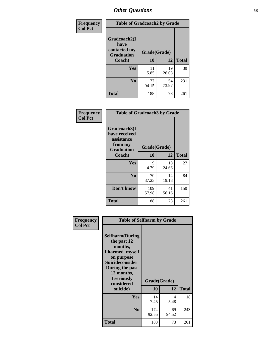| Frequency      | <b>Table of Gradcoach2 by Grade</b>  |              |             |              |
|----------------|--------------------------------------|--------------|-------------|--------------|
| <b>Col Pct</b> | Gradcoach2(I<br>have<br>contacted my |              |             |              |
|                | <b>Graduation</b>                    | Grade(Grade) |             |              |
|                | Coach)                               | 10           | 12          | <b>Total</b> |
|                | Yes                                  | 11<br>5.85   | 19<br>26.03 | 30           |
|                | N <sub>0</sub>                       | 177<br>94.15 | 54<br>73.97 | 231          |
|                | <b>Total</b>                         | 188          | 73          | 261          |

| <b>Frequency</b><br><b>Col Pct</b> | <b>Table of Gradcoach3 by Grade</b>                                         |              |             |              |  |
|------------------------------------|-----------------------------------------------------------------------------|--------------|-------------|--------------|--|
|                                    | Gradcoach3(I<br>have received<br>assistance<br>from my<br><b>Graduation</b> | Grade(Grade) |             |              |  |
|                                    | Coach)                                                                      | 10           | 12          | <b>Total</b> |  |
|                                    | Yes                                                                         | 9<br>4.79    | 18<br>24.66 | 27           |  |
|                                    | N <sub>0</sub>                                                              | 70<br>37.23  | 14<br>19.18 | 84           |  |
|                                    | Don't know                                                                  | 109<br>57.98 | 41<br>56.16 | 150          |  |
|                                    | <b>Total</b>                                                                | 188          | 73          | 261          |  |

| Frequency      | <b>Table of Selfharm by Grade</b>                                                                                                                                                      |                    |             |              |  |
|----------------|----------------------------------------------------------------------------------------------------------------------------------------------------------------------------------------|--------------------|-------------|--------------|--|
| <b>Col Pct</b> | <b>Selfharm</b> (During<br>the past 12<br>months,<br>I harmed myself<br>on purpose<br><b>Suicideconsider</b><br>During the past<br>12 months,<br>I seriously<br>considered<br>suicide) | Grade(Grade)<br>10 | 12          | <b>Total</b> |  |
|                | <b>Yes</b>                                                                                                                                                                             | 14<br>7.45         | 4<br>5.48   | 18           |  |
|                | N <sub>0</sub>                                                                                                                                                                         | 174<br>92.55       | 69<br>94.52 | 243          |  |
|                | <b>Total</b>                                                                                                                                                                           | 188                | 73          | 261          |  |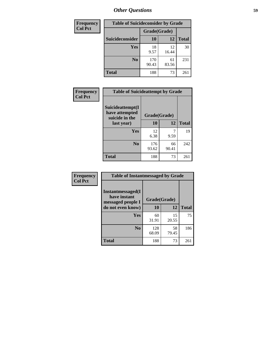| <b>Frequency</b> |                        | <b>Table of Suicideconsider by Grade</b> |             |              |
|------------------|------------------------|------------------------------------------|-------------|--------------|
| <b>Col Pct</b>   |                        | Grade(Grade)                             |             |              |
|                  | <b>Suicideconsider</b> | 10                                       | 12          | <b>Total</b> |
|                  | <b>Yes</b>             | 18<br>9.57                               | 12<br>16.44 | 30           |
|                  | N <sub>0</sub>         | 170<br>90.43                             | 61<br>83.56 | 231          |
|                  | <b>Total</b>           | 188                                      | 73          | 261          |

| Frequency      | <b>Table of Suicideattempt by Grade</b>              |              |             |              |
|----------------|------------------------------------------------------|--------------|-------------|--------------|
| <b>Col Pct</b> | Suicideattempt(I<br>have attempted<br>suicide in the | Grade(Grade) |             |              |
|                | last year)                                           | 10           | 12          | <b>Total</b> |
|                | Yes                                                  | 12<br>6.38   | 9.59        | 19           |
|                | $\bf No$                                             | 176<br>93.62 | 66<br>90.41 | 242          |
|                | <b>Total</b>                                         | 188          | 73          | 261          |

| Frequency      | <b>Table of Instantmessaged by Grade</b>                                            |                    |             |              |
|----------------|-------------------------------------------------------------------------------------|--------------------|-------------|--------------|
| <b>Col Pct</b> | <b>Instantmessaged</b> (I<br>have instant<br>messaged people I<br>do not even know) | Grade(Grade)<br>10 | 12          | <b>Total</b> |
|                |                                                                                     |                    |             |              |
|                | Yes                                                                                 | 60<br>31.91        | 15<br>20.55 | 75           |
|                | N <sub>0</sub>                                                                      | 128<br>68.09       | 58<br>79.45 | 186          |
|                | <b>Total</b>                                                                        | 188                | 73          | 261          |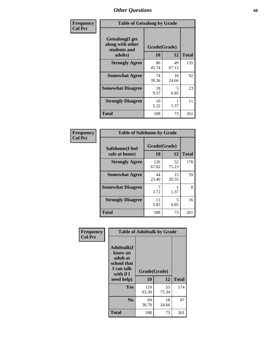| Frequency      | <b>Table of Getsalong by Grade</b>                          |              |             |              |  |  |  |
|----------------|-------------------------------------------------------------|--------------|-------------|--------------|--|--|--|
| <b>Col Pct</b> | <b>Getsalong</b> (I get<br>along with other<br>students and | Grade(Grade) |             |              |  |  |  |
|                | adults)                                                     | 10           | 12          | <b>Total</b> |  |  |  |
|                | <b>Strongly Agree</b>                                       | 86<br>45.74  | 49<br>67.12 | 135          |  |  |  |
|                | <b>Somewhat Agree</b>                                       | 74<br>39.36  | 18<br>24.66 | 92           |  |  |  |
|                | <b>Somewhat Disagree</b>                                    | 18<br>9.57   | 5<br>6.85   | 23           |  |  |  |
|                | <b>Strongly Disagree</b>                                    | 10<br>5.32   | 1.37        | 11           |  |  |  |
|                | <b>Total</b>                                                | 188          | 73          | 261          |  |  |  |

| Frequency      | <b>Table of Safehome by Grade</b> |                           |             |              |  |  |  |
|----------------|-----------------------------------|---------------------------|-------------|--------------|--|--|--|
| <b>Col Pct</b> | Safehome(I feel<br>safe at home)  | Grade(Grade)<br><b>10</b> | 12          | <b>Total</b> |  |  |  |
|                | <b>Strongly Agree</b>             | 126<br>67.02              | 52<br>71.23 | 178          |  |  |  |
|                | <b>Somewhat Agree</b>             | 44<br>23.40               | 15<br>20.55 | 59           |  |  |  |
|                | <b>Somewhat Disagree</b>          | 3.72                      | 1.37        | 8            |  |  |  |
|                | <b>Strongly Disagree</b>          | 11<br>5.85                | 5<br>6.85   | 16           |  |  |  |
|                | <b>Total</b>                      | 188                       | 73          | 261          |  |  |  |

| Frequency      |                                                                                      | <b>Table of Adulttalk by Grade</b> |             |              |
|----------------|--------------------------------------------------------------------------------------|------------------------------------|-------------|--------------|
| <b>Col Pct</b> | <b>Adulttalk</b> (I<br>know an<br>adult at<br>school that<br>I can talk<br>with if I | Grade(Grade)                       |             |              |
|                | need help)                                                                           | 10                                 | 12          | <b>Total</b> |
|                | Yes                                                                                  | 119<br>63.30                       | 55<br>75.34 | 174          |
|                | N <sub>0</sub>                                                                       | 69<br>36.70                        | 18<br>24.66 | 87           |
|                | <b>Total</b>                                                                         | 188                                | 73          | 261          |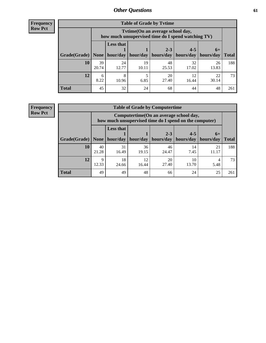**Frequency Row Pct**

| <b>Table of Grade by Tvtime</b> |             |                                                                                         |             |                      |                                  |             |              |  |  |  |  |
|---------------------------------|-------------|-----------------------------------------------------------------------------------------|-------------|----------------------|----------------------------------|-------------|--------------|--|--|--|--|
|                                 |             | Tytime (On an average school day,<br>how much unsupervised time do I spend watching TV) |             |                      |                                  |             |              |  |  |  |  |
|                                 |             | <b>Less that</b><br>hour/day                                                            |             | $2 - 3$<br>hours/day | $4 - 5$<br>hours/day   hours/day | $6+$        |              |  |  |  |  |
| Grade(Grade)                    | None        |                                                                                         | hour/day    |                      |                                  |             | <b>Total</b> |  |  |  |  |
| 10                              | 39<br>20.74 | 24<br>12.77                                                                             | 19<br>10.11 | 48<br>25.53          | 32<br>17.02                      | 26<br>13.83 | 188          |  |  |  |  |
| 12                              | 6<br>8.22   | 8<br>10.96                                                                              | 6.85        | 20<br>27.40          | 12<br>16.44                      | 22<br>30.14 | 73           |  |  |  |  |
| <b>Total</b>                    | 45          | 32                                                                                      | 24          | 68                   | 44                               | 48          | 261          |  |  |  |  |

**Frequency Row Pct**

| <b>Table of Grade by Computertime</b> |             |                                                                                                   |             |                      |                      |                   |              |  |  |  |
|---------------------------------------|-------------|---------------------------------------------------------------------------------------------------|-------------|----------------------|----------------------|-------------------|--------------|--|--|--|
|                                       |             | Computertime (On an average school day,<br>how much unsupervised time do I spend on the computer) |             |                      |                      |                   |              |  |  |  |
| Grade(Grade)                          | None        | <b>Less that</b><br>hour/day                                                                      | hour/day    | $2 - 3$<br>hours/day | $4 - 5$<br>hours/day | $6+$<br>hours/day | <b>Total</b> |  |  |  |
| 10                                    | 40<br>21.28 | 31<br>16.49                                                                                       | 36<br>19.15 | 46<br>24.47          | 14<br>7.45           | 21<br>11.17       | 188          |  |  |  |
| 12                                    | Q<br>12.33  | 18<br>12<br>20<br>10<br>27.40<br>13.70<br>24.66<br>16.44<br>5.48                                  |             |                      |                      |                   |              |  |  |  |
| <b>Total</b>                          | 49          | 49                                                                                                | 48          | 66                   | 24                   | 25                | 261          |  |  |  |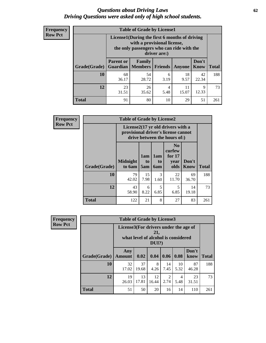#### *Questions about Driving Laws* **62** *Driving Questions were asked only of high school students.*

| <b>Frequency</b> |
|------------------|
| <b>Row Pct</b>   |

| <b>Table of Grade by License1</b> |                  |                                                                                                                                           |           |            |               |              |  |  |  |  |
|-----------------------------------|------------------|-------------------------------------------------------------------------------------------------------------------------------------------|-----------|------------|---------------|--------------|--|--|--|--|
|                                   |                  | License1(During the first 6 months of driving<br>with a provisional license,<br>the only passengers who can ride with the<br>driver are:) |           |            |               |              |  |  |  |  |
| Grade(Grade)                      | <b>Parent or</b> | Family<br><b>Guardian</b>   Members                                                                                                       | Friends   | Anyone     | Don't<br>Know | <b>Total</b> |  |  |  |  |
| 10                                | 68<br>36.17      | 54<br>28.72                                                                                                                               | 6<br>3.19 | 18<br>9.57 | 42<br>22.34   | 188          |  |  |  |  |
| 12                                | 23<br>31.51      | 26<br>11<br>9<br>4<br>12.33<br>15.07<br>35.62<br>5.48                                                                                     |           |            |               |              |  |  |  |  |
| Total                             | 91               | 80                                                                                                                                        | 10        | 29         | 51            | 261          |  |  |  |  |

| <b>Frequency</b> |                     | <b>Table of Grade by License2</b> |                                                                                                          |                              |                                                      |                      |              |  |  |  |
|------------------|---------------------|-----------------------------------|----------------------------------------------------------------------------------------------------------|------------------------------|------------------------------------------------------|----------------------|--------------|--|--|--|
| <b>Row Pct</b>   |                     |                                   | License2(17 yr old drivers with a<br>provisional driver's license cannot<br>drive between the hours of:) |                              |                                                      |                      |              |  |  |  |
|                  | <b>Grade(Grade)</b> | <b>Midnight</b><br>to 6am         | 1am<br>t <sub>0</sub><br>5am                                                                             | 1am<br>t <sub>0</sub><br>6am | N <sub>0</sub><br>curfew<br>for $17$<br>year<br>olds | Don't<br><b>Know</b> | <b>Total</b> |  |  |  |
|                  | 10                  | 79<br>42.02                       | 15<br>7.98                                                                                               | 3<br>1.60                    | 22<br>11.70                                          | 69<br>36.70          | 188          |  |  |  |
|                  | 12                  | 43<br>58.90                       | 5<br>5<br>14<br>6<br>6.85<br>6.85<br>8.22<br>19.18                                                       |                              |                                                      |                      |              |  |  |  |
|                  | <b>Total</b>        | 122                               | 21                                                                                                       | 8                            | 27                                                   | 83                   | 261          |  |  |  |

| Frequency      |                                                                                                 | <b>Table of Grade by License3</b> |             |             |            |            |               |              |  |  |
|----------------|-------------------------------------------------------------------------------------------------|-----------------------------------|-------------|-------------|------------|------------|---------------|--------------|--|--|
| <b>Row Pct</b> | License3(For drivers under the age of<br>21,<br>what level of alcohol is considered<br>$DUI$ ?) |                                   |             |             |            |            |               |              |  |  |
|                | Grade(Grade)                                                                                    | Any<br>Amount                     | 0.02        | 0.04        | 0.06       | 0.08       | Don't<br>know | <b>Total</b> |  |  |
|                | <b>10</b>                                                                                       | 32<br>17.02                       | 37<br>19.68 | 8<br>4.26   | 14<br>7.45 | 10<br>5.32 | 87<br>46.28   | 188          |  |  |
|                | 12                                                                                              | 19<br>26.03                       | 13<br>17.81 | 12<br>16.44 | 2<br>2.74  | 4<br>5.48  | 23<br>31.51   | 73           |  |  |
|                | <b>Total</b>                                                                                    | 51                                | 50          | 20          | 16         | 14         | 110           | 261          |  |  |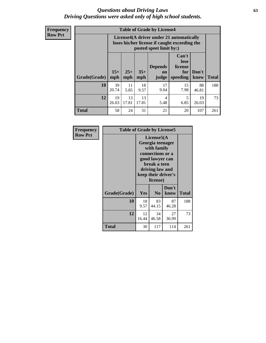#### *Questions about Driving Laws* **63** *Driving Questions were asked only of high school students.*

**Frequency Row Pct**

| <b>Table of Grade by License4</b> |              |                                                                                                                                                      |            |            |            |             |     |  |  |  |
|-----------------------------------|--------------|------------------------------------------------------------------------------------------------------------------------------------------------------|------------|------------|------------|-------------|-----|--|--|--|
|                                   |              | License4(A driver under 21 automatically<br>loses his/her license if caught exceeding the<br>posted speet limit by:)                                 |            |            |            |             |     |  |  |  |
| Grade(Grade)                      | $15+$<br>mph | Can't<br>lose<br><b>Depends</b><br>license<br>$25+$<br>$35+$<br>Don't<br>for<br><b>on</b><br>speeding<br><b>Total</b><br>mph<br>know<br>mph<br>judge |            |            |            |             |     |  |  |  |
| 10                                | 39<br>20.74  | 11<br>5.85                                                                                                                                           | 18<br>9.57 | 17<br>9.04 | 15<br>7.98 | 88<br>46.81 | 188 |  |  |  |
| 12                                | 19<br>26.03  | 13<br>13<br>19<br>5<br>$\overline{4}$<br>6.85<br>17.81<br>17.81<br>5.48<br>26.03                                                                     |            |            |            |             |     |  |  |  |
| <b>Total</b>                      | 58           | 24                                                                                                                                                   | 31         | 21         | 20         | 107         | 261 |  |  |  |

| Frequency      | <b>Table of Grade by License5</b> |             |                                                                                                                                      |                     |       |
|----------------|-----------------------------------|-------------|--------------------------------------------------------------------------------------------------------------------------------------|---------------------|-------|
| <b>Row Pct</b> |                                   |             | License5(A)<br>Georgia teenager<br>with family<br>connections or a<br>good lawyer can<br>break a teen<br>driving law and<br>license) | keep their driver's |       |
|                | Grade(Grade)                      | <b>Yes</b>  | N <sub>0</sub>                                                                                                                       | Don't<br>know       | Total |
|                | 10                                | 18<br>9.57  | 83<br>44.15                                                                                                                          | 87<br>46.28         | 188   |
|                | 12                                | 12<br>16.44 | 34<br>46.58                                                                                                                          | 27<br>36.99         | 73    |
|                | <b>Total</b>                      | 30          | 117                                                                                                                                  | 114                 | 261   |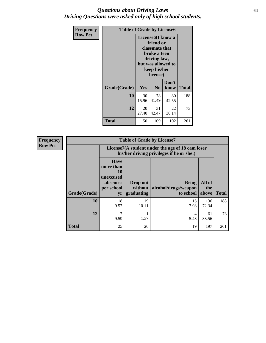#### *Questions about Driving Laws* **64** *Driving Questions were asked only of high school students.*

| <b>Frequency</b> | <b>Table of Grade by License6</b> |                                                                                                                                                 |                |               |              |
|------------------|-----------------------------------|-------------------------------------------------------------------------------------------------------------------------------------------------|----------------|---------------|--------------|
| <b>Row Pct</b>   |                                   | License <sub>6</sub> (I know a<br>friend or<br>classmate that<br>broke a teen<br>driving law,<br>but was allowed to<br>keep his/her<br>license) |                |               |              |
|                  | Grade(Grade)                      | <b>Yes</b>                                                                                                                                      | N <sub>0</sub> | Don't<br>know | <b>Total</b> |
|                  | 10                                | 30<br>15.96                                                                                                                                     | 78<br>41.49    | 80<br>42.55   | 188          |
|                  | 12                                | 20<br>27.40                                                                                                                                     | 31<br>42.47    | 22<br>30.14   | 73           |
|                  | <b>Total</b>                      | 50                                                                                                                                              | 109            | 102           | 261          |

| <b>Frequency</b> | <b>Table of Grade by License7</b> |                                                                                               |                                   |                                            |                        |              |
|------------------|-----------------------------------|-----------------------------------------------------------------------------------------------|-----------------------------------|--------------------------------------------|------------------------|--------------|
| <b>Row Pct</b>   |                                   | License7(A student under the age of 18 cam loser<br>his/her driving privileges if he or she:) |                                   |                                            |                        |              |
|                  | Grade(Grade)                      | <b>Have</b><br>more than<br>10<br>unexcused<br>absences<br>per school<br>yr                   | Drop out<br>without<br>graduating | Bring<br>alcohol/drugs/weapon<br>to school | All of<br>the<br>above | <b>Total</b> |
|                  | 10                                | 18<br>9.57                                                                                    | 19<br>10.11                       | 15<br>7.98                                 | 136<br>72.34           | 188          |
|                  | 12                                | 7<br>9.59                                                                                     | 1.37                              | 4<br>5.48                                  | 61<br>83.56            | 73           |
|                  | <b>Total</b>                      | 25                                                                                            | 20                                | 19                                         | 197                    | 261          |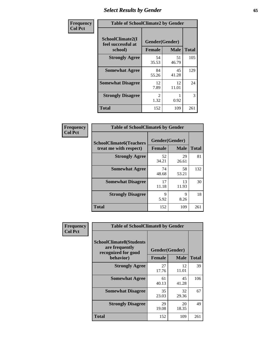# *Select Results by Gender* **65**

| Frequency      | <b>Table of SchoolClimate2 by Gender</b>          |                                 |             |              |
|----------------|---------------------------------------------------|---------------------------------|-------------|--------------|
| <b>Col Pct</b> | SchoolClimate2(I<br>feel successful at<br>school) | Gender(Gender)<br><b>Female</b> | <b>Male</b> | <b>Total</b> |
|                | <b>Strongly Agree</b>                             | 54<br>35.53                     | 51<br>46.79 | 105          |
|                | <b>Somewhat Agree</b>                             | 84<br>55.26                     | 45<br>41.28 | 129          |
|                | <b>Somewhat Disagree</b>                          | 12<br>7.89                      | 12<br>11.01 | 24           |
|                | <b>Strongly Disagree</b>                          | $\mathcal{L}$<br>1.32           | 0.92        | 3            |
|                | <b>Total</b>                                      | 152                             | 109         | 261          |

| Frequency      | <b>Table of SchoolClimate6 by Gender</b>                 |                                 |             |              |  |
|----------------|----------------------------------------------------------|---------------------------------|-------------|--------------|--|
| <b>Col Pct</b> | <b>SchoolClimate6(Teachers</b><br>treat me with respect) | Gender(Gender)<br><b>Female</b> | <b>Male</b> | <b>Total</b> |  |
|                | <b>Strongly Agree</b>                                    | 52<br>34.21                     | 29<br>26.61 | 81           |  |
|                | <b>Somewhat Agree</b>                                    | 74<br>48.68                     | 58<br>53.21 | 132          |  |
|                | <b>Somewhat Disagree</b>                                 | 17<br>11.18                     | 13<br>11.93 | 30           |  |
|                | <b>Strongly Disagree</b>                                 | 9<br>5.92                       | 9<br>8.26   | 18           |  |
|                | <b>Total</b>                                             | 152                             | 109         | 261          |  |

| <b>Frequency</b> | <b>Table of SchoolClimate8 by Gender</b>                                             |                                 |                            |     |
|------------------|--------------------------------------------------------------------------------------|---------------------------------|----------------------------|-----|
| <b>Col Pct</b>   | <b>SchoolClimate8(Students</b><br>are frequently<br>recognized for good<br>behavior) | Gender(Gender)<br><b>Female</b> | <b>Total</b>               |     |
|                  | <b>Strongly Agree</b>                                                                | 27<br>17.76                     | <b>Male</b><br>12<br>11.01 | 39  |
|                  | <b>Somewhat Agree</b>                                                                | 61<br>40.13                     | 45<br>41.28                | 106 |
|                  | <b>Somewhat Disagree</b>                                                             | 35<br>23.03                     | 32<br>29.36                | 67  |
|                  | <b>Strongly Disagree</b>                                                             | 29<br>19.08                     | 20<br>18.35                | 49  |
|                  | Total                                                                                | 152                             | 109                        | 261 |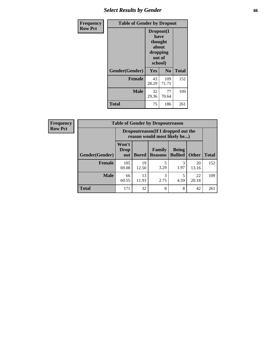# *Select Results by Gender* **66**

| <b>Frequency</b> | <b>Table of Gender by Dropout</b> |                                                                        |                |              |
|------------------|-----------------------------------|------------------------------------------------------------------------|----------------|--------------|
| <b>Row Pct</b>   |                                   | Dropout(I<br>have<br>thought<br>about<br>dropping<br>out of<br>school) |                |              |
|                  | Gender(Gender)                    | Yes                                                                    | N <sub>0</sub> | <b>Total</b> |
|                  | <b>Female</b>                     | 43<br>28.29                                                            | 109<br>71.71   | 152          |
|                  | <b>Male</b>                       | 32<br>29.36                                                            | 77<br>70.64    | 109          |
|                  | <b>Total</b>                      | 75                                                                     | 186            | 261          |

| <b>Frequency</b> |                       | <b>Table of Gender by Dropoutreason</b>                            |              |                          |                                |              |              |
|------------------|-----------------------|--------------------------------------------------------------------|--------------|--------------------------|--------------------------------|--------------|--------------|
| <b>Row Pct</b>   |                       | Dropoutreason(If I dropped out the<br>reason would most likely be) |              |                          |                                |              |              |
|                  | <b>Gender(Gender)</b> | Won't<br>Drop<br>out                                               | <b>Bored</b> | Family<br><b>Reasons</b> | <b>Being</b><br><b>Bullied</b> | <b>Other</b> | <b>Total</b> |
|                  | Female                | 105<br>69.08                                                       | 19<br>12.50  | 3.29                     | 3<br>1.97                      | 20<br>13.16  | 152          |
|                  | <b>Male</b>           | 66<br>60.55                                                        | 13<br>11.93  | 3<br>2.75                | 4.59                           | 22<br>20.18  | 109          |
|                  | <b>Total</b>          | 171                                                                | 32           | 8                        | 8                              | 42           | 261          |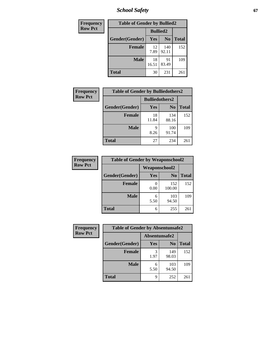*School Safety* **67**

| <b>Frequency</b> | <b>Table of Gender by Bullied2</b> |                 |                |              |  |
|------------------|------------------------------------|-----------------|----------------|--------------|--|
| <b>Row Pct</b>   |                                    | <b>Bullied2</b> |                |              |  |
|                  | Gender(Gender)                     | Yes             | N <sub>0</sub> | <b>Total</b> |  |
|                  | <b>Female</b>                      | 12<br>7.89      | 140<br>92.11   | 152          |  |
|                  | <b>Male</b>                        | 18<br>16.51     | 91<br>83.49    | 109          |  |
|                  | <b>Total</b>                       | 30              | 231            | 261          |  |

| Frequency      | <b>Table of Gender by Bulliedothers2</b> |                       |                |              |
|----------------|------------------------------------------|-----------------------|----------------|--------------|
| <b>Row Pct</b> |                                          | <b>Bulliedothers2</b> |                |              |
|                | Gender(Gender)                           | Yes                   | N <sub>0</sub> | <b>Total</b> |
|                | <b>Female</b>                            | 18<br>11.84           | 134<br>88.16   | 152          |
|                | <b>Male</b>                              | Q<br>8.26             | 100<br>91.74   | 109          |
|                | <b>Total</b>                             | 27                    | 234            | 261          |

| Frequency      | <b>Table of Gender by Weaponschool2</b> |                      |                |       |
|----------------|-----------------------------------------|----------------------|----------------|-------|
| <b>Row Pct</b> |                                         | <b>Weaponschool2</b> |                |       |
|                | Gender(Gender)                          | Yes                  | N <sub>0</sub> | Total |
|                | <b>Female</b>                           | 0.00                 | 152<br>100.00  | 152   |
|                | <b>Male</b>                             | 6<br>5.50            | 103<br>94.50   | 109   |
|                | <b>Total</b>                            | 6                    | 255            | 261   |

| Frequency      | <b>Table of Gender by Absentunsafe2</b> |               |                |              |
|----------------|-----------------------------------------|---------------|----------------|--------------|
| <b>Row Pct</b> |                                         | Absentunsafe2 |                |              |
|                | Gender(Gender)                          | Yes           | N <sub>0</sub> | <b>Total</b> |
|                | <b>Female</b>                           | 1.97          | 149<br>98.03   | 152          |
|                | <b>Male</b>                             | 5.50          | 103<br>94.50   | 109          |
|                | <b>Total</b>                            | q             | 252            | 261          |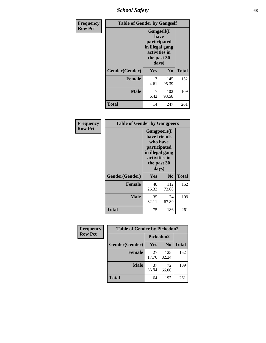*School Safety* **68**

| Frequency      | <b>Table of Gender by Gangself</b> |                                                                                                        |                |              |
|----------------|------------------------------------|--------------------------------------------------------------------------------------------------------|----------------|--------------|
| <b>Row Pct</b> |                                    | <b>Gangself</b> (I<br>have<br>participated<br>in illegal gang<br>activities in<br>the past 30<br>days) |                |              |
|                | Gender(Gender)                     | Yes                                                                                                    | N <sub>0</sub> | <b>Total</b> |
|                | <b>Female</b>                      | 7<br>4.61                                                                                              | 145<br>95.39   | 152          |
|                | <b>Male</b>                        | 7<br>6.42                                                                                              | 102<br>93.58   | 109          |
|                | <b>Total</b>                       | 14                                                                                                     | 247            | 261          |

| Frequency      | <b>Table of Gender by Gangpeers</b>                                                                                         |             |                |              |
|----------------|-----------------------------------------------------------------------------------------------------------------------------|-------------|----------------|--------------|
| <b>Row Pct</b> | <b>Gangpeers</b> (I<br>have friends<br>who have<br>participated<br>in illegal gang<br>activities in<br>the past 30<br>days) |             |                |              |
|                | Gender(Gender)                                                                                                              | Yes         | N <sub>0</sub> | <b>Total</b> |
|                | <b>Female</b>                                                                                                               | 40<br>26.32 | 112<br>73.68   | 152          |
|                | <b>Male</b>                                                                                                                 | 35<br>32.11 | 74<br>67.89    | 109          |
|                | Total                                                                                                                       | 75          | 186            | 261          |

| Frequency      | <b>Table of Gender by Pickedon2</b> |             |                |              |
|----------------|-------------------------------------|-------------|----------------|--------------|
| <b>Row Pct</b> |                                     | Pickedon2   |                |              |
|                | Gender(Gender)                      | Yes         | N <sub>0</sub> | <b>Total</b> |
|                | <b>Female</b>                       | 27<br>17.76 | 125<br>82.24   | 152          |
|                | <b>Male</b>                         | 37<br>33.94 | 72<br>66.06    | 109          |
|                | <b>Total</b>                        | 64          | 197            | 261          |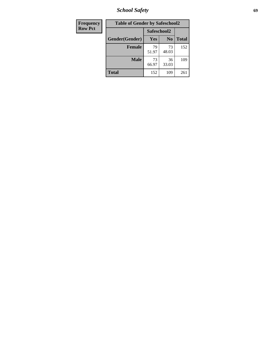*School Safety* **69**

| Frequency      | <b>Table of Gender by Safeschool2</b> |             |                |              |
|----------------|---------------------------------------|-------------|----------------|--------------|
| <b>Row Pct</b> |                                       | Safeschool2 |                |              |
|                | Gender(Gender)                        | <b>Yes</b>  | N <sub>0</sub> | <b>Total</b> |
|                | <b>Female</b>                         | 79<br>51.97 | 73<br>48.03    | 152          |
|                | <b>Male</b>                           | 73<br>66.97 | 36<br>33.03    | 109          |
|                | <b>Total</b>                          | 152         | 109            | 261          |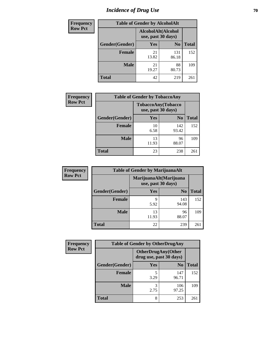# *Incidence of Drug Use* **70**

| Frequency      |                | <b>Table of Gender by AlcoholAlt</b>     |                |              |
|----------------|----------------|------------------------------------------|----------------|--------------|
| <b>Row Pct</b> |                | AlcoholAlt(Alcohol<br>use, past 30 days) |                |              |
|                | Gender(Gender) | Yes                                      | N <sub>0</sub> | <b>Total</b> |
|                | <b>Female</b>  | 21<br>13.82                              | 131<br>86.18   | 152          |
|                | <b>Male</b>    | 21<br>19.27                              | 88<br>80.73    | 109          |
|                | <b>Total</b>   | 42                                       | 219            | 261          |

| <b>Frequency</b> | <b>Table of Gender by TobaccoAny</b> |                                          |                |              |
|------------------|--------------------------------------|------------------------------------------|----------------|--------------|
| <b>Row Pct</b>   |                                      | TobaccoAny(Tobacco<br>use, past 30 days) |                |              |
|                  | Gender(Gender)                       | Yes                                      | N <sub>0</sub> | <b>Total</b> |
|                  | <b>Female</b>                        | 10<br>6.58                               | 142<br>93.42   | 152          |
|                  | <b>Male</b>                          | 13<br>11.93                              | 96<br>88.07    | 109          |
|                  | <b>Total</b>                         | 23                                       | 238            | 261          |

| <b>Frequency</b> |                | <b>Table of Gender by MarijuanaAlt</b> |                        |              |
|------------------|----------------|----------------------------------------|------------------------|--------------|
| <b>Row Pct</b>   |                | use, past 30 days)                     | MarijuanaAlt(Marijuana |              |
|                  | Gender(Gender) | <b>Yes</b>                             | N <sub>0</sub>         | <b>Total</b> |
|                  | <b>Female</b>  | 9<br>5.92                              | 143<br>94.08           | 152          |
|                  | <b>Male</b>    | 13<br>11.93                            | 96<br>88.07            | 109          |
|                  | <b>Total</b>   | 22                                     | 239                    | 261          |

| <b>Frequency</b> | <b>Table of Gender by OtherDrugAny</b> |                         |                           |              |
|------------------|----------------------------------------|-------------------------|---------------------------|--------------|
| <b>Row Pct</b>   |                                        | drug use, past 30 days) | <b>OtherDrugAny(Other</b> |              |
|                  | Gender(Gender)                         | <b>Yes</b>              | N <sub>0</sub>            | <b>Total</b> |
|                  | <b>Female</b>                          | 3.29                    | 147<br>96.71              | 152          |
|                  | <b>Male</b>                            | 3<br>2.75               | 106<br>97.25              | 109          |
|                  | <b>Total</b>                           | 8                       | 253                       | 261          |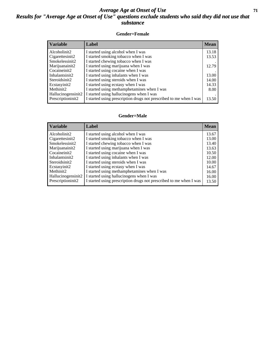#### *Average Age at Onset of Use* **71** *Results for "Average Age at Onset of Use" questions exclude students who said they did not use that substance*

#### **Gender=Female**

| <b>Variable</b>    | <b>Label</b>                                                       | <b>Mean</b> |
|--------------------|--------------------------------------------------------------------|-------------|
| Alcoholinit2       | I started using alcohol when I was                                 | 13.18       |
| Cigarettesinit2    | I started smoking tobacco when I was                               | 13.53       |
| Smokelessinit2     | I started chewing tobacco when I was                               |             |
| Marijuanainit2     | I started using marijuana when I was                               | 12.79       |
| Cocaineinit2       | I started using cocaine when I was                                 |             |
| Inhalantsinit2     | I started using inhalants when I was                               | 13.00       |
| Steroidsinit2      | I started using steroids when I was                                | 14.00       |
| Ecstasyinit2       | I started using ecstasy when I was                                 | 14.33       |
| Methinit2          | I started using methamphetamines when I was                        | 8.00        |
| Hallucinogensinit2 | I started using hallucinogens when I was                           |             |
| Prescription in t2 | I started using prescription drugs not prescribed to me when I was | 13.50       |

#### **Gender=Male**

| <b>Variable</b>    | Label                                                              | <b>Mean</b> |
|--------------------|--------------------------------------------------------------------|-------------|
| Alcoholinit2       | I started using alcohol when I was                                 | 13.67       |
| Cigarettesinit2    | I started smoking tobacco when I was                               | 13.00       |
| Smokelessinit2     | I started chewing tobacco when I was                               | 13.40       |
| Marijuanainit2     | I started using marijuana when I was                               | 13.63       |
| Cocaineinit2       | I started using cocaine when I was                                 | 10.50       |
| Inhalantsinit2     | I started using inhalants when I was                               | 12.00       |
| Steroidsinit2      | I started using steroids when I was                                | 10.00       |
| Ecstasyinit2       | I started using ecstasy when I was                                 | 14.67       |
| Methinit2          | I started using methamphetamines when I was                        | 16.00       |
| Hallucinogensinit2 | I started using hallucinogens when I was                           | 16.00       |
| Prescriptioninit2  | I started using prescription drugs not prescribed to me when I was | 13.50       |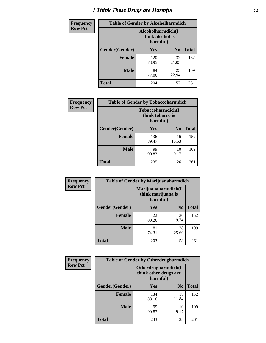# *I Think These Drugs are Harmful* **72**

| Frequency      | <b>Table of Gender by Alcoholharmdich</b> |                                                    |                |              |
|----------------|-------------------------------------------|----------------------------------------------------|----------------|--------------|
| <b>Row Pct</b> |                                           | Alcoholharmdich(I)<br>think alcohol is<br>harmful) |                |              |
|                | Gender(Gender)                            | Yes                                                | N <sub>0</sub> | <b>Total</b> |
|                | <b>Female</b>                             | 120<br>78.95                                       | 32<br>21.05    | 152          |
|                | <b>Male</b>                               | 84<br>77.06                                        | 25<br>22.94    | 109          |
|                | Total                                     | 204                                                | 57             | 261          |

| Frequency      | <b>Table of Gender by Tobaccoharmdich</b> |                  |                               |              |
|----------------|-------------------------------------------|------------------|-------------------------------|--------------|
| <b>Row Pct</b> |                                           | think tobacco is | Tobaccoharmdich(I<br>harmful) |              |
|                | Gender(Gender)                            | <b>Yes</b>       | N <sub>0</sub>                | <b>Total</b> |
|                | <b>Female</b>                             | 136<br>89.47     | 16<br>10.53                   | 152          |
|                | <b>Male</b>                               | 99<br>90.83      | 10<br>9.17                    | 109          |
|                | <b>Total</b>                              | 235              | 26                            | 261          |

| Frequency      | <b>Table of Gender by Marijuanaharmdich</b> |                                                       |                |              |  |
|----------------|---------------------------------------------|-------------------------------------------------------|----------------|--------------|--|
| <b>Row Pct</b> |                                             | Marijuanaharmdich(I<br>think marijuana is<br>harmful) |                |              |  |
|                | Gender(Gender)                              | <b>Yes</b>                                            | N <sub>0</sub> | <b>Total</b> |  |
|                | <b>Female</b>                               | 122<br>80.26                                          | 30<br>19.74    | 152          |  |
|                | <b>Male</b>                                 | 81<br>74.31                                           | 28<br>25.69    | 109          |  |
|                | <b>Total</b>                                | 203                                                   | 58             | 261          |  |

| <b>Frequency</b> | <b>Table of Gender by Otherdrugharmdich</b> |                                                          |                |              |  |
|------------------|---------------------------------------------|----------------------------------------------------------|----------------|--------------|--|
| <b>Row Pct</b>   |                                             | Otherdrugharmdich(I<br>think other drugs are<br>harmful) |                |              |  |
|                  | Gender(Gender)                              | <b>Yes</b>                                               | N <sub>0</sub> | <b>Total</b> |  |
|                  | <b>Female</b>                               | 134<br>88.16                                             | 18<br>11.84    | 152          |  |
|                  | <b>Male</b>                                 | 99<br>90.83                                              | 10<br>9.17     | 109          |  |
|                  | <b>Total</b>                                | 233                                                      | 28             | 261          |  |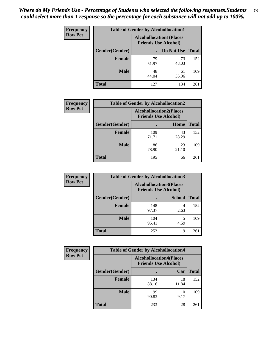| <b>Frequency</b> | <b>Table of Gender by Alcohollocation1</b> |                                                               |             |              |
|------------------|--------------------------------------------|---------------------------------------------------------------|-------------|--------------|
| <b>Row Pct</b>   |                                            | <b>Alcohollocation1(Places</b><br><b>Friends Use Alcohol)</b> |             |              |
|                  | Gender(Gender)                             |                                                               | Do Not Use  | <b>Total</b> |
|                  | <b>Female</b>                              | 79<br>51.97                                                   | 73<br>48.03 | 152          |
|                  | <b>Male</b>                                | 48<br>44.04                                                   | 61<br>55.96 | 109          |
|                  | <b>Total</b>                               | 127                                                           | 134         | 261          |

| <b>Frequency</b> | <b>Table of Gender by Alcohollocation2</b> |                                                               |             |              |
|------------------|--------------------------------------------|---------------------------------------------------------------|-------------|--------------|
| <b>Row Pct</b>   |                                            | <b>Alcohollocation2(Places</b><br><b>Friends Use Alcohol)</b> |             |              |
|                  | Gender(Gender)                             |                                                               | Home        | <b>Total</b> |
|                  | <b>Female</b>                              | 109<br>71.71                                                  | 43<br>28.29 | 152          |
|                  | <b>Male</b>                                | 86<br>78.90                                                   | 23<br>21.10 | 109          |
|                  | <b>Total</b>                               | 195                                                           | 66          | 261          |

| Frequency      | <b>Table of Gender by Alcohollocation3</b> |                                                                |               |              |
|----------------|--------------------------------------------|----------------------------------------------------------------|---------------|--------------|
| <b>Row Pct</b> |                                            | <b>Alcohollocation3</b> (Places<br><b>Friends Use Alcohol)</b> |               |              |
|                | Gender(Gender)                             |                                                                | <b>School</b> | <b>Total</b> |
|                | <b>Female</b>                              | 148<br>97.37                                                   | 4<br>2.63     | 152          |
|                | <b>Male</b>                                | 104<br>95.41                                                   | 4.59          | 109          |
|                | <b>Total</b>                               | 252                                                            | 9             | 261          |

| <b>Frequency</b> | <b>Table of Gender by Alcohollocation4</b> |                                                               |             |              |
|------------------|--------------------------------------------|---------------------------------------------------------------|-------------|--------------|
| <b>Row Pct</b>   |                                            | <b>Alcohollocation4(Places</b><br><b>Friends Use Alcohol)</b> |             |              |
|                  | Gender(Gender)                             |                                                               | Car         | <b>Total</b> |
|                  | <b>Female</b>                              | 134<br>88.16                                                  | 18<br>11.84 | 152          |
|                  | <b>Male</b>                                | 99<br>90.83                                                   | 10<br>9.17  | 109          |
|                  | <b>Total</b>                               | 233                                                           | 28          | 261          |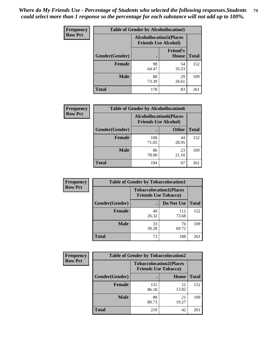| <b>Frequency</b> | <b>Table of Gender by Alcohollocation5</b> |                                                               |                                 |              |
|------------------|--------------------------------------------|---------------------------------------------------------------|---------------------------------|--------------|
| <b>Row Pct</b>   |                                            | <b>Alcohollocation5(Places</b><br><b>Friends Use Alcohol)</b> |                                 |              |
|                  | Gender(Gender)                             |                                                               | <b>Friend's</b><br><b>House</b> | <b>Total</b> |
|                  | <b>Female</b>                              | 98<br>64.47                                                   | 54<br>35.53                     | 152          |
|                  | <b>Male</b>                                | 80<br>73.39                                                   | 29<br>26.61                     | 109          |
|                  | <b>Total</b>                               | 178                                                           | 83                              | 261          |

| Frequency      | <b>Table of Gender by Alcohollocation6</b> |                                                               |              |              |
|----------------|--------------------------------------------|---------------------------------------------------------------|--------------|--------------|
| <b>Row Pct</b> |                                            | <b>Alcohollocation6(Places</b><br><b>Friends Use Alcohol)</b> |              |              |
|                | <b>Gender</b> (Gender)                     |                                                               | <b>Other</b> | <b>Total</b> |
|                | <b>Female</b>                              | 108<br>71.05                                                  | 44<br>28.95  | 152          |
|                | <b>Male</b>                                | 86<br>78.90                                                   | 23<br>21.10  | 109          |
|                | <b>Total</b>                               | 194                                                           | 67           | 261          |

| Frequency      | <b>Table of Gender by Tobaccolocation1</b> |                                                               |              |              |  |
|----------------|--------------------------------------------|---------------------------------------------------------------|--------------|--------------|--|
| <b>Row Pct</b> |                                            | <b>Tobaccolocation1(Places</b><br><b>Friends Use Tobacco)</b> |              |              |  |
|                | Gender(Gender)                             |                                                               | Do Not Use   | <b>Total</b> |  |
|                | Female                                     | 40<br>26.32                                                   | 112<br>73.68 | 152          |  |
|                | <b>Male</b>                                | 33<br>30.28                                                   | 76<br>69.72  | 109          |  |
|                | <b>Total</b>                               | 73                                                            | 188          | 261          |  |

| <b>Frequency</b> |                | <b>Table of Gender by Tobaccolocation2</b>                    |             |              |
|------------------|----------------|---------------------------------------------------------------|-------------|--------------|
| <b>Row Pct</b>   |                | <b>Tobaccolocation2(Places</b><br><b>Friends Use Tobacco)</b> |             |              |
|                  | Gender(Gender) |                                                               | Home        | <b>Total</b> |
|                  | Female         | 131<br>86.18                                                  | 21<br>13.82 | 152          |
|                  | <b>Male</b>    | 88<br>80.73                                                   | 21<br>19.27 | 109          |
|                  | <b>Total</b>   | 219                                                           | 42          | 261          |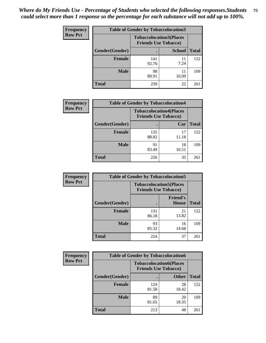| <b>Frequency</b> | <b>Table of Gender by Tobaccolocation3</b> |              |                                                               |              |
|------------------|--------------------------------------------|--------------|---------------------------------------------------------------|--------------|
| <b>Row Pct</b>   |                                            |              | <b>Tobaccolocation3(Places</b><br><b>Friends Use Tobacco)</b> |              |
|                  | Gender(Gender)                             |              | <b>School</b>                                                 | <b>Total</b> |
|                  | <b>Female</b>                              | 141<br>92.76 | 11<br>7.24                                                    | 152          |
|                  | <b>Male</b>                                | 98<br>89.91  | 11<br>10.09                                                   | 109          |
|                  | Total                                      | 239          | 22                                                            | 261          |

| <b>Frequency</b> | <b>Table of Gender by Tobaccolocation4</b> |                                                               |             |              |
|------------------|--------------------------------------------|---------------------------------------------------------------|-------------|--------------|
| <b>Row Pct</b>   |                                            | <b>Tobaccolocation4(Places</b><br><b>Friends Use Tobacco)</b> |             |              |
|                  | Gender(Gender)                             |                                                               | Car         | <b>Total</b> |
|                  | <b>Female</b>                              | 135<br>88.82                                                  | 17<br>11.18 | 152          |
|                  | <b>Male</b>                                | 91<br>83.49                                                   | 18<br>16.51 | 109          |
|                  | <b>Total</b>                               | 226                                                           | 35          | 261          |

| <b>Frequency</b> | <b>Table of Gender by Tobaccolocation5</b> |                                                               |                                 |              |
|------------------|--------------------------------------------|---------------------------------------------------------------|---------------------------------|--------------|
| <b>Row Pct</b>   |                                            | <b>Tobaccolocation5(Places</b><br><b>Friends Use Tobacco)</b> |                                 |              |
|                  | Gender(Gender)                             |                                                               | <b>Friend's</b><br><b>House</b> | <b>Total</b> |
|                  | <b>Female</b>                              | 131<br>86.18                                                  | 21<br>13.82                     | 152          |
|                  | <b>Male</b>                                | 93<br>85.32                                                   | 16<br>14.68                     | 109          |
|                  | <b>Total</b>                               | 224                                                           | 37                              | 261          |

| <b>Frequency</b> |                | <b>Table of Gender by Tobaccolocation6</b>                    |              |              |
|------------------|----------------|---------------------------------------------------------------|--------------|--------------|
| <b>Row Pct</b>   |                | <b>Tobaccolocation6(Places</b><br><b>Friends Use Tobacco)</b> |              |              |
|                  | Gender(Gender) |                                                               | <b>Other</b> | <b>Total</b> |
|                  | Female         | 124<br>81.58                                                  | 28<br>18.42  | 152          |
|                  | <b>Male</b>    | 89<br>81.65                                                   | 20<br>18.35  | 109          |
|                  | <b>Total</b>   | 213                                                           | 48           | 261          |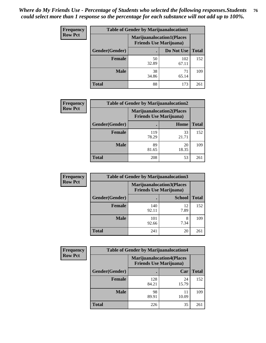| <b>Frequency</b> | <b>Table of Gender by Marijuanalocation1</b> |                                                                    |              |              |
|------------------|----------------------------------------------|--------------------------------------------------------------------|--------------|--------------|
| <b>Row Pct</b>   |                                              | <b>Marijuanalocation1(Places</b><br><b>Friends Use Marijuana</b> ) |              |              |
|                  | Gender(Gender)                               |                                                                    | Do Not Use   | <b>Total</b> |
|                  | <b>Female</b>                                | 50<br>32.89                                                        | 102<br>67.11 | 152          |
|                  | <b>Male</b>                                  | 38<br>34.86                                                        | 71<br>65.14  | 109          |
|                  | <b>Total</b>                                 | 88                                                                 | 173          | 261          |

| <b>Frequency</b> | <b>Table of Gender by Marijuanalocation2</b> |                                                                    |             |              |  |
|------------------|----------------------------------------------|--------------------------------------------------------------------|-------------|--------------|--|
| <b>Row Pct</b>   |                                              | <b>Marijuanalocation2(Places</b><br><b>Friends Use Marijuana</b> ) |             |              |  |
|                  | Gender(Gender)                               |                                                                    | Home        | <b>Total</b> |  |
|                  | <b>Female</b>                                | 119<br>78.29                                                       | 33<br>21.71 | 152          |  |
|                  | <b>Male</b>                                  | 89<br>81.65                                                        | 20<br>18.35 | 109          |  |
|                  | <b>Total</b>                                 | 208                                                                | 53          | 261          |  |

| Frequency      | <b>Table of Gender by Marijuanalocation3</b> |              |                                                                     |              |
|----------------|----------------------------------------------|--------------|---------------------------------------------------------------------|--------------|
| <b>Row Pct</b> |                                              |              | <b>Marijuanalocation3(Places)</b><br><b>Friends Use Marijuana</b> ) |              |
|                | Gender(Gender)                               |              | <b>School</b>                                                       | <b>Total</b> |
|                | Female                                       | 140<br>92.11 | 12<br>7.89                                                          | 152          |
|                | <b>Male</b>                                  | 101<br>92.66 | 7.34                                                                | 109          |
|                | <b>Total</b>                                 | 241          | 20                                                                  | 261          |

| Frequency      | <b>Table of Gender by Marijuanalocation4</b> |                                                                    |             |              |
|----------------|----------------------------------------------|--------------------------------------------------------------------|-------------|--------------|
| <b>Row Pct</b> |                                              | <b>Marijuanalocation4(Places</b><br><b>Friends Use Marijuana</b> ) |             |              |
|                | Gender(Gender)                               |                                                                    | Car         | <b>Total</b> |
|                | <b>Female</b>                                | 128<br>84.21                                                       | 24<br>15.79 | 152          |
|                | <b>Male</b>                                  | 98<br>89.91                                                        | 11<br>10.09 | 109          |
|                | <b>Total</b>                                 | 226                                                                | 35          | 261          |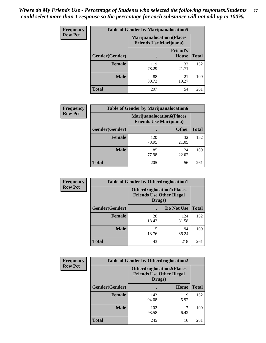| <b>Frequency</b> | <b>Table of Gender by Marijuanalocation5</b> |                                                                     |                          |              |
|------------------|----------------------------------------------|---------------------------------------------------------------------|--------------------------|--------------|
| <b>Row Pct</b>   |                                              | <b>Marijuanalocation5</b> (Places<br><b>Friends Use Marijuana</b> ) |                          |              |
|                  | Gender(Gender)                               |                                                                     | <b>Friend's</b><br>House | <b>Total</b> |
|                  | <b>Female</b>                                | 119<br>78.29                                                        | 33<br>21.71              | 152          |
|                  | <b>Male</b>                                  | 88<br>80.73                                                         | 21<br>19.27              | 109          |
|                  | <b>Total</b>                                 | 207                                                                 | 54                       | 261          |

| <b>Frequency</b> | <b>Table of Gender by Marijuanalocation6</b> |                                                                     |              |              |  |
|------------------|----------------------------------------------|---------------------------------------------------------------------|--------------|--------------|--|
| <b>Row Pct</b>   |                                              | <b>Marijuanalocation6(Places)</b><br><b>Friends Use Marijuana</b> ) |              |              |  |
|                  | <b>Gender</b> (Gender)                       |                                                                     | <b>Other</b> | <b>Total</b> |  |
|                  | <b>Female</b>                                | 120<br>78.95                                                        | 32<br>21.05  | 152          |  |
|                  | <b>Male</b>                                  | 85<br>77.98                                                         | 24<br>22.02  | 109          |  |
|                  | <b>Total</b>                                 | 205                                                                 | 56           | 261          |  |

| Frequency      | <b>Table of Gender by Otherdruglocation1</b> |                                                                                |              |              |
|----------------|----------------------------------------------|--------------------------------------------------------------------------------|--------------|--------------|
| <b>Row Pct</b> |                                              | <b>Otherdruglocation1(Places</b><br><b>Friends Use Other Illegal</b><br>Drugs) |              |              |
|                | <b>Gender</b> (Gender)                       |                                                                                | Do Not Use   | <b>Total</b> |
|                | <b>Female</b>                                | 28<br>18.42                                                                    | 124<br>81.58 | 152          |
|                | <b>Male</b>                                  | 15<br>13.76                                                                    | 94<br>86.24  | 109          |
|                | <b>Total</b>                                 | 43                                                                             | 218          | 261          |

| Frequency      | <b>Table of Gender by Otherdruglocation2</b> |                                                                                |           |              |
|----------------|----------------------------------------------|--------------------------------------------------------------------------------|-----------|--------------|
| <b>Row Pct</b> |                                              | <b>Otherdruglocation2(Places</b><br><b>Friends Use Other Illegal</b><br>Drugs) |           |              |
|                | Gender(Gender)                               |                                                                                | Home      | <b>Total</b> |
|                | Female                                       | 143<br>94.08                                                                   | 9<br>5.92 | 152          |
|                | <b>Male</b>                                  | 102<br>93.58                                                                   | 6.42      | 109          |
|                | <b>Total</b>                                 | 245                                                                            | 16        | 261          |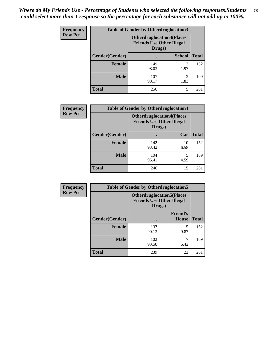| <b>Frequency</b> | <b>Table of Gender by Otherdruglocation3</b> |                                                                                |               |              |
|------------------|----------------------------------------------|--------------------------------------------------------------------------------|---------------|--------------|
| <b>Row Pct</b>   |                                              | <b>Otherdruglocation3(Places</b><br><b>Friends Use Other Illegal</b><br>Drugs) |               |              |
|                  | Gender(Gender)                               |                                                                                | <b>School</b> | <b>Total</b> |
|                  | <b>Female</b>                                | 149<br>98.03                                                                   | 3<br>1.97     | 152          |
|                  | <b>Male</b>                                  | 107<br>98.17                                                                   | 2<br>1.83     | 109          |
|                  | <b>Total</b>                                 | 256                                                                            | 5             | 261          |

| <b>Frequency</b> | <b>Table of Gender by Otherdruglocation4</b> |                                                                                |            |              |
|------------------|----------------------------------------------|--------------------------------------------------------------------------------|------------|--------------|
| <b>Row Pct</b>   |                                              | <b>Otherdruglocation4(Places</b><br><b>Friends Use Other Illegal</b><br>Drugs) |            |              |
|                  | Gender(Gender)                               |                                                                                | Car        | <b>Total</b> |
|                  | Female                                       | 142<br>93.42                                                                   | 10<br>6.58 | 152          |
|                  | <b>Male</b>                                  | 104<br>95.41                                                                   | 5<br>4.59  | 109          |
|                  | <b>Total</b>                                 | 246                                                                            | 15         | 261          |

| Frequency      | <b>Table of Gender by Otherdruglocation5</b> |                                                                                |                                 |              |
|----------------|----------------------------------------------|--------------------------------------------------------------------------------|---------------------------------|--------------|
| <b>Row Pct</b> |                                              | <b>Otherdruglocation5(Places</b><br><b>Friends Use Other Illegal</b><br>Drugs) |                                 |              |
|                | Gender(Gender)                               |                                                                                | <b>Friend's</b><br><b>House</b> | <b>Total</b> |
|                | <b>Female</b>                                | 137<br>90.13                                                                   | 15<br>9.87                      | 152          |
|                | <b>Male</b>                                  | 102<br>93.58                                                                   | 6.42                            | 109          |
|                | <b>Total</b>                                 | 239                                                                            | 22                              | 261          |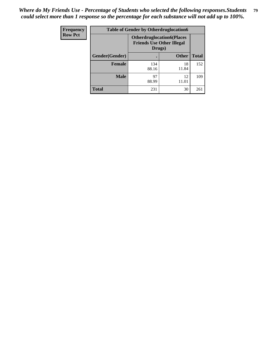| <b>Frequency</b> | <b>Table of Gender by Otherdruglocation6</b> |                                                                                |              |              |
|------------------|----------------------------------------------|--------------------------------------------------------------------------------|--------------|--------------|
| <b>Row Pct</b>   |                                              | <b>Otherdruglocation6(Places</b><br><b>Friends Use Other Illegal</b><br>Drugs) |              |              |
|                  | Gender(Gender)                               |                                                                                | <b>Other</b> | <b>Total</b> |
|                  | Female                                       | 134<br>88.16                                                                   | 18<br>11.84  | 152          |
|                  | <b>Male</b>                                  | 97<br>88.99                                                                    | 12<br>11.01  | 109          |
|                  | <b>Total</b>                                 | 231                                                                            | 30           | 261          |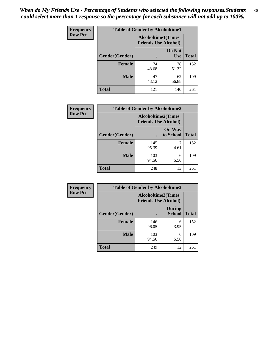| <b>Frequency</b> | <b>Table of Gender by Alcoholtime1</b> |                                                          |                      |              |
|------------------|----------------------------------------|----------------------------------------------------------|----------------------|--------------|
| <b>Row Pct</b>   |                                        | <b>Alcoholtime1(Times</b><br><b>Friends Use Alcohol)</b> |                      |              |
|                  | Gender(Gender)                         | $\bullet$                                                | Do Not<br><b>Use</b> | <b>Total</b> |
|                  | <b>Female</b>                          | 74<br>48.68                                              | 78<br>51.32          | 152          |
|                  | <b>Male</b>                            | 47<br>43.12                                              | 62<br>56.88          | 109          |
|                  | <b>Total</b>                           | 121                                                      | 140                  | 261          |

| Frequency      | <b>Table of Gender by Alcoholtime2</b> |                                                          |                            |              |
|----------------|----------------------------------------|----------------------------------------------------------|----------------------------|--------------|
| <b>Row Pct</b> |                                        | <b>Alcoholtime2(Times</b><br><b>Friends Use Alcohol)</b> |                            |              |
|                | Gender(Gender)                         |                                                          | <b>On Way</b><br>to School | <b>Total</b> |
|                | <b>Female</b>                          | 145<br>95.39                                             | 4.61                       | 152          |
|                | <b>Male</b>                            | 103<br>94.50                                             | 6<br>5.50                  | 109          |
|                | <b>Total</b>                           | 248                                                      | 13                         | 261          |

| Frequency      | <b>Table of Gender by Alcoholtime3</b> |                                                          |                                |              |
|----------------|----------------------------------------|----------------------------------------------------------|--------------------------------|--------------|
| <b>Row Pct</b> |                                        | <b>Alcoholtime3(Times</b><br><b>Friends Use Alcohol)</b> |                                |              |
|                | Gender(Gender)                         |                                                          | <b>During</b><br><b>School</b> | <b>Total</b> |
|                | <b>Female</b>                          | 146<br>96.05                                             | 6<br>3.95                      | 152          |
|                | <b>Male</b>                            | 103<br>94.50                                             | 6<br>5.50                      | 109          |
|                | <b>Total</b>                           | 249                                                      | 12                             | 261          |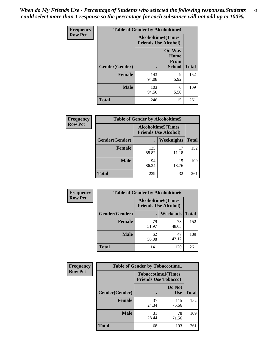*When do My Friends Use - Percentage of Students who selected the following responses.Students could select more than 1 response so the percentage for each substance will not add up to 100%.* **81**

| <b>Frequency</b> | <b>Table of Gender by Alcoholtime4</b> |                                                          |                                                |              |
|------------------|----------------------------------------|----------------------------------------------------------|------------------------------------------------|--------------|
| <b>Row Pct</b>   |                                        | <b>Alcoholtime4(Times</b><br><b>Friends Use Alcohol)</b> |                                                |              |
|                  | Gender(Gender)                         |                                                          | <b>On Way</b><br>Home<br>From<br><b>School</b> | <b>Total</b> |
|                  | <b>Female</b>                          | 143<br>94.08                                             | 9<br>5.92                                      | 152          |
|                  | <b>Male</b>                            | 103<br>94.50                                             | 6<br>5.50                                      | 109          |
|                  | <b>Total</b>                           | 246                                                      | 15                                             | 261          |

| <b>Frequency</b> | <b>Table of Gender by Alcoholtime5</b> |                                                           |             |              |
|------------------|----------------------------------------|-----------------------------------------------------------|-------------|--------------|
| <b>Row Pct</b>   |                                        | <b>Alcoholtime5</b> (Times<br><b>Friends Use Alcohol)</b> |             |              |
|                  | Gender(Gender)                         |                                                           | Weeknights  | <b>Total</b> |
|                  | <b>Female</b>                          | 135<br>88.82                                              | 17<br>11.18 | 152          |
|                  | <b>Male</b>                            | 94<br>86.24                                               | 15<br>13.76 | 109          |
|                  | <b>Total</b>                           | 229                                                       | 32          | 261          |

| <b>Frequency</b> | <b>Table of Gender by Alcoholtime6</b> |             |                                                          |              |  |
|------------------|----------------------------------------|-------------|----------------------------------------------------------|--------------|--|
| <b>Row Pct</b>   |                                        |             | <b>Alcoholtime6(Times</b><br><b>Friends Use Alcohol)</b> |              |  |
|                  | Gender(Gender)                         |             | Weekends                                                 | <b>Total</b> |  |
|                  | Female                                 | 79<br>51.97 | 73<br>48.03                                              | 152          |  |
|                  | <b>Male</b>                            | 62<br>56.88 | 47<br>43.12                                              | 109          |  |
|                  | <b>Total</b>                           | 141         | 120                                                      | 261          |  |

| <b>Frequency</b> | <b>Table of Gender by Tobaccotime1</b> |                                                          |                      |              |
|------------------|----------------------------------------|----------------------------------------------------------|----------------------|--------------|
| <b>Row Pct</b>   |                                        | <b>Tobaccotime1(Times</b><br><b>Friends Use Tobacco)</b> |                      |              |
|                  | Gender(Gender)                         |                                                          | Do Not<br><b>Use</b> | <b>Total</b> |
|                  | <b>Female</b>                          | 37<br>24.34                                              | 115<br>75.66         | 152          |
|                  | <b>Male</b>                            | 31<br>28.44                                              | 78<br>71.56          | 109          |
|                  | <b>Total</b>                           | 68                                                       | 193                  | 261          |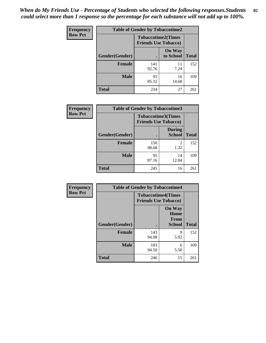*When do My Friends Use - Percentage of Students who selected the following responses.Students could select more than 1 response so the percentage for each substance will not add up to 100%.* **82**

| <b>Frequency</b> | <b>Table of Gender by Tobaccotime2</b> |                                                          |                            |              |
|------------------|----------------------------------------|----------------------------------------------------------|----------------------------|--------------|
| <b>Row Pct</b>   |                                        | <b>Tobaccotime2(Times</b><br><b>Friends Use Tobacco)</b> |                            |              |
|                  | Gender(Gender)                         | $\bullet$                                                | <b>On Way</b><br>to School | <b>Total</b> |
|                  | Female                                 | 141<br>92.76                                             | 11<br>7.24                 | 152          |
|                  | <b>Male</b>                            | 93<br>85.32                                              | 16<br>14.68                | 109          |
|                  | <b>Total</b>                           | 234                                                      | 27                         | 261          |

| Frequency      | <b>Table of Gender by Tobaccotime3</b> |                                                          |                                |              |
|----------------|----------------------------------------|----------------------------------------------------------|--------------------------------|--------------|
| <b>Row Pct</b> |                                        | <b>Tobaccotime3(Times</b><br><b>Friends Use Tobacco)</b> |                                |              |
|                | Gender(Gender)                         |                                                          | <b>During</b><br><b>School</b> | <b>Total</b> |
|                | Female                                 | 150<br>98.68                                             | 2<br>1.32                      | 152          |
|                | <b>Male</b>                            | 95<br>87.16                                              | 14<br>12.84                    | 109          |
|                | <b>Total</b>                           | 245                                                      | 16                             | 261          |

| <b>Frequency</b> | <b>Table of Gender by Tobaccotime4</b> |                                                          |                                                       |              |
|------------------|----------------------------------------|----------------------------------------------------------|-------------------------------------------------------|--------------|
| <b>Row Pct</b>   |                                        | <b>Tobaccotime4(Times</b><br><b>Friends Use Tobacco)</b> |                                                       |              |
|                  | Gender(Gender)                         |                                                          | <b>On Way</b><br>Home<br><b>From</b><br><b>School</b> | <b>Total</b> |
|                  | <b>Female</b>                          | 143<br>94.08                                             | 9<br>5.92                                             | 152          |
|                  | <b>Male</b>                            | 103<br>94.50                                             | 6<br>5.50                                             | 109          |
|                  | <b>Total</b>                           | 246                                                      | 15                                                    | 261          |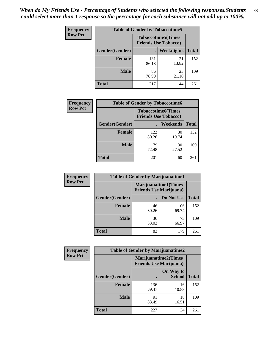| <b>Frequency</b> | <b>Table of Gender by Tobaccotime5</b> |              |                                                          |              |
|------------------|----------------------------------------|--------------|----------------------------------------------------------|--------------|
| <b>Row Pct</b>   |                                        |              | <b>Tobaccotime5(Times</b><br><b>Friends Use Tobacco)</b> |              |
|                  | <b>Gender</b> (Gender)                 |              | <b>Weeknights</b>                                        | <b>Total</b> |
|                  | <b>Female</b>                          | 131<br>86.18 | 21<br>13.82                                              | 152          |
|                  | <b>Male</b>                            | 86<br>78.90  | 23<br>21.10                                              | 109          |
|                  | Total                                  | 217          | 44                                                       | 261          |

| <b>Frequency</b> | <b>Table of Gender by Tobaccotime6</b> |                                                          |                 |              |
|------------------|----------------------------------------|----------------------------------------------------------|-----------------|--------------|
| <b>Row Pct</b>   |                                        | <b>Tobaccotime6(Times</b><br><b>Friends Use Tobacco)</b> |                 |              |
|                  | Gender(Gender)                         |                                                          | <b>Weekends</b> | <b>Total</b> |
|                  | Female                                 | 122<br>80.26                                             | 30<br>19.74     | 152          |
|                  | <b>Male</b>                            | 79<br>72.48                                              | 30<br>27.52     | 109          |
|                  | <b>Total</b>                           | 201                                                      | 60              | 261          |

| Frequency      |                | <b>Table of Gender by Marijuanatime1</b>                      |              |              |
|----------------|----------------|---------------------------------------------------------------|--------------|--------------|
| <b>Row Pct</b> |                | <b>Marijuanatime1(Times</b><br><b>Friends Use Marijuana</b> ) |              |              |
|                | Gender(Gender) |                                                               | Do Not Use   | <b>Total</b> |
|                | <b>Female</b>  | 46<br>30.26                                                   | 106<br>69.74 | 152          |
|                | <b>Male</b>    | 36<br>33.03                                                   | 73<br>66.97  | 109          |
|                | <b>Total</b>   | 82                                                            | 179          | 261          |

| <b>Frequency</b> | <b>Table of Gender by Marijuanatime2</b> |                                                               |                            |              |
|------------------|------------------------------------------|---------------------------------------------------------------|----------------------------|--------------|
| <b>Row Pct</b>   |                                          | <b>Marijuanatime2(Times</b><br><b>Friends Use Marijuana</b> ) |                            |              |
|                  | Gender(Gender)                           |                                                               | On Way to<br><b>School</b> | <b>Total</b> |
|                  | Female                                   | 136<br>89.47                                                  | 16<br>10.53                | 152          |
|                  | <b>Male</b>                              | 91<br>83.49                                                   | 18<br>16.51                | 109          |
|                  | <b>Total</b>                             | 227                                                           | 34                         | 261          |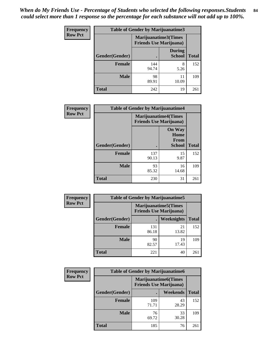*When do My Friends Use - Percentage of Students who selected the following responses.Students could select more than 1 response so the percentage for each substance will not add up to 100%.* **84**

| <b>Frequency</b> | Table of Gender by Marijuanatime3 |                                                        |                                |              |
|------------------|-----------------------------------|--------------------------------------------------------|--------------------------------|--------------|
| <b>Row Pct</b>   |                                   | Marijuanatime3(Times<br><b>Friends Use Marijuana</b> ) |                                |              |
|                  | Gender(Gender)                    |                                                        | <b>During</b><br><b>School</b> | <b>Total</b> |
|                  | <b>Female</b>                     | 144<br>94.74                                           | 8<br>5.26                      | 152          |
|                  | <b>Male</b>                       | 98<br>89.91                                            | 11<br>10.09                    | 109          |
|                  | <b>Total</b>                      | 242                                                    | 19                             | 261          |

| Frequency      | <b>Table of Gender by Marijuanatime4</b> |                                                                |                                                       |              |
|----------------|------------------------------------------|----------------------------------------------------------------|-------------------------------------------------------|--------------|
| <b>Row Pct</b> |                                          | <b>Marijuanatime4</b> (Times<br><b>Friends Use Marijuana</b> ) |                                                       |              |
|                | Gender(Gender)                           |                                                                | <b>On Way</b><br>Home<br><b>From</b><br><b>School</b> | <b>Total</b> |
|                | <b>Female</b>                            | 137<br>90.13                                                   | 15<br>9.87                                            | 152          |
|                | <b>Male</b>                              | 93<br>85.32                                                    | 16<br>14.68                                           | 109          |
|                | <b>Total</b>                             | 230                                                            | 31                                                    | 261          |

| Frequency      | <b>Table of Gender by Marijuanatime5</b> |                                                                |             |              |  |
|----------------|------------------------------------------|----------------------------------------------------------------|-------------|--------------|--|
| <b>Row Pct</b> |                                          | <b>Marijuanatime5</b> (Times<br><b>Friends Use Marijuana</b> ) |             |              |  |
|                | Gender(Gender)                           | ٠                                                              | Weeknights  | <b>Total</b> |  |
|                | <b>Female</b>                            | 131<br>86.18                                                   | 21<br>13.82 | 152          |  |
|                | <b>Male</b>                              | 90<br>82.57                                                    | 19<br>17.43 | 109          |  |
|                | <b>Total</b>                             | 221                                                            | 40          | 261          |  |

| <b>Frequency</b> | <b>Table of Gender by Marijuanatime6</b> |              |                                                                |              |
|------------------|------------------------------------------|--------------|----------------------------------------------------------------|--------------|
| <b>Row Pct</b>   |                                          |              | <b>Marijuanatime6</b> (Times<br><b>Friends Use Marijuana</b> ) |              |
|                  | Gender(Gender)                           |              | <b>Weekends</b>                                                | <b>Total</b> |
|                  | <b>Female</b>                            | 109<br>71.71 | 43<br>28.29                                                    | 152          |
|                  | <b>Male</b>                              | 76<br>69.72  | 33<br>30.28                                                    | 109          |
|                  | <b>Total</b>                             | 185          | 76                                                             | 261          |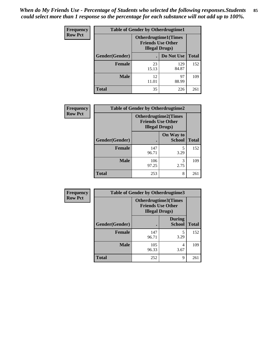*When do My Friends Use - Percentage of Students who selected the following responses.Students could select more than 1 response so the percentage for each substance will not add up to 100%.* **85**

| <b>Frequency</b> | <b>Table of Gender by Otherdrugtime1</b> |                                                                                    |              |              |  |
|------------------|------------------------------------------|------------------------------------------------------------------------------------|--------------|--------------|--|
| <b>Row Pct</b>   |                                          | <b>Otherdrugtime1</b> (Times<br><b>Friends Use Other</b><br><b>Illegal Drugs</b> ) |              |              |  |
|                  | Gender(Gender)                           |                                                                                    | Do Not Use   | <b>Total</b> |  |
|                  | <b>Female</b>                            | 23<br>15.13                                                                        | 129<br>84.87 | 152          |  |
|                  | <b>Male</b>                              | 12<br>11.01                                                                        | 97<br>88.99  | 109          |  |
|                  | <b>Total</b>                             | 35                                                                                 | 226          | 261          |  |

| Frequency      | <b>Table of Gender by Otherdrugtime2</b> |                                                                                   |                            |              |
|----------------|------------------------------------------|-----------------------------------------------------------------------------------|----------------------------|--------------|
| <b>Row Pct</b> |                                          | <b>Otherdrugtime2(Times</b><br><b>Friends Use Other</b><br><b>Illegal Drugs</b> ) |                            |              |
|                | Gender(Gender)                           |                                                                                   | On Way to<br><b>School</b> | <b>Total</b> |
|                | <b>Female</b>                            | 147<br>96.71                                                                      | 5<br>3.29                  | 152          |
|                | <b>Male</b>                              | 106<br>97.25                                                                      | 3<br>2.75                  | 109          |
|                | <b>Total</b>                             | 253                                                                               | 8                          | 261          |

| Frequency      | <b>Table of Gender by Otherdrugtime3</b> |                                                    |                                |              |
|----------------|------------------------------------------|----------------------------------------------------|--------------------------------|--------------|
| <b>Row Pct</b> |                                          | <b>Friends Use Other</b><br><b>Illegal Drugs</b> ) | Otherdrugtime3(Times           |              |
|                | Gender(Gender)                           |                                                    | <b>During</b><br><b>School</b> | <b>Total</b> |
|                | <b>Female</b>                            | 147<br>96.71                                       | 5<br>3.29                      | 152          |
|                | <b>Male</b>                              | 105<br>96.33                                       | 4<br>3.67                      | 109          |
|                | <b>Total</b>                             | 252                                                | $\mathbf Q$                    | 261          |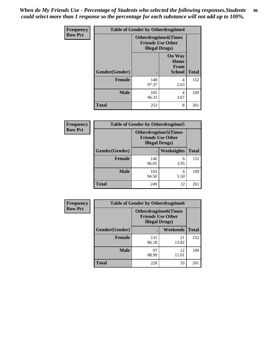*When do My Friends Use - Percentage of Students who selected the following responses.Students could select more than 1 response so the percentage for each substance will not add up to 100%.* **86**

| Frequency      | <b>Table of Gender by Otherdrugtime4</b> |                        |                                                         |              |
|----------------|------------------------------------------|------------------------|---------------------------------------------------------|--------------|
| <b>Row Pct</b> |                                          | <b>Illegal Drugs</b> ) | <b>Otherdrugtime4(Times</b><br><b>Friends Use Other</b> |              |
|                | Gender(Gender)                           |                        | <b>On Way</b><br>Home<br><b>From</b><br><b>School</b>   | <b>Total</b> |
|                | <b>Female</b>                            | 148<br>97.37           | 4<br>2.63                                               | 152          |
|                | <b>Male</b>                              | 105<br>96.33           | 4<br>3.67                                               | 109          |
|                | <b>Total</b>                             | 253                    | 8                                                       | 261          |

| Frequency      | <b>Table of Gender by Otherdrugtime5</b> |                                                                                    |            |              |
|----------------|------------------------------------------|------------------------------------------------------------------------------------|------------|--------------|
| <b>Row Pct</b> |                                          | <b>Otherdrugtime5</b> (Times<br><b>Friends Use Other</b><br><b>Illegal Drugs</b> ) |            |              |
|                | Gender(Gender)                           |                                                                                    | Weeknights | <b>Total</b> |
|                | <b>Female</b>                            | 146<br>96.05                                                                       | 6<br>3.95  | 152          |
|                | <b>Male</b>                              | 103<br>94.50                                                                       | 6<br>5.50  | 109          |
|                | <b>Total</b>                             | 249                                                                                | 12         | 261          |

| <b>Frequency</b> | <b>Table of Gender by Otherdrugtime6</b> |                                                                                   |             |              |
|------------------|------------------------------------------|-----------------------------------------------------------------------------------|-------------|--------------|
| <b>Row Pct</b>   |                                          | <b>Otherdrugtime6(Times</b><br><b>Friends Use Other</b><br><b>Illegal Drugs</b> ) |             |              |
|                  | Gender(Gender)                           |                                                                                   | Weekends    | <b>Total</b> |
|                  | <b>Female</b>                            | 131<br>86.18                                                                      | 21<br>13.82 | 152          |
|                  | <b>Male</b>                              | 97<br>88.99                                                                       | 12<br>11.01 | 109          |
|                  | <b>Total</b>                             | 228                                                                               | 33          | 261          |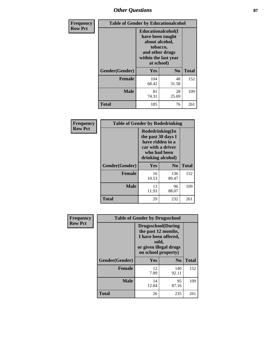## *Other Questions* **87**

| <b>Frequency</b> | <b>Table of Gender by Educationalcohol</b> |                                                                                                                                       |                |              |
|------------------|--------------------------------------------|---------------------------------------------------------------------------------------------------------------------------------------|----------------|--------------|
| <b>Row Pct</b>   |                                            | <b>Educationalcohol</b> (I<br>have been taught<br>about alcohol,<br>tobacco,<br>and other drugs<br>within the last year<br>at school) |                |              |
|                  | Gender(Gender)                             | <b>Yes</b>                                                                                                                            | N <sub>0</sub> | <b>Total</b> |
|                  | <b>Female</b>                              | 104<br>68.42                                                                                                                          | 48<br>31.58    | 152          |
|                  | <b>Male</b>                                | 81<br>74.31                                                                                                                           | 28<br>25.69    | 109          |
|                  | <b>Total</b>                               | 185                                                                                                                                   | 76             | 261          |

| Frequency      | <b>Table of Gender by Rodedrinking</b> |                                                                                                                     |                |              |
|----------------|----------------------------------------|---------------------------------------------------------------------------------------------------------------------|----------------|--------------|
| <b>Row Pct</b> |                                        | Rodedrinking(In<br>the past 30 days I<br>have ridden in a<br>car with a driver<br>who had been<br>drinking alcohol) |                |              |
|                | Gender(Gender)                         | Yes                                                                                                                 | N <sub>0</sub> | <b>Total</b> |
|                | <b>Female</b>                          | 16<br>10.53                                                                                                         | 136<br>89.47   | 152          |
|                | <b>Male</b>                            | 13<br>11.93                                                                                                         | 96<br>88.07    | 109          |
|                | <b>Total</b>                           | 29                                                                                                                  | 232            | 261          |

| Frequency      | <b>Table of Gender by Drugsschool</b> |                                                                                                                                     |                |              |  |
|----------------|---------------------------------------|-------------------------------------------------------------------------------------------------------------------------------------|----------------|--------------|--|
| <b>Row Pct</b> |                                       | <b>Drugsschool</b> (During<br>the past 12 months,<br>I have been offered,<br>sold,<br>or given illegal drugs<br>on school property) |                |              |  |
|                | Gender(Gender)                        | Yes                                                                                                                                 | N <sub>0</sub> | <b>Total</b> |  |
|                | <b>Female</b>                         | 12<br>7.89                                                                                                                          | 140<br>92.11   | 152          |  |
|                | <b>Male</b>                           | 14<br>12.84                                                                                                                         | 95<br>87.16    | 109          |  |
|                | <b>Total</b>                          | 26                                                                                                                                  | 235            | 261          |  |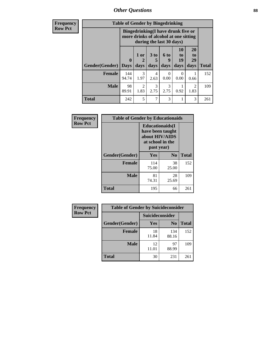*Other Questions* **88**

**Frequency Row Pct**

| <b>Table of Gender by Bingedrinking</b>                                                                                                                                                 |              |                                                                                                         |           |           |      |                        |              |
|-----------------------------------------------------------------------------------------------------------------------------------------------------------------------------------------|--------------|---------------------------------------------------------------------------------------------------------|-----------|-----------|------|------------------------|--------------|
|                                                                                                                                                                                         |              | Bingedrinking(I have drunk five or<br>more drinks of alcohol at one sitting<br>during the last 30 days) |           |           |      |                        |              |
| 20<br>10<br>6 to<br>3 <sub>to</sub><br>1 or<br>t <sub>0</sub><br>to<br>$\mathbf{0}$<br>19<br>29<br>2<br>9<br>5<br>Gender(Gender)<br>days<br>days<br>days<br>days<br>days<br><b>Days</b> |              |                                                                                                         |           |           |      |                        |              |
|                                                                                                                                                                                         |              |                                                                                                         |           |           |      |                        | <b>Total</b> |
| <b>Female</b>                                                                                                                                                                           | 144<br>94.74 | 3<br>1.97                                                                                               | 4<br>2.63 | 0.00      | 0.00 | 0.66                   | 152          |
| <b>Male</b>                                                                                                                                                                             | 98<br>89.91  | 2<br>1.83                                                                                               | 3<br>2.75 | 3<br>2.75 | 0.92 | $\overline{2}$<br>1.83 | 109          |

| Frequency      | <b>Table of Gender by Educationaids</b> |                                                                                                 |             |              |  |
|----------------|-----------------------------------------|-------------------------------------------------------------------------------------------------|-------------|--------------|--|
| <b>Row Pct</b> |                                         | <b>Educationaids</b> (I<br>have been taught<br>about HIV/AIDS<br>at school in the<br>past year) |             |              |  |
|                | Gender(Gender)                          | Yes                                                                                             | $\bf N_0$   | <b>Total</b> |  |
|                | <b>Female</b>                           | 114<br>75.00                                                                                    | 38<br>25.00 | 152          |  |
|                | <b>Male</b>                             | 81<br>74.31                                                                                     | 28<br>25.69 | 109          |  |
|                | <b>Total</b>                            | 195                                                                                             | 66          | 261          |  |

| <b>Frequency</b> | <b>Table of Gender by Suicideconsider</b> |                 |                |       |  |
|------------------|-------------------------------------------|-----------------|----------------|-------|--|
| <b>Row Pct</b>   |                                           | Suicideconsider |                |       |  |
|                  | Gender(Gender)                            | <b>Yes</b>      | N <sub>0</sub> | Total |  |
|                  | <b>Female</b>                             | 18<br>11.84     | 134<br>88.16   | 152   |  |
|                  | <b>Male</b>                               | 12<br>11.01     | 97<br>88.99    | 109   |  |
|                  | <b>Total</b>                              | 30              | 231            | 261   |  |